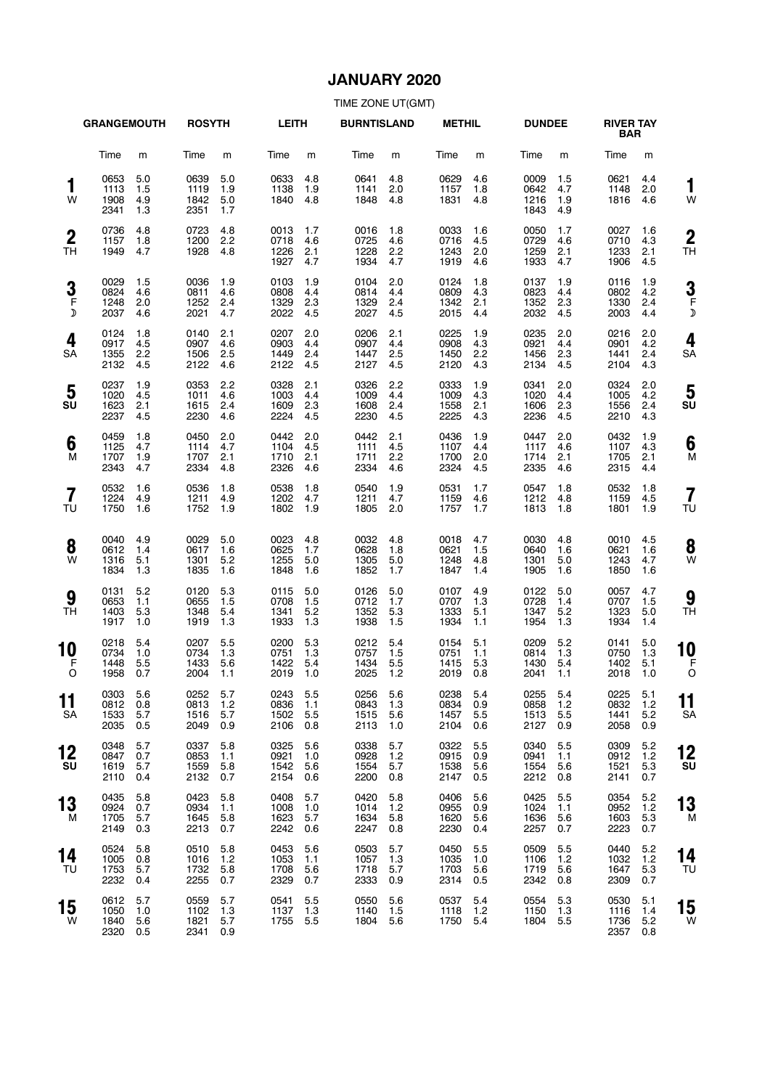### **JANUARY 2020**

|                               | <b>GRANGEMOUTH</b>               |                          | <b>ROSYTH</b>                    |                          | <b>LEITH</b>                     |                          | <b>BURNTISLAND</b>               |                            | <b>METHIL</b>                    |                          | <b>DUNDEE</b>                    |                          | <b>RIVER TAY</b><br><b>BAR</b>   |                            |                      |
|-------------------------------|----------------------------------|--------------------------|----------------------------------|--------------------------|----------------------------------|--------------------------|----------------------------------|----------------------------|----------------------------------|--------------------------|----------------------------------|--------------------------|----------------------------------|----------------------------|----------------------|
|                               | Time                             | m                        | Time                             | m                        | Time                             | m                        | Time                             | m                          | Time                             | m                        | Time                             | m                        | Time                             | m                          |                      |
| 1<br>W                        | 0653<br>1113<br>1908<br>2341     | 5.0<br>1.5<br>4.9<br>1.3 | 0639<br>1119<br>1842<br>2351     | 5.0<br>1.9<br>5.0<br>1.7 | 0633<br>1138<br>1840             | 4.8<br>1.9<br>4.8        | 0641<br>1141<br>1848             | 4.8<br>2.0<br>4.8          | 0629<br>1157<br>1831             | 4.6<br>1.8<br>4.8        | 0009<br>0642<br>1216<br>1843     | 1.5<br>4.7<br>1.9<br>4.9 | 0621<br>1148<br>1816             | 4.4<br>2.0<br>4.6          | 1<br>W               |
| $\boldsymbol{2}$<br><b>TH</b> | 0736<br>1157<br>1949             | 4.8<br>1.8<br>4.7        | 0723<br>1200<br>1928             | 4.8<br>2.2<br>4.8        | 0013<br>0718<br>1226<br>1927     | 1.7<br>4.6<br>2.1<br>4.7 | 0016<br>0725<br>1228<br>1934     | 1.8<br>4.6<br>2.2<br>4.7   | 0033<br>0716<br>1243<br>1919     | 1.6<br>4.5<br>2.0<br>4.6 | 0050<br>0729<br>1259<br>1933     | 1.7<br>4.6<br>2.1<br>4.7 | 0027<br>0710<br>1233<br>1906     | 1.6<br>4.3<br>2.1<br>4.5   | $\overline{2}$<br>ТH |
| 3<br>F<br>$\mathcal{D}$       | 0029<br>0824<br>1248<br>2037     | 1.5<br>4.6<br>2.0<br>4.6 | 0036<br>0811<br>1252<br>2021     | 1.9<br>4.6<br>2.4<br>4.7 | 0103<br>0808<br>1329<br>2022     | 1.9<br>4.4<br>2.3<br>4.5 | 0104<br>0814<br>1329<br>2027     | 2.0<br>4.4<br>2.4<br>4.5   | 0124<br>0809<br>1342<br>2015     | 1.8<br>4.3<br>2.1<br>4.4 | 0137<br>0823<br>1352<br>2032     | 1.9<br>4.4<br>2.3<br>4.5 | 0116<br>0802<br>1330<br>2003     | 1.9<br>4.2<br>2.4<br>4.4   | 3<br>F<br>J          |
| 4<br><b>SA</b>                | 0124<br>0917<br>1355<br>2132     | 1.8<br>4.5<br>2.2<br>4.5 | 0140<br>0907<br>1506<br>2122     | 2.1<br>4.6<br>2.5<br>4.6 | 0207<br>0903<br>1449<br>2122     | 2.0<br>4.4<br>2.4<br>4.5 | 0206<br>0907<br>1447<br>2127     | 2.1<br>4.4<br>2.5<br>4.5   | 0225<br>0908<br>1450<br>2120     | 1.9<br>4.3<br>2.2<br>4.3 | 0235<br>0921<br>1456<br>2134     | 2.0<br>4.4<br>2.3<br>4.5 | 0216<br>0901<br>1441<br>2104     | 2.0<br>4.2<br>2.4<br>4.3   | 4<br>SA              |
| 5<br>SU                       | 0237<br>1020<br>1623<br>2237     | 1.9<br>4.5<br>2.1<br>4.5 | 0353<br>1011<br>1615<br>2230     | 2.2<br>4.6<br>2.4<br>4.6 | 0328<br>1003<br>1609<br>2224     | 2.1<br>4.4<br>2.3<br>4.5 | 0326<br>1009<br>1608<br>2230     | 2.2<br>4.4<br>2.4<br>4.5   | 0333<br>1009<br>1558<br>2225     | 1.9<br>4.3<br>2.1<br>4.3 | 0341<br>1020<br>1606<br>2236     | 2.0<br>4.4<br>2.3<br>4.5 | 0324<br>1005<br>1556<br>2210     | 2.0<br>4.2<br>2.4<br>4.3   | 5<br>SU              |
| 6<br>M                        | 0459<br>1125<br>1707<br>2343     | 1.8<br>4.7<br>1.9<br>4.7 | 0450<br>1114<br>1707<br>2334     | 2.0<br>4.7<br>2.1<br>4.8 | 0442<br>1104<br>1710<br>2326     | 2.0<br>4.5<br>2.1<br>4.6 | 0442<br>1111<br>1711<br>2334     | 2.1<br>4.5<br>2.2<br>4.6   | 0436<br>1107<br>1700<br>2324     | 1.9<br>4.4<br>2.0<br>4.5 | 0447<br>1117<br>1714<br>2335     | 2.0<br>4.6<br>2.1<br>4.6 | 0432<br>1107<br>1705<br>2315     | 1.9<br>4.3<br>2.1<br>4.4   | 6<br>M               |
| $\overline{7}$<br>TU          | 0532<br>1224<br>1750             | 1.6<br>4.9<br>1.6        | 0536<br>1211<br>1752             | 1.8<br>4.9<br>1.9        | 0538<br>1202<br>1802             | 1.8<br>4.7<br>1.9        | 0540<br>1211<br>1805             | 1.9<br>4.7<br>2.0          | 0531<br>1159<br>1757             | 1.7<br>4.6<br>1.7        | 0547<br>1212<br>1813             | 1.8<br>4.8<br>1.8        | 0532<br>1159<br>1801             | 1.8<br>4.5<br>1.9          | 7<br>TU              |
| 8<br>W                        | 0040<br>0612<br>1316<br>1834     | 4.9<br>1.4<br>5.1<br>1.3 | 0029<br>0617<br>1301<br>1835     | 5.0<br>1.6<br>5.2<br>1.6 | 0023<br>0625<br>1255<br>1848     | 4.8<br>1.7<br>5.0<br>1.6 | 0032<br>0628<br>1305<br>1852     | 4.8<br>1.8<br>5.0<br>1.7   | 0018<br>0621<br>1248<br>1847     | 4.7<br>1.5<br>4.8<br>1.4 | 0030<br>0640<br>1301<br>1905     | 4.8<br>1.6<br>5.0<br>1.6 | 0010<br>0621<br>1243<br>1850     | 4.5<br>1.6<br>4.7<br>1.6   | 8<br>W               |
| 9<br>TH                       | 0131<br>0653<br>1403<br>1917     | 5.2<br>1.1<br>5.3<br>1.0 | 0120<br>0655<br>1348<br>1919     | 5.3<br>1.5<br>5.4<br>1.3 | 0115<br>0708<br>1341<br>1933     | 5.0<br>1.5<br>5.2<br>1.3 | 0126<br>0712<br>1352<br>1938     | 5.0<br>1.7<br>5.3<br>1.5   | 0107<br>0707<br>1333<br>1934     | 4.9<br>1.3<br>5.1<br>1.1 | 0122<br>0728<br>1347<br>1954     | 5.0<br>1.4<br>5.2<br>1.3 | 0057<br>0707<br>1323<br>1934     | 4.7<br>1.5<br>5.0<br>1.4   | 9<br>ΤH              |
| 10<br>F<br>O                  | 0218<br>0734<br>1448<br>1958     | 5.4<br>1.0<br>5.5<br>0.7 | 0207<br>0734<br>1433<br>2004     | 5.5<br>1.3<br>5.6<br>1.1 | 0200<br>0751<br>1422<br>2019     | 5.3<br>1.3<br>5.4<br>1.0 | 0212<br>0757<br>1434<br>2025     | 5.4<br>1.5<br>5.5<br>1.2   | 0154<br>0751<br>1415<br>2019     | 5.1<br>1.1<br>5.3<br>0.8 | 0209<br>0814<br>1430<br>2041     | 5.2<br>1.3<br>5.4<br>1.1 | 0141<br>0750<br>1402<br>2018     | 5.0<br>1.3<br>5.1<br>1.0   | 10<br>F<br>C         |
| . .<br>11<br>SA               | 0303 5.6<br>0812<br>1533<br>2035 | 0.8<br>5.7<br>0.5        | 0252 5.7<br>0813<br>1516<br>2049 | 1.2<br>5.7<br>0.9        | 0243 5.5<br>0836<br>1502<br>2106 | 1.1<br>5.5<br>0.8        | 0256 5.6<br>0843<br>1515<br>2113 | 1.3<br>5.6<br>1.0          | 0238 5.4<br>0834<br>1457<br>2104 | 0.9<br>5.5<br>0.6        | 0255 5.4<br>0858<br>1513<br>2127 | $1.2$<br>5.5<br>0.9      | 0225 5.1<br>0832<br>1441<br>2058 | 1.2<br>5.2<br>0.9          | 11<br>SΑ             |
| 12<br>SU                      | 0348<br>0847<br>1619<br>2110     | 5.7<br>0.7<br>5.7<br>0.4 | 0337<br>0853<br>1559<br>2132     | 5.8<br>1.1<br>5.8<br>0.7 | 0325<br>0921<br>1542<br>2154     | 5.6<br>1.0<br>5.6<br>0.6 | 0338<br>0928<br>1554<br>2200     | 5.7<br>$1.2$<br>5.7<br>0.8 | 0322<br>0915<br>1538<br>2147     | 5.5<br>0.9<br>5.6<br>0.5 | 0340<br>0941<br>1554<br>2212     | 5.5<br>1.1<br>5.6<br>0.8 | 0309<br>0912<br>1521<br>2141     | 5.2<br>1.2<br>5.3<br>0.7   | 12<br>SU             |
| 13<br>M                       | 0435<br>0924<br>1705<br>2149     | 5.8<br>0.7<br>5.7<br>0.3 | 0423<br>0934<br>1645<br>2213     | 5.8<br>1.1<br>5.8<br>0.7 | 0408<br>1008<br>1623<br>2242     | 5.7<br>1.0<br>5.7<br>0.6 | 0420<br>1014<br>1634<br>2247     | 5.8<br>1.2<br>5.8<br>0.8   | 0406<br>0955<br>1620<br>2230     | 5.6<br>0.9<br>5.6<br>0.4 | 0425<br>1024<br>1636<br>2257     | 5.5<br>1.1<br>5.6<br>0.7 | 0354<br>0952<br>1603<br>2223     | 5.2<br>$1.2$<br>5.3<br>0.7 | 13<br>M              |
| 14<br>TU                      | 0524<br>1005<br>1753<br>2232     | 5.8<br>0.8<br>5.7<br>0.4 | 0510<br>1016<br>1732<br>2255     | 5.8<br>1.2<br>5.8<br>0.7 | 0453<br>1053<br>1708<br>2329     | 5.6<br>1.1<br>5.6<br>0.7 | 0503<br>1057<br>1718<br>2333     | 5.7<br>1.3<br>5.7<br>0.9   | 0450<br>1035<br>1703<br>2314     | 5.5<br>1.0<br>5.6<br>0.5 | 0509<br>1106<br>1719<br>2342     | 5.5<br>1.2<br>5.6<br>0.8 | 0440<br>1032<br>1647<br>2309     | 5.2<br>1.2<br>5.3<br>0.7   | 14<br>ТU             |
| 15<br>W                       | 0612<br>1050<br>1840<br>2320     | 5.7<br>1.0<br>5.6<br>0.5 | 0559<br>1102<br>1821<br>2341     | 5.7<br>1.3<br>5.7<br>0.9 | 0541<br>1137<br>1755             | 5.5<br>1.3<br>5.5        | 0550<br>1140<br>1804             | 5.6<br>1.5<br>5.6          | 0537<br>1118<br>1750             | 5.4<br>1.2<br>5.4        | 0554<br>1150<br>1804             | 5.3<br>1.3<br>5.5        | 0530<br>1116<br>1736<br>2357     | 5.1<br>1.4<br>5.2<br>0.8   | 15<br>W              |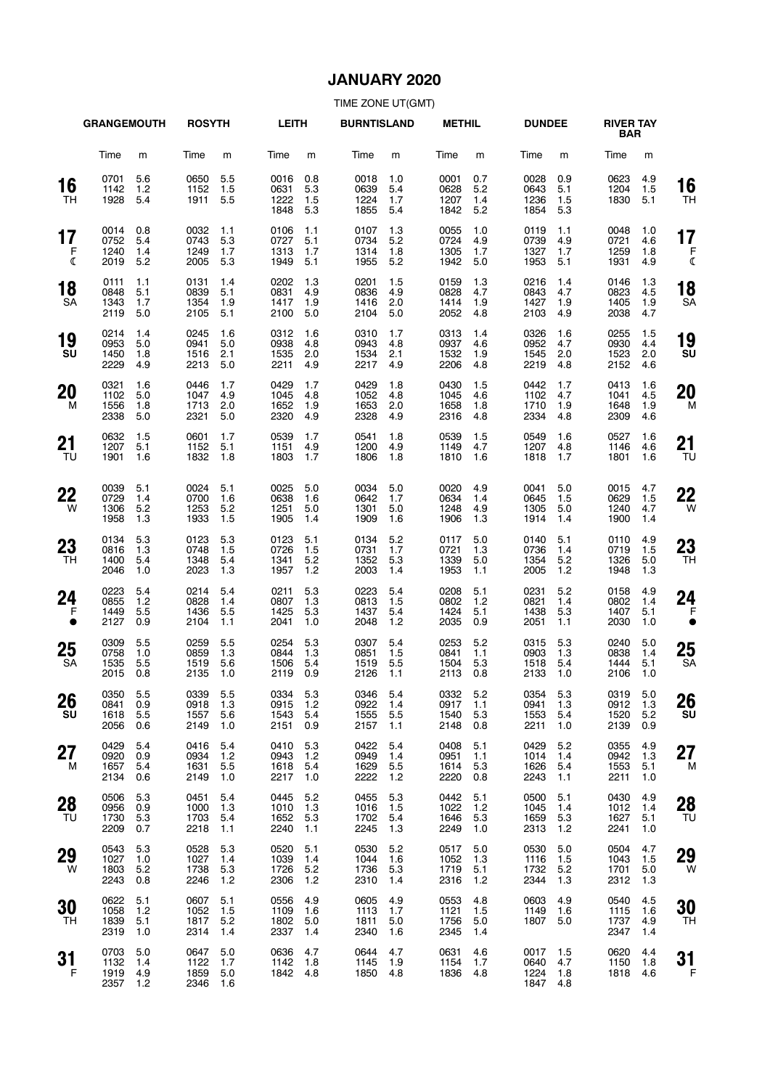# **JANUARY 2020**

|                         | <b>GRANGEMOUTH</b>           |                            | <b>ROSYTH</b>                |                            | <b>LEITH</b>                 |                          | <b>BURNTISLAND</b>               |                            | <b>METHIL</b>                |                          | <b>DUNDEE</b>                |                            | <b>RIVER TAY</b><br><b>BAR</b> |                          |                 |
|-------------------------|------------------------------|----------------------------|------------------------------|----------------------------|------------------------------|--------------------------|----------------------------------|----------------------------|------------------------------|--------------------------|------------------------------|----------------------------|--------------------------------|--------------------------|-----------------|
|                         | Time                         | m                          | Time                         | m                          | Time                         | m                        | Time                             | m                          | Time                         | m                        | Time                         | m                          | Time                           | m                        |                 |
| 16<br>TН                | 0701<br>1142<br>1928         | 5.6<br>1.2<br>5.4          | 0650<br>1152<br>1911         | 5.5<br>1.5<br>5.5          | 0016<br>0631<br>1222<br>1848 | 0.8<br>5.3<br>1.5<br>5.3 | 0018<br>0639<br>1224<br>1855     | 1.0<br>5.4<br>1.7<br>5.4   | 0001<br>0628<br>1207<br>1842 | 0.7<br>5.2<br>1.4<br>5.2 | 0028<br>0643<br>1236<br>1854 | 0.9<br>5.1<br>1.5<br>5.3   | 0623<br>1204<br>1830           | 4.9<br>1.5<br>5.1        | 16<br>TH        |
| 17<br>F<br>$\mathbb{C}$ | 0014<br>0752<br>1240<br>2019 | 0.8<br>5.4<br>1.4<br>5.2   | 0032<br>0743<br>1249<br>2005 | 1.1<br>5.3<br>1.7<br>5.3   | 0106<br>0727<br>1313<br>1949 | 1.1<br>5.1<br>1.7<br>5.1 | 0107<br>0734<br>1314<br>1955     | 1.3<br>5.2<br>1.8<br>5.2   | 0055<br>0724<br>1305<br>1942 | 1.0<br>4.9<br>1.7<br>5.0 | 0119<br>0739<br>1327<br>1953 | 1.1<br>4.9<br>1.7<br>5.1   | 0048<br>0721<br>1259<br>1931   | 1.0<br>4.6<br>1.8<br>4.9 | 17<br>F<br>ℭ    |
| 18<br><b>SA</b>         | 0111<br>0848<br>1343<br>2119 | 1.1<br>5.1<br>1.7<br>5.0   | 0131<br>0839<br>1354<br>2105 | 1.4<br>5.1<br>1.9<br>5.1   | 0202<br>0831<br>1417<br>2100 | 1.3<br>4.9<br>1.9<br>5.0 | 0201<br>0836<br>1416<br>2104     | 1.5<br>4.9<br>2.0<br>5.0   | 0159<br>0828<br>1414<br>2052 | 1.3<br>4.7<br>1.9<br>4.8 | 0216<br>0843<br>1427<br>2103 | 1.4<br>4.7<br>1.9<br>4.9   | 0146<br>0823<br>1405<br>2038   | 1.3<br>4.5<br>1.9<br>4.7 | 18<br><b>SA</b> |
| 19<br>SU                | 0214<br>0953<br>1450<br>2229 | 1.4<br>5.0<br>1.8<br>4.9   | 0245<br>0941<br>1516<br>2213 | 1.6<br>5.0<br>2.1<br>5.0   | 0312<br>0938<br>1535<br>2211 | 1.6<br>4.8<br>2.0<br>4.9 | 0310<br>0943<br>1534<br>2217     | 1.7<br>4.8<br>2.1<br>4.9   | 0313<br>0937<br>1532<br>2206 | 1.4<br>4.6<br>1.9<br>4.8 | 0326<br>0952<br>1545<br>2219 | 1.6<br>4.7<br>2.0<br>4.8   | 0255<br>0930<br>1523<br>2152   | 1.5<br>4.4<br>2.0<br>4.6 | 19<br>SU        |
| 20<br>м                 | 0321<br>1102<br>1556<br>2338 | 1.6<br>5.0<br>1.8<br>5.0   | 0446<br>1047<br>1713<br>2321 | 1.7<br>4.9<br>2.0<br>5.0   | 0429<br>1045<br>1652<br>2320 | 1.7<br>4.8<br>1.9<br>4.9 | 0429<br>1052<br>1653<br>2328     | 1.8<br>4.8<br>2.0<br>4.9   | 0430<br>1045<br>1658<br>2316 | 1.5<br>4.6<br>1.8<br>4.8 | 0442<br>1102<br>1710<br>2334 | 1.7<br>4.7<br>1.9<br>4.8   | 0413<br>1041<br>1648<br>2309   | 1.6<br>4.5<br>1.9<br>4.6 | 20<br>M         |
| 21<br>TU                | 0632<br>1207<br>1901         | 1.5<br>5.1<br>1.6          | 0601<br>1152<br>1832         | 1.7<br>5.1<br>1.8          | 0539<br>1151<br>1803         | 1.7<br>4.9<br>1.7        | 0541<br>1200<br>1806             | 1.8<br>4.9<br>1.8          | 0539<br>1149<br>1810         | 1.5<br>4.7<br>1.6        | 0549<br>1207<br>1818         | 1.6<br>4.8<br>1.7          | 0527<br>1146<br>1801           | 1.6<br>4.6<br>1.6        | 21<br>TU        |
| 22<br>W                 | 0039<br>0729<br>1306<br>1958 | 5.1<br>1.4<br>5.2<br>1.3   | 0024<br>0700<br>1253<br>1933 | 5.1<br>1.6<br>5.2<br>1.5   | 0025<br>0638<br>1251<br>1905 | 5.0<br>1.6<br>5.0<br>1.4 | 0034<br>0642<br>1301<br>1909     | 5.0<br>1.7<br>5.0<br>1.6   | 0020<br>0634<br>1248<br>1906 | 4.9<br>1.4<br>4.9<br>1.3 | 0041<br>0645<br>1305<br>1914 | 5.0<br>1.5<br>5.0<br>1.4   | 0015<br>0629<br>1240<br>1900   | 4.7<br>1.5<br>4.7<br>1.4 | 22<br>W         |
| 23<br>TH                | 0134<br>0816<br>1400<br>2046 | 5.3<br>1.3<br>5.4<br>1.0   | 0123<br>0748<br>1348<br>2023 | 5.3<br>1.5<br>5.4<br>1.3   | 0123<br>0726<br>1341<br>1957 | 5.1<br>1.5<br>5.2<br>1.2 | 0134<br>0731<br>1352<br>2003     | 5.2<br>1.7<br>5.3<br>1.4   | 0117<br>0721<br>1339<br>1953 | 5.0<br>1.3<br>5.0<br>1.1 | 0140<br>0736<br>1354<br>2005 | 5.1<br>1.4<br>5.2<br>1.2   | 0110<br>0719<br>1326<br>1948   | 4.9<br>1.5<br>5.0<br>1.3 | 23<br>TН        |
| 24<br>F<br>$\bullet$    | 0223<br>0855<br>1449<br>2127 | 5.4<br>1.2<br>5.5<br>0.9   | 0214<br>0828<br>1436<br>2104 | 5.4<br>1.4<br>5.5<br>1.1   | 0211<br>0807<br>1425<br>2041 | 5.3<br>1.3<br>5.3<br>1.0 | 0223<br>0813<br>1437<br>2048     | 5.4<br>1.5<br>5.4<br>1.2   | 0208<br>0802<br>1424<br>2035 | 5.1<br>1.2<br>5.1<br>0.9 | 0231<br>0821<br>1438<br>2051 | 5.2<br>1.4<br>5.3<br>1.1   | 0158<br>0802<br>1407<br>2030   | 4.9<br>1.4<br>5.1<br>1.0 | 24<br>F         |
| 25<br>SA                | 0309<br>0758<br>1535<br>2015 | 5.5<br>1.0<br>5.5<br>0.8   | 0259<br>0859<br>1519<br>2135 | 5.5<br>1.3<br>5.6<br>1.0   | 0254<br>0844<br>1506<br>2119 | 5.3<br>1.3<br>5.4<br>0.9 | 0307<br>0851<br>1519<br>2126     | 5.4<br>1.5<br>5.5<br>1.1   | 0253<br>0841<br>1504<br>2113 | 5.2<br>1.1<br>5.3<br>0.8 | 0315<br>0903<br>1518<br>2133 | 5.3<br>1.3<br>5.4<br>1.0   | 0240<br>0838<br>1444<br>2106   | 5.0<br>1.4<br>5.1<br>1.0 | 25<br><b>SA</b> |
| 26<br>SU                | 0350<br>0841<br>1618<br>2056 | 5.5<br>0.9<br>5.5<br>0.6   | 0339<br>0918<br>1557<br>2149 | 5.5<br>1.3<br>5.6<br>1.0   | 0334<br>0915<br>1543<br>2151 | 5.3<br>1.2<br>5.4<br>0.9 | 0346 5.4<br>0922<br>1555<br>2157 | 1.4<br>5.5<br>1.1          | 0332<br>0917<br>1540<br>2148 | 5.2<br>1.1<br>5.3<br>0.8 | 0354<br>0941<br>1553<br>2211 | 5.3<br>1.3<br>5.4<br>1.0   | 0319<br>0912<br>1520<br>2139   | 5.0<br>1.3<br>5.2<br>0.9 | 26<br>SU        |
| 27<br>M                 | 0429<br>0920<br>1657<br>2134 | 5.4<br>0.9<br>5.4<br>0.6   | 0416<br>0934<br>1631<br>2149 | 5.4<br>1.2<br>5.5<br>1.0   | 0410<br>0943<br>1618<br>2217 | 5.3<br>1.2<br>5.4<br>1.0 | 0422<br>0949<br>1629<br>2222     | 5.4<br>1.4<br>5.5<br>$1.2$ | 0408<br>0951<br>1614<br>2220 | 5.1<br>1.1<br>5.3<br>0.8 | 0429<br>1014<br>1626<br>2243 | 5.2<br>1.4<br>5.4<br>1.1   | 0355<br>0942<br>1553<br>2211   | 4.9<br>1.3<br>5.1<br>1.0 | 27<br>M         |
| 28<br>TU                | 0506<br>0956<br>1730<br>2209 | 5.3<br>0.9<br>5.3<br>0.7   | 0451<br>1000<br>1703<br>2218 | 5.4<br>1.3<br>5.4<br>1.1   | 0445<br>1010<br>1652<br>2240 | 5.2<br>1.3<br>5.3<br>1.1 | 0455<br>1016<br>1702<br>2245     | 5.3<br>1.5<br>5.4<br>1.3   | 0442<br>1022<br>1646<br>2249 | 5.1<br>1.2<br>5.3<br>1.0 | 0500<br>1045<br>1659<br>2313 | 5.1<br>1.4<br>5.3<br>$1.2$ | 0430<br>1012<br>1627<br>2241   | 4.9<br>1.4<br>5.1<br>1.0 | 28<br>TU        |
| 29<br>W                 | 0543<br>1027<br>1803<br>2243 | 5.3<br>1.0<br>$5.2$<br>0.8 | 0528<br>1027<br>1738<br>2246 | 5.3<br>1.4<br>5.3<br>$1.2$ | 0520<br>1039<br>1726<br>2306 | 5.1<br>1.4<br>5.2<br>1.2 | 0530<br>1044<br>1736<br>2310     | 5.2<br>1.6<br>5.3<br>1.4   | 0517<br>1052<br>1719<br>2316 | 5.0<br>1.3<br>5.1<br>1.2 | 0530<br>1116<br>1732<br>2344 | 5.0<br>1.5<br>$5.2$<br>1.3 | 0504<br>1043<br>1701<br>2312   | 4.7<br>1.5<br>5.0<br>1.3 | 29<br>W         |
| 30<br>TН                | 0622<br>1058<br>1839<br>2319 | 5.1<br>1.2<br>5.1<br>1.0   | 0607<br>1052<br>1817<br>2314 | 5.1<br>1.5<br>5.2<br>1.4   | 0556<br>1109<br>1802<br>2337 | 4.9<br>1.6<br>5.0<br>1.4 | 0605<br>1113<br>1811<br>2340     | 4.9<br>1.7<br>5.0<br>1.6   | 0553<br>1121<br>1756<br>2345 | 4.8<br>1.5<br>5.0<br>1.4 | 0603<br>1149<br>1807         | 4.9<br>1.6<br>5.0          | 0540<br>1115<br>1737<br>2347   | 4.5<br>1.6<br>4.9<br>1.4 | 30<br>TН        |
| 31<br>F                 | 0703<br>1132<br>1919<br>2357 | 5.0<br>1.4<br>4.9<br>1.2   | 0647<br>1122<br>1859<br>2346 | 5.0<br>1.7<br>5.0<br>1.6   | 0636<br>1142<br>1842         | 4.7<br>1.8<br>4.8        | 0644<br>1145<br>1850             | 4.7<br>1.9<br>4.8          | 0631<br>1154<br>1836         | 4.6<br>1.7<br>4.8        | 0017<br>0640<br>1224<br>1847 | 1.5<br>4.7<br>1.8<br>4.8   | 0620<br>1150<br>1818           | 4.4<br>1.8<br>4.6        | 31<br>F         |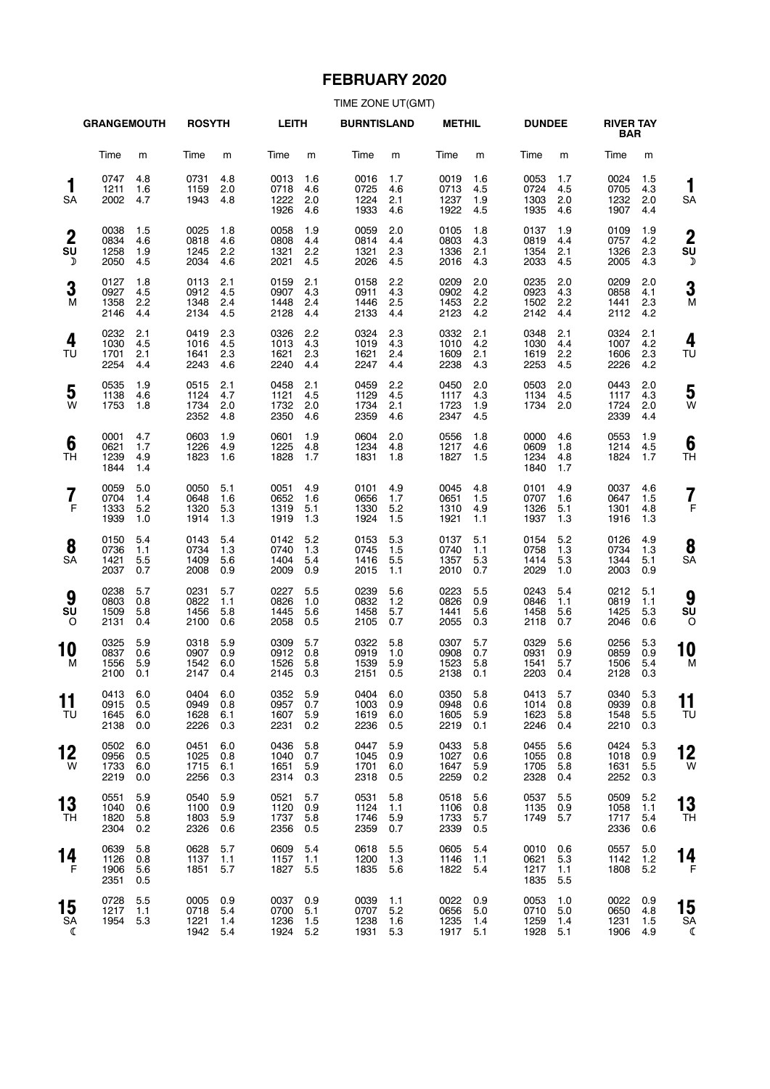# **FEBRUARY 2020**

|                             | <b>GRANGEMOUTH</b>               |                          | <b>ROSYTH</b>                    |                          | <b>LEITH</b>                     |                          | <b>BURNTISLAND</b>               |                          | <b>METHIL</b>                    |                          | <b>DUNDEE</b>                |                          | <b>RIVER TAY</b><br><b>BAR</b> |                          |                           |
|-----------------------------|----------------------------------|--------------------------|----------------------------------|--------------------------|----------------------------------|--------------------------|----------------------------------|--------------------------|----------------------------------|--------------------------|------------------------------|--------------------------|--------------------------------|--------------------------|---------------------------|
|                             | Time                             | m                        | Time                             | m                        | Time                             | m                        | Time                             | m                        | Time                             | m                        | Time                         | m                        | Time                           | m                        |                           |
| 1<br>SA                     | 0747<br>1211<br>2002             | 4.8<br>1.6<br>4.7        | 0731<br>1159<br>1943             | 4.8<br>2.0<br>4.8        | 0013<br>0718<br>1222<br>1926     | 1.6<br>4.6<br>2.0<br>4.6 | 0016<br>0725<br>1224<br>1933     | 1.7<br>4.6<br>2.1<br>4.6 | 0019<br>0713<br>1237<br>1922     | 1.6<br>4.5<br>1.9<br>4.5 | 0053<br>0724<br>1303<br>1935 | 1.7<br>4.5<br>2.0<br>4.6 | 0024<br>0705<br>1232<br>1907   | 1.5<br>4.3<br>2.0<br>4.4 | 1<br>SA                   |
| $\boldsymbol{2}$<br>SU<br>D | 0038<br>0834<br>1258<br>2050     | 1.5<br>4.6<br>1.9<br>4.5 | 0025<br>0818<br>1245<br>2034     | 1.8<br>4.6<br>2.2<br>4.6 | 0058<br>0808<br>1321<br>2021     | 1.9<br>4.4<br>2.2<br>4.5 | 0059<br>0814<br>1321<br>2026     | 2.0<br>4.4<br>2.3<br>4.5 | 0105<br>0803<br>1336<br>2016     | 1.8<br>4.3<br>2.1<br>4.3 | 0137<br>0819<br>1354<br>2033 | 1.9<br>4.4<br>2.1<br>4.5 | 0109<br>0757<br>1326<br>2005   | 1.9<br>4.2<br>2.3<br>4.3 | $\overline{2}$<br>SU<br>Σ |
| 3<br>M                      | 0127<br>0927<br>1358<br>2146     | 1.8<br>4.5<br>2.2<br>4.4 | 0113<br>0912<br>1348<br>2134     | 2.1<br>4.5<br>2.4<br>4.5 | 0159<br>0907<br>1448<br>2128     | 2.1<br>4.3<br>2.4<br>4.4 | 0158<br>0911<br>1446<br>2133     | 2.2<br>4.3<br>2.5<br>4.4 | 0209<br>0902<br>1453<br>2123     | 2.0<br>4.2<br>2.2<br>4.2 | 0235<br>0923<br>1502<br>2142 | 2.0<br>4.3<br>2.2<br>4.4 | 0209<br>0858<br>1441<br>2112   | 2.0<br>4.1<br>2.3<br>4.2 | 3<br>N                    |
| 4<br>TU                     | 0232<br>1030<br>1701<br>2254     | 2.1<br>4.5<br>2.1<br>4.4 | 0419<br>1016<br>1641<br>2243     | 2.3<br>4.5<br>2.3<br>4.6 | 0326<br>1013<br>1621<br>2240     | 2.2<br>4.3<br>2.3<br>4.4 | 0324<br>1019<br>1621<br>2247     | 2.3<br>4.3<br>2.4<br>4.4 | 0332<br>1010<br>1609<br>2238     | 2.1<br>4.2<br>2.1<br>4.3 | 0348<br>1030<br>1619<br>2253 | 2.1<br>4.4<br>2.2<br>4.5 | 0324<br>1007<br>1606<br>2226   | 2.1<br>4.2<br>2.3<br>4.2 | 4<br>TU                   |
| 5<br>W                      | 0535<br>1138<br>1753             | 1.9<br>4.6<br>1.8        | 0515<br>1124<br>1734<br>2352     | 2.1<br>4.7<br>2.0<br>4.8 | 0458<br>1121<br>1732<br>2350     | 2.1<br>4.5<br>2.0<br>4.6 | 0459<br>1129<br>1734<br>2359     | 2.2<br>4.5<br>2.1<br>4.6 | 0450<br>1117<br>1723<br>2347     | 2.0<br>4.3<br>1.9<br>4.5 | 0503<br>1134<br>1734         | 2.0<br>4.5<br>2.0        | 0443<br>1117<br>1724<br>2339   | 2.0<br>4.3<br>2.0<br>4.4 | 5<br>W                    |
| 6<br>TН                     | 0001<br>0621<br>1239<br>1844     | 4.7<br>1.7<br>4.9<br>1.4 | 0603<br>1226<br>1823             | 1.9<br>4.9<br>1.6        | 0601<br>1225<br>1828             | 1.9<br>4.8<br>1.7        | 0604<br>1234<br>1831             | 2.0<br>4.8<br>1.8        | 0556<br>1217<br>1827             | 1.8<br>4.6<br>1.5        | 0000<br>0609<br>1234<br>1840 | 4.6<br>1.8<br>4.8<br>1.7 | 0553<br>1214<br>1824           | 1.9<br>4.5<br>1.7        | 6<br>ΤH                   |
| 7<br>F                      | 0059<br>0704<br>1333<br>1939     | 5.0<br>1.4<br>5.2<br>1.0 | 0050<br>0648<br>1320<br>1914     | 5.1<br>1.6<br>5.3<br>1.3 | 0051<br>0652<br>1319<br>1919     | 4.9<br>1.6<br>5.1<br>1.3 | 0101<br>0656<br>1330<br>1924     | 4.9<br>1.7<br>5.2<br>1.5 | 0045<br>0651<br>1310<br>1921     | 4.8<br>1.5<br>4.9<br>1.1 | 0101<br>0707<br>1326<br>1937 | 4.9<br>1.6<br>5.1<br>1.3 | 0037<br>0647<br>1301<br>1916   | 4.6<br>1.5<br>4.8<br>1.3 | 7<br>F                    |
| 8<br><b>SA</b>              | 0150<br>0736<br>1421<br>2037     | 5.4<br>1.1<br>5.5<br>0.7 | 0143<br>0734<br>1409<br>2008     | 5.4<br>1.3<br>5.6<br>0.9 | 0142<br>0740<br>1404<br>2009     | 5.2<br>1.3<br>5.4<br>0.9 | 0153<br>0745<br>1416<br>2015     | 5.3<br>1.5<br>5.5<br>1.1 | 0137<br>0740<br>1357<br>2010     | 5.1<br>1.1<br>5.3<br>0.7 | 0154<br>0758<br>1414<br>2029 | 5.2<br>1.3<br>5.3<br>1.0 | 0126<br>0734<br>1344<br>2003   | 4.9<br>1.3<br>5.1<br>0.9 | 8<br>SΑ                   |
| 9<br>SU<br>$\circ$          | 0238<br>0803<br>1509<br>2131     | 5.7<br>0.8<br>5.8<br>0.4 | 0231<br>0822<br>1456<br>2100     | 5.7<br>1.1<br>5.8<br>0.6 | 0227<br>0826<br>1445<br>2058     | 5.5<br>1.0<br>5.6<br>0.5 | 0239<br>0832<br>1458<br>2105     | 5.6<br>1.2<br>5.7<br>0.7 | 0223<br>0826<br>1441<br>2055     | 5.5<br>0.9<br>5.6<br>0.3 | 0243<br>0846<br>1458<br>2118 | 5.4<br>1.1<br>5.6<br>0.7 | 0212<br>0819<br>1425<br>2046   | 5.1<br>1.1<br>5.3<br>0.6 | 9<br>su<br>C              |
| 10<br>М                     | 0325<br>0837<br>1556<br>2100     | 5.9<br>0.6<br>5.9<br>0.1 | 0318<br>0907<br>1542<br>2147     | 5.9<br>0.9<br>6.0<br>0.4 | 0309<br>0912<br>1526<br>2145     | 5.7<br>0.8<br>5.8<br>0.3 | 0322<br>0919<br>1539<br>2151     | 5.8<br>1.0<br>5.9<br>0.5 | 0307<br>0908<br>1523<br>2138     | 5.7<br>0.7<br>5.8<br>0.1 | 0329<br>0931<br>1541<br>2203 | 5.6<br>0.9<br>5.7<br>0.4 | 0256<br>0859<br>1506<br>2128   | 5.3<br>0.9<br>5.4<br>0.3 | 10<br>M                   |
| . .<br>11<br>TU             | 0413 6.0<br>0915<br>1645<br>2138 | 0.5<br>6.0<br>0.0        | 0404 6.0<br>0949<br>1628<br>2226 | 0.8<br>6.1<br>0.3        | 0352 5.9<br>0957<br>1607<br>2231 | 0.7<br>5.9<br>0.2        | 0404 6.0<br>1003<br>1619<br>2236 | 0.9<br>6.0<br>0.5        | 0350 5.8<br>0948<br>1605<br>2219 | 0.6<br>5.9<br>0.1        | 0413<br>1014<br>1623<br>2246 | 5.7<br>0.8<br>5.8<br>0.4 | 0340<br>0939<br>1548<br>2210   | 5.3<br>0.8<br>5.5<br>0.3 | . .<br>11<br>ΤU           |
| 12<br>W                     | 0502<br>0956<br>1733<br>2219     | 6.0<br>0.5<br>6.0<br>0.0 | 0451<br>1025<br>1715<br>2256     | 6.0<br>0.8<br>6.1<br>0.3 | 0436<br>1040<br>1651<br>2314     | 5.8<br>0.7<br>5.9<br>0.3 | 0447<br>1045<br>1701<br>2318     | 5.9<br>0.9<br>6.0<br>0.5 | 0433<br>1027<br>1647<br>2259     | 5.8<br>0.6<br>5.9<br>0.2 | 0455<br>1055<br>1705<br>2328 | 5.6<br>0.8<br>5.8<br>0.4 | 0424<br>1018<br>1631<br>2252   | 5.3<br>0.9<br>5.5<br>0.3 | 12<br>W                   |
| 13<br>TН                    | 0551<br>1040<br>1820<br>2304     | 5.9<br>0.6<br>5.8<br>0.2 | 0540<br>1100<br>1803<br>2326     | 5.9<br>0.9<br>5.9<br>0.6 | 0521<br>1120<br>1737<br>2356     | 5.7<br>0.9<br>5.8<br>0.5 | 0531<br>1124<br>1746<br>2359     | 5.8<br>1.1<br>5.9<br>0.7 | 0518<br>1106<br>1733<br>2339     | 5.6<br>0.8<br>5.7<br>0.5 | 0537<br>1135<br>1749         | 5.5<br>0.9<br>5.7        | 0509<br>1058<br>1717<br>2336   | 5.2<br>1.1<br>5.4<br>0.6 | 13<br>TΗ                  |
| 14<br>F                     | 0639<br>1126<br>1906<br>2351     | 5.8<br>0.8<br>5.6<br>0.5 | 0628<br>1137<br>1851             | 5.7<br>1.1<br>5.7        | 0609<br>1157<br>1827             | 5.4<br>1.1<br>5.5        | 0618<br>1200<br>1835             | 5.5<br>1.3<br>5.6        | 0605<br>1146<br>1822             | 5.4<br>1.1<br>5.4        | 0010<br>0621<br>1217<br>1835 | 0.6<br>5.3<br>1.1<br>5.5 | 0557<br>1142<br>1808           | 5.0<br>1.2<br>5.2        | 14<br>F                   |
| 15<br>SA<br>ℭ               | 0728<br>1217<br>1954             | 5.5<br>1.1<br>5.3        | 0005<br>0718<br>1221<br>1942 5.4 | 0.9<br>5.4<br>1.4        | 0037<br>0700<br>1236<br>1924 5.2 | 0.9<br>5.1<br>1.5        | 0039<br>0707<br>1238<br>1931     | 1.1<br>5.2<br>1.6<br>5.3 | 0022<br>0656<br>1235<br>1917 5.1 | 0.9<br>5.0<br>1.4        | 0053<br>0710<br>1259<br>1928 | 1.0<br>5.0<br>1.4<br>5.1 | 0022<br>0650<br>1231<br>1906   | 0.9<br>4.8<br>1.5<br>4.9 | 15<br>SΑ<br>€             |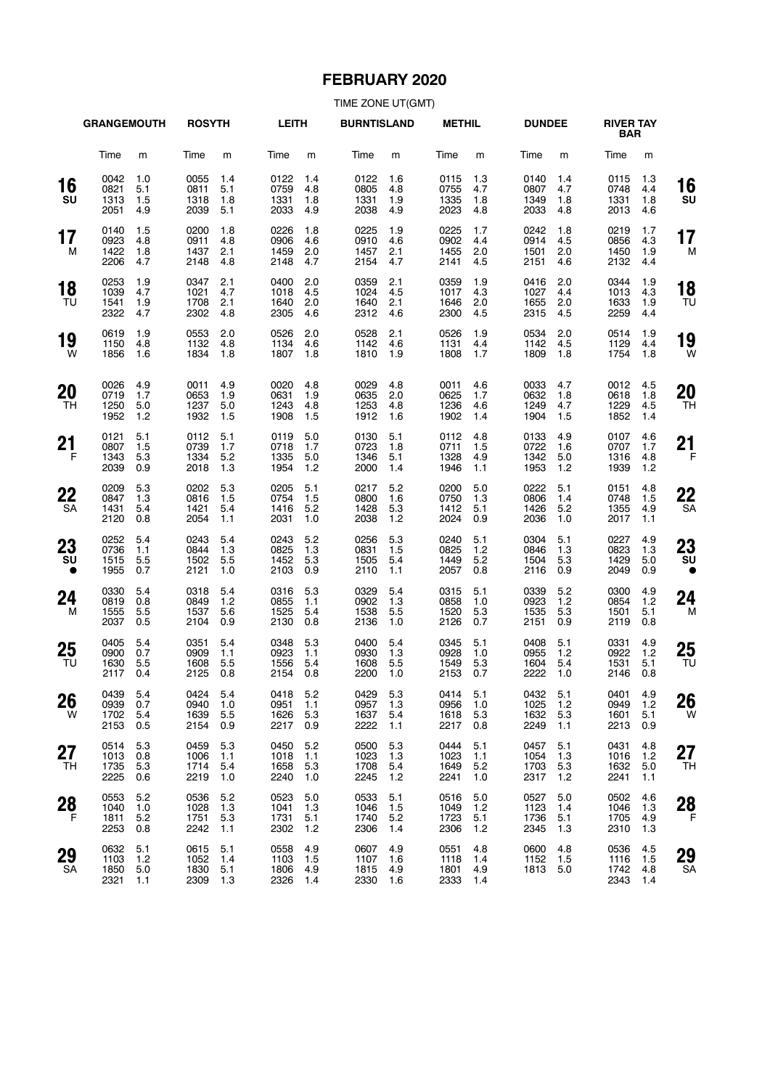# **FEBRUARY 2020**

|                       | <b>GRANGEMOUTH</b>           |                          | <b>ROSYTH</b>                    |                          | <b>LEITH</b>                 |                          | <b>BURNTISLAND</b>           |                          | <b>METHIL</b>                |                          | <b>DUNDEE</b>                |                            | <b>RIVER TAY</b><br><b>BAR</b>   |                           |                 |
|-----------------------|------------------------------|--------------------------|----------------------------------|--------------------------|------------------------------|--------------------------|------------------------------|--------------------------|------------------------------|--------------------------|------------------------------|----------------------------|----------------------------------|---------------------------|-----------------|
|                       | Time                         | m                        | Time                             | m                        | Time                         | m                        | Time                         | m                        | Time                         | m                        | Time                         | m                          | Time                             | m                         |                 |
| 16<br>SU              | 0042<br>0821<br>1313<br>2051 | 1.0<br>5.1<br>1.5<br>4.9 | 0055<br>0811<br>1318<br>2039     | 1.4<br>5.1<br>1.8<br>5.1 | 0122<br>0759<br>1331<br>2033 | 1.4<br>4.8<br>1.8<br>4.9 | 0122<br>0805<br>1331<br>2038 | 1.6<br>4.8<br>1.9<br>4.9 | 0115<br>0755<br>1335<br>2023 | 1.3<br>4.7<br>1.8<br>4.8 | 0140<br>0807<br>1349<br>2033 | 1.4<br>4.7<br>1.8<br>4.8   | 0115<br>0748<br>1331<br>2013     | 1.3<br>4.4<br>1.8<br>4.6  | 16<br>SU        |
| 17<br>М               | 0140<br>0923<br>1422<br>2206 | 1.5<br>4.8<br>1.8<br>4.7 | 0200<br>0911<br>1437<br>2148     | 1.8<br>4.8<br>2.1<br>4.8 | 0226<br>0906<br>1459<br>2148 | 1.8<br>4.6<br>2.0<br>4.7 | 0225<br>0910<br>1457<br>2154 | 1.9<br>4.6<br>2.1<br>4.7 | 0225<br>0902<br>1455<br>2141 | 1.7<br>4.4<br>2.0<br>4.5 | 0242<br>0914<br>1501<br>2151 | 1.8<br>4.5<br>2.0<br>4.6   | 0219<br>0856<br>1450<br>2132     | 1.7<br>4.3<br>1.9<br>4.4  | 17<br>M         |
| 18<br>TU              | 0253<br>1039<br>1541<br>2322 | 1.9<br>4.7<br>1.9<br>4.7 | 0347<br>1021<br>1708<br>2302     | 2.1<br>4.7<br>2.1<br>4.8 | 0400<br>1018<br>1640<br>2305 | 2.0<br>4.5<br>2.0<br>4.6 | 0359<br>1024<br>1640<br>2312 | 2.1<br>4.5<br>2.1<br>4.6 | 0359<br>1017<br>1646<br>2300 | 1.9<br>4.3<br>2.0<br>4.5 | 0416<br>1027<br>1655<br>2315 | 2.0<br>4.4<br>2.0<br>4.5   | 0344<br>1013<br>1633<br>2259     | 1.9<br>4.3<br>1.9<br>4.4  | 18<br>TU        |
| 19<br>W               | 0619<br>1150<br>1856         | 1.9<br>4.8<br>1.6        | 0553<br>1132<br>1834             | 2.0<br>4.8<br>1.8        | 0526<br>1134<br>1807         | 2.0<br>4.6<br>1.8        | 0528<br>1142<br>1810         | 2.1<br>4.6<br>1.9        | 0526<br>1131<br>1808         | 1.9<br>4.4<br>1.7        | 0534<br>1142<br>1809         | 2.0<br>4.5<br>1.8          | 0514<br>1129<br>1754             | 1.9<br>4.4<br>1.8         | 19<br>W         |
| 20<br>TH              | 0026<br>0719<br>1250<br>1952 | 4.9<br>1.7<br>5.0<br>1.2 | 0011<br>0653<br>1237<br>1932     | 4.9<br>1.9<br>5.0<br>1.5 | 0020<br>0631<br>1243<br>1908 | 4.8<br>1.9<br>4.8<br>1.5 | 0029<br>0635<br>1253<br>1912 | 4.8<br>2.0<br>4.8<br>1.6 | 0011<br>0625<br>1236<br>1902 | 4.6<br>1.7<br>4.6<br>1.4 | 0033<br>0632<br>1249<br>1904 | 4.7<br>1.8<br>4.7<br>1.5   | 0012<br>0618<br>1229<br>1852     | 4.5<br>1.8<br>4.5<br>1.4  | 20<br>TH        |
| 21<br>F               | 0121<br>0807<br>1343<br>2039 | 5.1<br>1.5<br>5.3<br>0.9 | 0112<br>0739<br>1334<br>2018     | 5.1<br>1.7<br>5.2<br>1.3 | 0119<br>0718<br>1335<br>1954 | 5.0<br>1.7<br>5.0<br>1.2 | 0130<br>0723<br>1346<br>2000 | 5.1<br>1.8<br>5.1<br>1.4 | 0112<br>0711<br>1328<br>1946 | 4.8<br>1.5<br>4.9<br>1.1 | 0133<br>0722<br>1342<br>1953 | 4.9<br>1.6<br>5.0<br>1.2   | 0107<br>0707<br>1316<br>1939     | 4.6<br>1.7<br>4.8<br>1.2  | 21<br>F         |
| 22<br>SA              | 0209<br>0847<br>1431<br>2120 | 5.3<br>1.3<br>5.4<br>0.8 | 0202<br>0816<br>1421<br>2054     | 5.3<br>1.5<br>5.4<br>1.1 | 0205<br>0754<br>1416<br>2031 | 5.1<br>1.5<br>5.2<br>1.0 | 0217<br>0800<br>1428<br>2038 | 5.2<br>1.6<br>5.3<br>1.2 | 0200<br>0750<br>1412<br>2024 | 5.0<br>1.3<br>5.1<br>0.9 | 0222<br>0806<br>1426<br>2036 | 5.1<br>1.4<br>5.2<br>1.0   | 0151<br>0748<br>1355<br>2017     | 4.8<br>1.5<br>4.9<br>1.1  | 22<br><b>SA</b> |
| 23<br>SU<br>$\bullet$ | 0252<br>0736<br>1515<br>1955 | 5.4<br>1.1<br>5.5<br>0.7 | 0243<br>0844<br>1502<br>2121     | 5.4<br>1.3<br>5.5<br>1.0 | 0243<br>0825<br>1452<br>2103 | 5.2<br>1.3<br>5.3<br>0.9 | 0256<br>0831<br>1505<br>2110 | 5.3<br>1.5<br>5.4<br>1.1 | 0240<br>0825<br>1449<br>2057 | 5.1<br>1.2<br>5.2<br>0.8 | 0304<br>0846<br>1504<br>2116 | 5.1<br>1.3<br>5.3<br>0.9   | 0227<br>0823<br>1429<br>2049     | 4.9<br>1.3<br>5.0<br>0.9  | 23<br>SU        |
| 24<br>M               | 0330<br>0819<br>1555<br>2037 | 5.4<br>0.8<br>5.5<br>0.5 | 0318<br>0849<br>1537<br>2104     | 5.4<br>1.2<br>5.6<br>0.9 | 0316<br>0855<br>1525<br>2130 | 5.3<br>1.1<br>5.4<br>0.8 | 0329<br>0902<br>1538<br>2136 | 5.4<br>1.3<br>5.5<br>1.0 | 0315<br>0858<br>1520<br>2126 | 5.1<br>1.0<br>5.3<br>0.7 | 0339<br>0923<br>1535<br>2151 | 5.2<br>1.2<br>5.3<br>0.9   | 0300<br>0854<br>1501<br>2119     | 4.9<br>1.2<br>5.1<br>0.8  | 24<br>M         |
| 25<br>TU              | 0405<br>0900<br>1630<br>2117 | 5.4<br>0.7<br>5.5<br>0.4 | 0351<br>0909<br>1608<br>2125     | 5.4<br>1.1<br>5.5<br>0.8 | 0348<br>0923<br>1556<br>2154 | 5.3<br>1.1<br>5.4<br>0.8 | 0400<br>0930<br>1608<br>2200 | 5.4<br>1.3<br>5.5<br>1.0 | 0345<br>0928<br>1549<br>2153 | 5.1<br>1.0<br>5.3<br>0.7 | 0408<br>0955<br>1604<br>2222 | 5.1<br>$1.2$<br>5.4<br>1.0 | 0331<br>0922<br>1531<br>2146     | 4.9<br>1.2<br>5.1<br>0.8  | 25<br>TU        |
| 26<br>W               | 0439<br>0939<br>1702<br>2153 | 5.4<br>0.7<br>5.4<br>0.5 | 0424 5.4<br>0940<br>1639<br>2154 | 1.0<br>5.5<br>0.9        | 0418<br>0951<br>1626<br>2217 | 5.2<br>1.1<br>5.3<br>0.9 | 0429<br>0957<br>1637<br>2222 | 5.3<br>1.3<br>5.4<br>1.1 | 0414<br>0956<br>1618<br>2217 | 5.1<br>1.0<br>5.3<br>0.8 | 0432<br>1025<br>1632<br>2249 | 5.1<br>1.2<br>5.3<br>1.1   | 0401 4.9<br>0949<br>1601<br>2213 | 1.2<br>5.1<br>0.9         | 26<br>W         |
| 27<br>TH              | 0514<br>1013<br>1735<br>2225 | 5.3<br>0.8<br>5.3<br>0.6 | 0459<br>1006<br>1714<br>2219     | 5.3<br>1.1<br>5.4<br>1.0 | 0450<br>1018<br>1658<br>2240 | 5.2<br>1.1<br>5.3<br>1.0 | 0500<br>1023<br>1708<br>2245 | 5.3<br>1.3<br>5.4<br>1.2 | 0444<br>1023<br>1649<br>2241 | 5.1<br>1.1<br>5.2<br>1.0 | 0457<br>1054<br>1703<br>2317 | 5.1<br>1.3<br>5.3<br>1.2   | 0431<br>1016<br>1632<br>2241     | 4.8<br>1.2<br>5.0<br>1.1  | 27<br><b>TH</b> |
| 28<br>F               | 0553<br>1040<br>1811<br>2253 | 5.2<br>1.0<br>5.2<br>0.8 | 0536<br>1028<br>1751<br>2242     | 5.2<br>1.3<br>5.3<br>1.1 | 0523<br>1041<br>1731<br>2302 | 5.0<br>1.3<br>5.1<br>1.2 | 0533<br>1046<br>1740<br>2306 | 5.1<br>1.5<br>5.2<br>1.4 | 0516<br>1049<br>1723<br>2306 | 5.0<br>1.2<br>5.1<br>1.2 | 0527<br>1123<br>1736<br>2345 | 5.0<br>1.4<br>5.1<br>1.3   | 0502<br>1046<br>1705<br>2310     | 4.6<br>1.3<br>4.9<br>1.3  | 28<br>- F       |
| 29<br>SA              | 0632<br>1103<br>1850<br>2321 | 5.1<br>1.2<br>5.0<br>1.1 | 0615<br>1052<br>1830<br>2309     | 5.1<br>1.4<br>5.1<br>1.3 | 0558<br>1103<br>1806<br>2326 | 4.9<br>1.5<br>4.9<br>1.4 | 0607<br>1107<br>1815<br>2330 | 4.9<br>1.6<br>4.9<br>1.6 | 0551<br>1118<br>1801<br>2333 | 4.8<br>1.4<br>4.9<br>1.4 | 0600<br>1152<br>1813 5.0     | 4.8<br>1.5                 | 0536<br>1116<br>1742<br>2343     | 4.5<br>1.5<br>-4.8<br>1.4 | 29<br>SA        |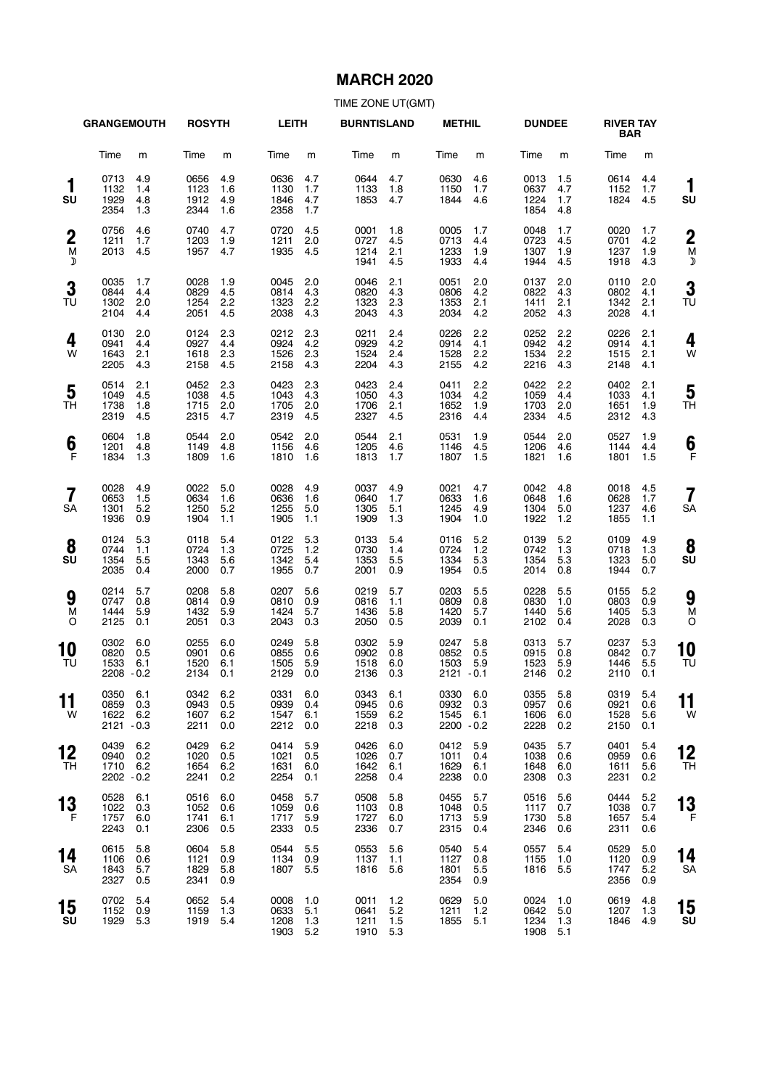## **MARCH 2020**

|                            | <b>GRANGEMOUTH</b>                     |                          | <b>ROSYTH</b>                    |                          | <b>LEITH</b>                     |                          | <b>BURNTISLAND</b>               |                          | <b>METHIL</b>                            |                            | <b>DUNDEE</b>                    |                          | <b>RIVER TAY</b><br><b>BAR</b>   |                          |                          |
|----------------------------|----------------------------------------|--------------------------|----------------------------------|--------------------------|----------------------------------|--------------------------|----------------------------------|--------------------------|------------------------------------------|----------------------------|----------------------------------|--------------------------|----------------------------------|--------------------------|--------------------------|
|                            | Time                                   | m                        | Time                             | m                        | Time                             | m                        | Time                             | m                        | Time                                     | m                          | Time                             | m                        | Time                             | m                        |                          |
| 1<br>SU                    | 0713<br>1132<br>1929<br>2354           | 4.9<br>1.4<br>4.8<br>1.3 | 0656<br>1123<br>1912<br>2344     | 4.9<br>1.6<br>4.9<br>1.6 | 0636<br>1130<br>1846<br>2358     | 4.7<br>1.7<br>4.7<br>1.7 | 0644<br>1133<br>1853             | 4.7<br>1.8<br>4.7        | 0630<br>1150<br>1844                     | 4.6<br>1.7<br>4.6          | 0013<br>0637<br>1224<br>1854     | 1.5<br>4.7<br>1.7<br>4.8 | 0614<br>1152<br>1824             | 4.4<br>1.7<br>4.5        | 1<br>su                  |
| $\boldsymbol{2}$<br>M<br>D | 0756<br>1211<br>2013                   | 4.6<br>1.7<br>4.5        | 0740<br>1203<br>1957             | 4.7<br>1.9<br>4.7        | 0720<br>1211<br>1935             | 4.5<br>2.0<br>4.5        | 0001<br>0727<br>1214<br>1941     | 1.8<br>4.5<br>2.1<br>4.5 | 0005<br>0713<br>1233<br>1933             | 1.7<br>4.4<br>1.9<br>4.4   | 0048<br>0723<br>1307<br>1944     | 1.7<br>4.5<br>1.9<br>4.5 | 0020<br>0701<br>1237<br>1918     | 1.7<br>4.2<br>1.9<br>4.3 | $\overline{2}$<br>M<br>Σ |
| 3<br>TU                    | 0035<br>0844<br>1302<br>2104           | 1.7<br>4.4<br>2.0<br>4.4 | 0028<br>0829<br>1254<br>2051     | 1.9<br>4.5<br>2.2<br>4.5 | 0045<br>0814<br>1323<br>2038     | 2.0<br>4.3<br>2.2<br>4.3 | 0046<br>0820<br>1323<br>2043     | 2.1<br>4.3<br>2.3<br>4.3 | 0051<br>0806<br>1353<br>2034             | 2.0<br>4.2<br>2.1<br>4.2   | 0137<br>0822<br>1411<br>2052     | 2.0<br>4.3<br>2.1<br>4.3 | 0110<br>0802<br>1342<br>2028     | 2.0<br>4.1<br>2.1<br>4.1 | 3<br>TU                  |
| 4<br>W                     | 0130<br>0941<br>1643<br>2205           | 2.0<br>4.4<br>2.1<br>4.3 | 0124<br>0927<br>1618<br>2158     | 2.3<br>4.4<br>2.3<br>4.5 | 0212<br>0924<br>1526<br>2158     | 2.3<br>4.2<br>2.3<br>4.3 | 0211<br>0929<br>1524<br>2204     | 2.4<br>4.2<br>2.4<br>4.3 | 0226<br>0914<br>1528<br>2155             | 2.2<br>4.1<br>2.2<br>4.2   | 0252<br>0942<br>1534<br>2216     | 2.2<br>4.2<br>2.2<br>4.3 | 0226<br>0914<br>1515<br>2148     | 2.1<br>4.1<br>2.1<br>4.1 | 4<br>W                   |
| 5<br>TH                    | 0514<br>1049<br>1738<br>2319           | 2.1<br>4.5<br>1.8<br>4.5 | 0452<br>1038<br>1715<br>2315     | 2.3<br>4.5<br>2.0<br>4.7 | 0423<br>1043<br>1705<br>2319     | 2.3<br>4.3<br>2.0<br>4.5 | 0423<br>1050<br>1706<br>2327     | 2.4<br>4.3<br>2.1<br>4.5 | 0411<br>1034<br>1652<br>2316             | 2.2<br>4.2<br>1.9<br>4.4   | 0422<br>1059<br>1703<br>2334     | 2.2<br>4.4<br>2.0<br>4.5 | 0402<br>1033<br>1651<br>2312     | 2.1<br>4.1<br>1.9<br>4.3 | 5<br>ΤH                  |
| 6<br>F                     | 0604<br>1201<br>1834                   | 1.8<br>4.8<br>1.3        | 0544<br>1149<br>1809             | 2.0<br>4.8<br>1.6        | 0542<br>1156<br>1810             | 2.0<br>4.6<br>1.6        | 0544<br>1205<br>1813             | 2.1<br>4.6<br>1.7        | 0531<br>1146<br>1807                     | 1.9<br>4.5<br>1.5          | 0544<br>1206<br>1821             | 2.0<br>4.6<br>1.6        | 0527<br>1144<br>1801             | 1.9<br>4.4<br>1.5        | 6<br>F                   |
| $\overline{7}$<br>SA       | 0028<br>0653<br>1301<br>1936           | 4.9<br>1.5<br>5.2<br>0.9 | 0022<br>0634<br>1250<br>1904     | 5.0<br>1.6<br>5.2<br>1.1 | 0028<br>0636<br>1255<br>1905     | 4.9<br>1.6<br>5.0<br>1.1 | 0037<br>0640<br>1305<br>1909     | 4.9<br>1.7<br>5.1<br>1.3 | 0021<br>0633<br>1245<br>1904             | 4.7<br>1.6<br>4.9<br>1.0   | 0042<br>0648<br>1304<br>1922     | 4.8<br>1.6<br>5.0<br>1.2 | 0018<br>0628<br>1237<br>1855     | 4.5<br>1.7<br>4.6<br>1.1 | 7<br>SA                  |
| 8<br>SU                    | 0124<br>0744<br>1354<br>2035           | 5.3<br>1.1<br>5.5<br>0.4 | 0118<br>0724<br>1343<br>2000     | 5.4<br>1.3<br>5.6<br>0.7 | 0122<br>0725<br>1342<br>1955     | 5.3<br>1.2<br>5.4<br>0.7 | 0133<br>0730<br>1353<br>2001     | 5.4<br>1.4<br>5.5<br>0.9 | 0116<br>0724<br>1334<br>1954             | 5.2<br>1.2<br>5.3<br>0.5   | 0139<br>0742<br>1354<br>2014     | 5.2<br>1.3<br>5.3<br>0.8 | 0109<br>0718<br>1323<br>1944     | 4.9<br>1.3<br>5.0<br>0.7 | 8<br>su                  |
| 9<br>M<br>O                | 0214<br>0747<br>1444<br>2125           | 5.7<br>0.8<br>5.9<br>0.1 | 0208<br>0814<br>1432<br>2051     | 5.8<br>0.9<br>5.9<br>0.3 | 0207<br>0810<br>1424<br>2043     | 5.6<br>0.9<br>5.7<br>0.3 | 0219<br>0816<br>1436<br>2050     | 5.7<br>1.1<br>5.8<br>0.5 | 0203<br>0809<br>1420<br>2039             | 5.5<br>0.8<br>5.7<br>0.1   | 0228<br>0830<br>1440<br>2102     | 5.5<br>1.0<br>5.6<br>0.4 | 0155<br>0803<br>1405<br>2028     | 5.2<br>0.9<br>5.3<br>0.3 | 9<br>M<br>C              |
| 10<br>TU                   | 0302<br>0820<br>1533<br>2208 - 0.2     | 6.0<br>0.5<br>6.1        | 0255<br>0901<br>1520<br>2134     | 6.0<br>0.6<br>6.1<br>0.1 | 0249<br>0855<br>1505<br>2129     | 5.8<br>0.6<br>5.9<br>0.0 | 0302<br>0902<br>1518<br>2136     | 5.9<br>0.8<br>6.0<br>0.3 | 0247<br>0852<br>1503<br>$2121 - 0.1$     | 5.8<br>0.5<br>5.9          | 0313<br>0915<br>1523<br>2146     | 5.7<br>0.8<br>5.9<br>0.2 | 0237<br>0842<br>1446<br>2110     | 5.3<br>0.7<br>5.5<br>0.1 | 10<br>TU                 |
| $\sim$ $\sim$<br>11<br>W   | 0350 6.1<br>0859<br>1622<br>2121 - 0.3 | 0.3<br>6.2               | 0342 6.2<br>0943<br>1607<br>2211 | 0.5<br>6.2<br>0.0        | 0331 6.0<br>0939<br>1547<br>2212 | 0.4<br>6.1<br>0.0        | 0343 6.1<br>0945<br>1559<br>2218 | 0.6<br>6.2<br>0.3        | 0330 6.0<br>0932<br>1545<br>$2200 - 0.2$ | 0.3<br>6.1                 | 0355 5.8<br>0957<br>1606<br>2228 | 0.6<br>6.0<br>0.2        | 0319 5.4<br>0921<br>1528<br>2150 | 0.6<br>5.6<br>0.1        | 11<br>W                  |
| 12<br>TН                   | 0439<br>0940<br>1710<br>2202 - 0.2     | 6.2<br>0.2<br>6.2        | 0429<br>1020<br>1654<br>2241     | 6.2<br>0.5<br>6.2<br>0.2 | 0414<br>1021<br>1631<br>2254     | 5.9<br>0.5<br>6.0<br>0.1 | 0426<br>1026<br>1642<br>2258     | 6.0<br>0.7<br>6.1<br>0.4 | 0412<br>1011<br>1629<br>2238             | 5.9<br>0.4<br>6.1<br>0.0   | 0435<br>1038<br>1648<br>2308     | 5.7<br>0.6<br>6.0<br>0.3 | 0401<br>0959<br>1611<br>2231     | 5.4<br>0.6<br>5.6<br>0.2 | 12<br>TН                 |
| 13<br>F                    | 0528<br>1022<br>1757<br>2243           | 6.1<br>0.3<br>6.0<br>0.1 | 0516<br>1052<br>1741<br>2306     | 6.0<br>0.6<br>6.1<br>0.5 | 0458<br>1059<br>1717<br>2333     | 5.7<br>0.6<br>5.9<br>0.5 | 0508<br>1103<br>1727<br>2336     | 5.8<br>0.8<br>6.0<br>0.7 | 0455<br>1048<br>1713<br>2315             | 5.7<br>0.5<br>5.9<br>0.4   | 0516<br>1117<br>1730<br>2346     | 5.6<br>0.7<br>5.8<br>0.6 | 0444<br>1038<br>1657<br>2311     | 5.2<br>0.7<br>5.4<br>0.6 | 13<br>F                  |
| 14<br>SA                   | 0615<br>1106<br>1843<br>2327           | 5.8<br>0.6<br>5.7<br>0.5 | 0604<br>1121<br>1829<br>2341     | 5.8<br>0.9<br>5.8<br>0.9 | 0544<br>1134<br>1807             | 5.5<br>0.9<br>5.5        | 0553<br>1137<br>1816             | 5.6<br>1.1<br>5.6        | 0540<br>1127<br>1801<br>2354             | 5.4<br>0.8<br>$5.5$<br>0.9 | 0557<br>1155<br>1816             | 5.4<br>1.0<br>5.5        | 0529<br>1120<br>1747<br>2356     | 5.0<br>0.9<br>5.2<br>0.9 | 14<br>SΑ                 |
| 15<br>SU                   | 0702<br>1152<br>1929                   | 5.4<br>0.9<br>5.3        | 0652<br>1159<br>1919             | 5.4<br>1.3<br>5.4        | 0008<br>0633<br>1208<br>1903     | 1.0<br>5.1<br>1.3<br>5.2 | 0011<br>0641<br>1211<br>1910 5.3 | $1.2$<br>5.2<br>1.5      | 0629<br>1211<br>1855                     | 5.0<br>1.2<br>5.1          | 0024<br>0642<br>1234<br>1908     | 1.0<br>5.0<br>1.3<br>5.1 | 0619<br>1207<br>1846             | 4.8<br>1.3<br>4.9        | 15<br>su                 |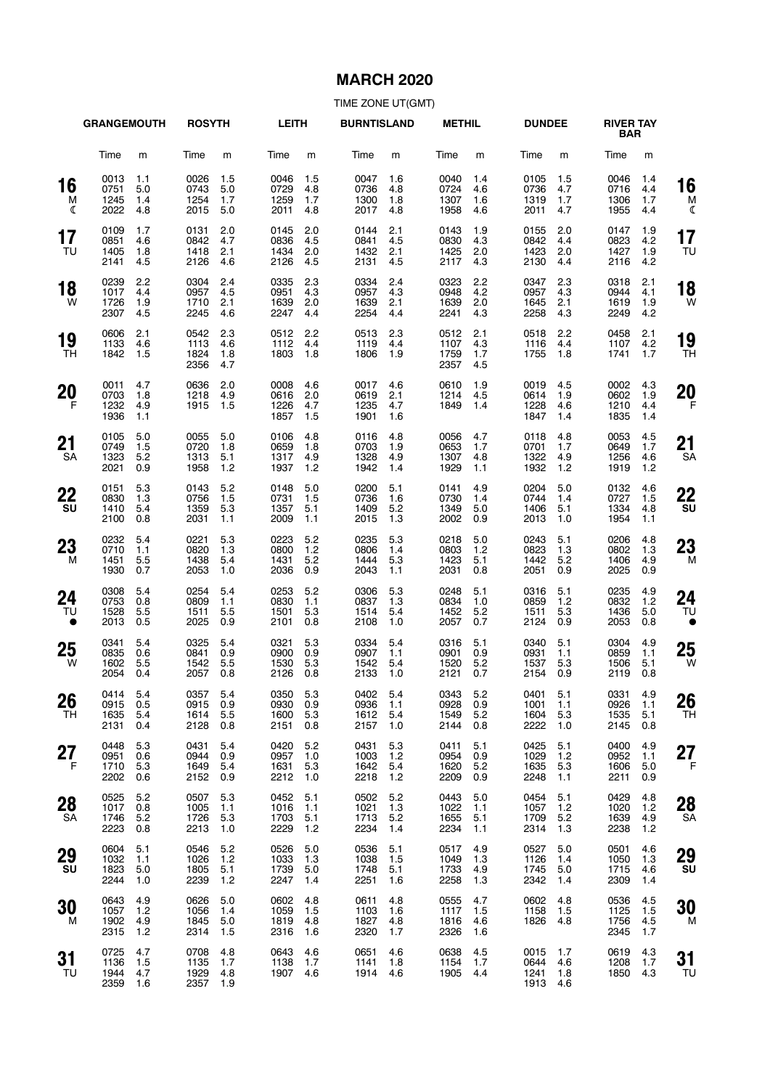## **MARCH 2020**

|                       | <b>GRANGEMOUTH</b>               |                          | <b>ROSYTH</b>                    |                          | <b>LEITH</b>                     |                          | <b>BURNTISLAND</b>               |                            | <b>METHIL</b>                    |                          | <b>DUNDEE</b>                    |                            | <b>RIVER TAY</b><br><b>BAR</b> |                          |                       |
|-----------------------|----------------------------------|--------------------------|----------------------------------|--------------------------|----------------------------------|--------------------------|----------------------------------|----------------------------|----------------------------------|--------------------------|----------------------------------|----------------------------|--------------------------------|--------------------------|-----------------------|
|                       | Time                             | m                        | Time                             | m                        | Time                             | m                        | Time                             | m                          | Time                             | m                        | Time                             | m                          | Time                           | m                        |                       |
| 16<br>M<br>ℭ          | 0013<br>0751<br>1245<br>2022     | 1.1<br>5.0<br>1.4<br>4.8 | 0026<br>0743<br>1254<br>2015     | 1.5<br>5.0<br>1.7<br>5.0 | 0046<br>0729<br>1259<br>2011     | 1.5<br>4.8<br>1.7<br>4.8 | 0047<br>0736<br>1300<br>2017     | 1.6<br>4.8<br>1.8<br>4.8   | 0040<br>0724<br>1307<br>1958     | 1.4<br>4.6<br>1.6<br>4.6 | 0105<br>0736<br>1319<br>2011     | 1.5<br>4.7<br>1.7<br>4.7   | 0046<br>0716<br>1306<br>1955   | 1.4<br>4.4<br>1.7<br>4.4 | 16<br>M<br>ℭ          |
| 17<br>TU              | 0109<br>0851<br>1405<br>2141     | 1.7<br>4.6<br>1.8<br>4.5 | 0131<br>0842<br>1418<br>2126     | 2.0<br>4.7<br>2.1<br>4.6 | 0145<br>0836<br>1434<br>2126     | 2.0<br>4.5<br>2.0<br>4.5 | 0144<br>0841<br>1432<br>2131     | 2.1<br>4.5<br>2.1<br>4.5   | 0143<br>0830<br>1425<br>2117     | 1.9<br>4.3<br>2.0<br>4.3 | 0155<br>0842<br>1423<br>2130     | 2.0<br>4.4<br>2.0<br>4.4   | 0147<br>0823<br>1427<br>2116   | 1.9<br>4.2<br>1.9<br>4.2 | 17<br>TU              |
| 18<br>W               | 0239<br>1017<br>1726<br>2307     | 2.2<br>4.4<br>1.9<br>4.5 | 0304<br>0957<br>1710<br>2245     | 2.4<br>4.5<br>2.1<br>4.6 | 0335<br>0951<br>1639<br>2247     | 2.3<br>4.3<br>2.0<br>4.4 | 0334<br>0957<br>1639<br>2254     | 2.4<br>4.3<br>2.1<br>4.4   | 0323<br>0948<br>1639<br>2241     | 2.2<br>4.2<br>2.0<br>4.3 | 0347<br>0957<br>1645<br>2258     | 2.3<br>4.3<br>2.1<br>4.3   | 0318<br>0944<br>1619<br>2249   | 2.1<br>4.1<br>1.9<br>4.2 | 18<br>W               |
| 19<br>TН              | 0606<br>1133<br>1842             | 2.1<br>4.6<br>1.5        | 0542<br>1113<br>1824<br>2356     | 2.3<br>4.6<br>1.8<br>4.7 | 0512<br>1112<br>1803             | 2.2<br>4.4<br>1.8        | 0513<br>1119<br>1806             | 2.3<br>4.4<br>1.9          | 0512<br>1107<br>1759<br>2357     | 2.1<br>4.3<br>1.7<br>4.5 | 0518<br>1116<br>1755             | 2.2<br>4.4<br>1.8          | 0458<br>1107<br>1741           | 2.1<br>4.2<br>1.7        | 19<br>TН              |
| 20<br>F               | 0011<br>0703<br>1232<br>1936     | 4.7<br>1.8<br>4.9<br>1.1 | 0636<br>1218<br>1915             | 2.0<br>4.9<br>1.5        | 0008<br>0616<br>1226<br>1857     | 4.6<br>2.0<br>4.7<br>1.5 | 0017<br>0619<br>1235<br>1901     | 4.6<br>2.1<br>4.7<br>1.6   | 0610<br>1214<br>1849             | 1.9<br>4.5<br>1.4        | 0019<br>0614<br>1228<br>1847     | 4.5<br>1.9<br>4.6<br>1.4   | 0002<br>0602<br>1210<br>1835   | 4.3<br>1.9<br>4.4<br>1.4 | 20<br>F               |
| 21<br>SA              | 0105<br>0749<br>1323<br>2021     | 5.0<br>1.5<br>5.2<br>0.9 | 0055<br>0720<br>1313<br>1958     | 5.0<br>1.8<br>5.1<br>1.2 | 0106<br>0659<br>1317<br>1937     | 4.8<br>1.8<br>4.9<br>1.2 | 0116<br>0703<br>1328<br>1942     | 4.8<br>1.9<br>4.9<br>1.4   | 0056<br>0653<br>1307<br>1929     | 4.7<br>1.7<br>4.8<br>1.1 | 0118<br>0701<br>1322<br>1932     | 4.8<br>1.7<br>4.9<br>1.2   | 0053<br>0649<br>1256<br>1919   | 4.5<br>1.7<br>4.6<br>1.2 | 21<br><b>SA</b>       |
| 22<br>SU              | 0151<br>0830<br>1410<br>2100     | 5.3<br>1.3<br>5.4<br>0.8 | 0143<br>0756<br>1359<br>2031     | 5.2<br>1.5<br>5.3<br>1.1 | 0148<br>0731<br>1357<br>2009     | 5.0<br>1.5<br>5.1<br>1.1 | 0200<br>0736<br>1409<br>2015     | 5.1<br>1.6<br>5.2<br>1.3   | 0141<br>0730<br>1349<br>2002     | 4.9<br>1.4<br>5.0<br>0.9 | 0204<br>0744<br>1406<br>2013     | 5.0<br>1.4<br>5.1<br>1.0   | 0132<br>0727<br>1334<br>1954   | 4.6<br>1.5<br>4.8<br>1.1 | 22<br>SU              |
| 23<br>M               | 0232<br>0710<br>1451<br>1930     | 5.4<br>1.1<br>5.5<br>0.7 | 0221<br>0820<br>1438<br>2053     | 5.3<br>1.3<br>5.4<br>1.0 | 0223<br>0800<br>1431<br>2036     | 5.2<br>1.2<br>5.2<br>0.9 | 0235<br>0806<br>1444<br>2043     | 5.3<br>1.4<br>5.3<br>1.1   | 0218<br>0803<br>1423<br>2031     | 5.0<br>1.2<br>5.1<br>0.8 | 0243<br>0823<br>1442<br>2051     | 5.1<br>1.3<br>5.2<br>0.9   | 0206<br>0802<br>1406<br>2025   | 4.8<br>1.3<br>4.9<br>0.9 | 23<br>M               |
| 24<br>TU<br>$\bullet$ | 0308<br>0753<br>1528<br>2013     | 5.4<br>0.8<br>5.5<br>0.5 | 0254<br>0809<br>1511<br>2025     | 5.4<br>1.1<br>5.5<br>0.9 | 0253<br>0830<br>1501<br>2101     | 5.2<br>1.1<br>5.3<br>0.8 | 0306<br>0837<br>1514<br>2108     | 5.3<br>1.3<br>5.4<br>1.0   | 0248<br>0834<br>1452<br>2057     | 5.1<br>1.0<br>5.2<br>0.7 | 0316<br>0859<br>1511<br>2124     | 5.1<br>1.2<br>5.3<br>0.9   | 0235<br>0832<br>1436<br>2053   | 4.9<br>1.2<br>5.0<br>0.8 | 24<br>TU<br>$\bullet$ |
| 25<br>W               | 0341<br>0835<br>1602<br>2054     | 5.4<br>0.6<br>5.5<br>0.4 | 0325<br>0841<br>1542<br>2057     | 5.4<br>0.9<br>5.5<br>0.8 | 0321<br>0900<br>1530<br>2126     | 5.3<br>0.9<br>5.3<br>0.8 | 0334<br>0907<br>1542<br>2133     | 5.4<br>1.1<br>5.4<br>1.0   | 0316<br>0901<br>1520<br>2121     | 5.1<br>0.9<br>5.2<br>0.7 | 0340<br>0931<br>1537<br>2154     | 5.1<br>1.1<br>5.3<br>0.9   | 0304<br>0859<br>1506<br>2119   | 4.9<br>1.1<br>5.1<br>0.8 | 25<br>W               |
| 26<br>TН              | 0414 5.4<br>0915<br>1635<br>2131 | 0.5<br>5.4<br>0.4        | 0357 5.4<br>0915<br>1614<br>2128 | 0.9<br>5.5<br>0.8        | 0350 5.3<br>0930<br>1600<br>2151 | 0.9<br>5.3<br>0.8        | 0402 5.4<br>0936<br>1612<br>2157 | 1.1<br>5.4<br>1.0          | 0343 5.2<br>0928<br>1549<br>2144 | 0.9<br>5.2<br>0.8        | 0401 5.1<br>1001<br>1604<br>2222 | 1.1<br>5.3<br>1.0          | 0331<br>0926<br>1535<br>2145   | 4.9<br>1.1<br>5.1<br>0.8 | 26<br>TН              |
| 27<br>F               | 0448<br>0951<br>1710<br>2202     | 5.3<br>0.6<br>5.3<br>0.6 | 0431<br>0944<br>1649<br>2152     | 5.4<br>0.9<br>5.4<br>0.9 | 0420<br>0957<br>1631<br>2212     | 5.2<br>1.0<br>5.3<br>1.0 | 0431<br>1003<br>1642<br>2218     | 5.3<br>1.2<br>5.4<br>$1.2$ | 0411<br>0954<br>1620<br>2209     | 5.1<br>0.9<br>5.2<br>0.9 | 0425<br>1029<br>1635<br>2248     | 5.1<br>$1.2$<br>5.3<br>1.1 | 0400<br>0952<br>1606<br>2211   | 4.9<br>1.1<br>5.0<br>0.9 | 27<br>F               |
| 28<br><b>SA</b>       | 0525<br>1017<br>1746<br>2223     | 5.2<br>0.8<br>5.2<br>0.8 | 0507<br>1005<br>1726<br>2213     | 5.3<br>1.1<br>5.3<br>1.0 | 0452<br>1016<br>1703<br>2229     | 5.1<br>1.1<br>5.1<br>1.2 | 0502<br>1021<br>1713<br>2234     | 5.2<br>1.3<br>5.2<br>1.4   | 0443<br>1022<br>1655<br>2234     | 5.0<br>1.1<br>5.1<br>1.1 | 0454<br>1057<br>1709<br>2314     | 5.1<br>$1.2$<br>5.2<br>1.3 | 0429<br>1020<br>1639<br>2238   | 4.8<br>1.2<br>4.9<br>1.2 | 28<br><b>SA</b>       |
| 29<br>SU              | 0604<br>1032<br>1823<br>2244     | 5.1<br>1.1<br>5.0<br>1.0 | 0546<br>1026<br>1805<br>2239     | 5.2<br>1.2<br>5.1<br>1.2 | 0526<br>1033<br>1739<br>2247     | 5.0<br>1.3<br>5.0<br>1.4 | 0536<br>1038<br>1748<br>2251     | 5.1<br>1.5<br>5.1<br>1.6   | 0517<br>1049<br>1733<br>2258     | 4.9<br>1.3<br>4.9<br>1.3 | 0527<br>1126<br>1745<br>2342     | 5.0<br>1.4<br>5.0<br>1.4   | 0501<br>1050<br>1715<br>2309   | 4.6<br>1.3<br>4.6<br>1.4 | 29<br>SU              |
| 30<br>м               | 0643<br>1057<br>1902<br>2315     | 4.9<br>1.2<br>4.9<br>1.2 | 0626<br>1056<br>1845<br>2314     | 5.0<br>1.4<br>5.0<br>1.5 | 0602<br>1059<br>1819<br>2316     | 4.8<br>1.5<br>4.8<br>1.6 | 0611<br>1103<br>1827<br>2320     | 4.8<br>1.6<br>4.8<br>1.7   | 0555<br>1117<br>1816<br>2326     | 4.7<br>1.5<br>4.6<br>1.6 | 0602<br>1158<br>1826             | 4.8<br>1.5<br>4.8          | 0536<br>1125<br>1756<br>2345   | 4.5<br>1.5<br>4.5<br>1.7 | 30<br>M               |
| 31<br>TU              | 0725<br>1136<br>1944<br>2359     | 4.7<br>1.5<br>4.7<br>1.6 | 0708<br>1135<br>1929<br>2357     | 4.8<br>1.7<br>4.8<br>1.9 | 0643<br>1138<br>1907             | 4.6<br>1.7<br>4.6        | 0651<br>1141<br>1914             | 4.6<br>1.8<br>4.6          | 0638<br>1154<br>1905             | 4.5<br>1.7<br>4.4        | 0015<br>0644<br>1241<br>1913     | 1.7<br>4.6<br>1.8<br>4.6   | 0619<br>1208<br>1850           | 4.3<br>1.7<br>4.3        | 31<br>TU              |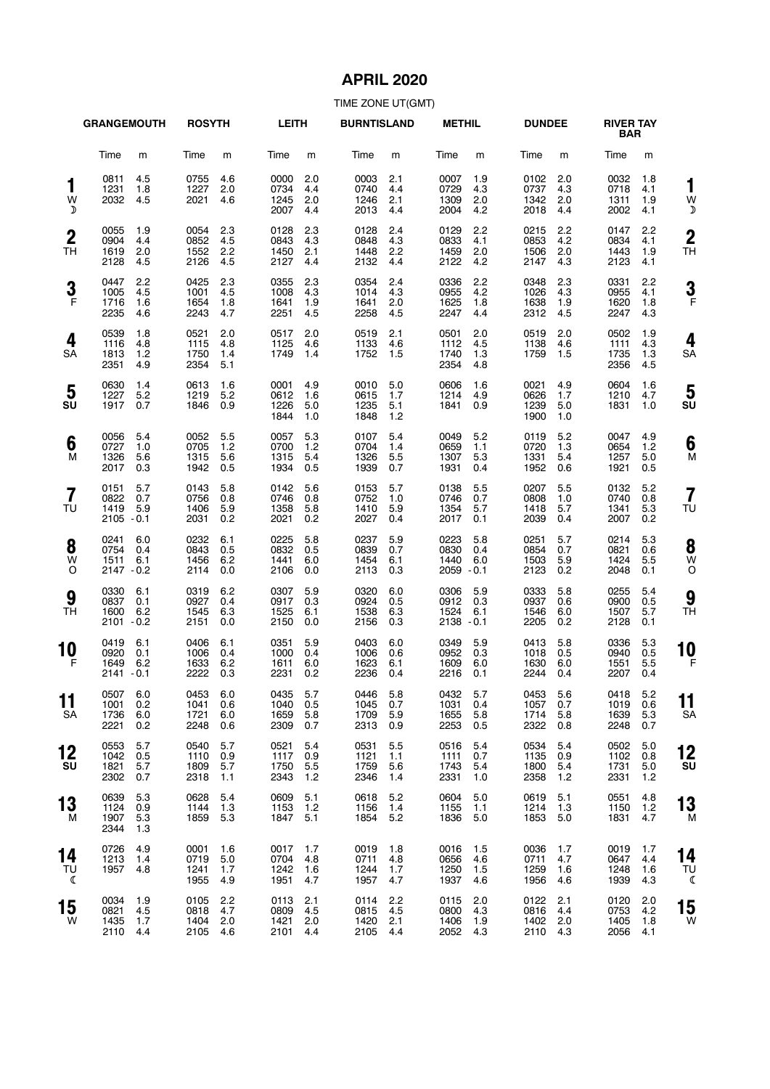# **APRIL 2020**

|                               | <b>GRANGEMOUTH</b>                                        | <b>ROSYTH</b>                                            | <b>LEITH</b>                                             | <b>BURNTISLAND</b>                                       | <b>METHIL</b>                                             | <b>DUNDEE</b>                                              | <b>RIVER TAY</b><br><b>BAR</b>                             |                    |
|-------------------------------|-----------------------------------------------------------|----------------------------------------------------------|----------------------------------------------------------|----------------------------------------------------------|-----------------------------------------------------------|------------------------------------------------------------|------------------------------------------------------------|--------------------|
|                               | Time<br>m                                                 | Time<br>m                                                | Time<br>m                                                | Time<br>m                                                | Time<br>m                                                 | Time<br>m                                                  | Time<br>m                                                  |                    |
| 1<br>W<br>♪                   | 0811<br>4.5<br>1231<br>1.8<br>2032<br>4.5                 | 4.6<br>0755<br>2.0<br>1227<br>2021<br>4.6                | 0000<br>2.0<br>0734<br>4.4<br>1245<br>2.0<br>2007<br>4.4 | 0003<br>2.1<br>0740<br>4.4<br>1246<br>2.1<br>2013<br>4.4 | 1.9<br>0007<br>0729<br>4.3<br>1309<br>2.0<br>2004<br>4.2  | 2.0<br>0102<br>0737<br>4.3<br>1342<br>2.0<br>2018<br>4.4   | 1.8<br>0032<br>0718<br>4.1<br>1311<br>1.9<br>2002<br>4.1   | 1<br>W<br>Σ        |
| $\boldsymbol{2}$<br><b>TH</b> | 0055<br>1.9<br>0904<br>4.4<br>1619<br>2.0<br>2128<br>4.5  | 2.3<br>0054<br>0852<br>4.5<br>1552<br>2.2<br>2126<br>4.5 | 0128<br>2.3<br>0843<br>4.3<br>1450<br>2.1<br>2127<br>4.4 | 0128<br>2.4<br>0848<br>4.3<br>1448<br>2.2<br>2132<br>4.4 | 0129<br>2.2<br>0833<br>4.1<br>1459<br>2.0<br>2122<br>4.2  | 2.2<br>0215<br>0853<br>4.2<br>1506<br>2.0<br>2147<br>4.3   | 2.2<br>0147<br>0834<br>4.1<br>1443<br>1.9<br>2123<br>4.1   | $\mathbf{2}$<br>ΤH |
| 3<br>$\mathsf{F}$             | 0447<br>2.2<br>1005<br>4.5<br>1716<br>1.6<br>2235<br>4.6  | 0425<br>2.3<br>1001<br>4.5<br>1654<br>1.8<br>2243<br>4.7 | 0355<br>2.3<br>4.3<br>1008<br>1641<br>1.9<br>2251<br>4.5 | 0354<br>2.4<br>1014<br>4.3<br>1641<br>2.0<br>2258<br>4.5 | 0336<br>2.2<br>0955<br>4.2<br>1625<br>1.8<br>2247<br>4.4  | 0348<br>2.3<br>1026<br>4.3<br>1638<br>1.9<br>2312<br>4.5   | 0331<br>2.2<br>0955<br>4.1<br>1620<br>1.8<br>2247<br>4.3   | 3<br>F             |
| 4<br>SA                       | 0539<br>1.8<br>1116<br>4.8<br>1813<br>1.2<br>2351<br>4.9  | 2.0<br>0521<br>1115<br>4.8<br>1750<br>1.4<br>2354<br>5.1 | 2.0<br>0517<br>1125<br>4.6<br>1749<br>1.4                | 0519<br>2.1<br>1133<br>4.6<br>1752<br>1.5                | 2.0<br>0501<br>1112<br>4.5<br>1740<br>1.3<br>2354<br>4.8  | 2.0<br>0519<br>1138<br>4.6<br>1759<br>1.5                  | 0502<br>1.9<br>1111<br>4.3<br>1735<br>1.3<br>2356<br>4.5   | 4<br>SΑ            |
| 5<br>SU                       | 0630<br>1.4<br>1227<br>5.2<br>1917<br>0.7                 | 0613<br>1.6<br>1219<br>5.2<br>1846<br>0.9                | 4.9<br>0001<br>0612<br>1.6<br>1226<br>5.0<br>1844<br>1.0 | 5.0<br>0010<br>0615<br>1.7<br>1235<br>5.1<br>1848<br>1.2 | 0606<br>1.6<br>1214<br>4.9<br>1841<br>0.9                 | 4.9<br>0021<br>0626<br>1.7<br>1239<br>5.0<br>1900<br>1.0   | 0604<br>1.6<br>1210<br>4.7<br>1831<br>1.0                  | 5<br>SU            |
| 6<br>M                        | 0056<br>5.4<br>0727<br>1.0<br>1326<br>5.6<br>2017<br>0.3  | 0052<br>5.5<br>0705<br>1.2<br>1315<br>5.6<br>1942<br>0.5 | 0057<br>5.3<br>0700<br>1.2<br>1315<br>5.4<br>1934<br>0.5 | 0107<br>5.4<br>0704<br>1.4<br>1326<br>5.5<br>1939<br>0.7 | 0049<br>5.2<br>0659<br>1.1<br>1307<br>5.3<br>1931<br>0.4  | 5.2<br>0119<br>0720<br>1.3<br>1331<br>5.4<br>1952<br>0.6   | 4.9<br>0047<br>0654<br>1.2<br>1257<br>5.0<br>1921<br>0.5   | 6<br>M             |
| $\overline{\mathbf{7}}$<br>TU | 0151<br>5.7<br>0822<br>0.7<br>1419<br>5.9<br>2105 - 0.1   | 5.8<br>0143<br>0756<br>0.8<br>1406<br>5.9<br>2031<br>0.2 | 5.6<br>0142<br>0746<br>0.8<br>1358<br>5.8<br>2021<br>0.2 | 0153<br>5.7<br>0752<br>1.0<br>1410<br>5.9<br>2027<br>0.4 | 0138<br>5.5<br>0746<br>0.7<br>1354<br>5.7<br>2017<br>0.1  | 0207<br>5.5<br>0808<br>1.0<br>1418<br>5.7<br>2039<br>0.4   | 5.2<br>0132<br>0740<br>0.8<br>1341<br>5.3<br>2007<br>0.2   | 7<br>TU            |
| 8<br>W<br>O                   | 0241<br>6.0<br>0754<br>0.4<br>1511<br>6.1<br>2147 - 0.2   | 0232<br>6.1<br>0843<br>0.5<br>6.2<br>1456<br>2114<br>0.0 | 0225<br>5.8<br>0832<br>0.5<br>1441<br>6.0<br>2106<br>0.0 | 5.9<br>0237<br>0839<br>0.7<br>1454<br>6.1<br>2113<br>0.3 | 5.8<br>0223<br>0830<br>0.4<br>1440<br>6.0<br>$2059 - 0.1$ | 5.7<br>0251<br>0854<br>0.7<br>1503<br>5.9<br>2123<br>0.2   | 5.3<br>0214<br>0821<br>0.6<br>1424<br>5.5<br>2048<br>0.1   | 8<br>W<br>C        |
| 9<br>TН                       | 0330<br>6.1<br>0837<br>0.1<br>1600<br>6.2<br>$2101 - 0.2$ | 6.2<br>0319<br>0927<br>0.4<br>1545<br>6.3<br>2151<br>0.0 | 0307<br>5.9<br>0917<br>0.3<br>1525<br>6.1<br>2150<br>0.0 | 0320<br>6.0<br>0924<br>0.5<br>1538<br>6.3<br>2156<br>0.3 | 0306<br>5.9<br>0912<br>0.3<br>1524<br>6.1<br>$2138 - 0.1$ | 0333<br>5.8<br>0937<br>0.6<br>1546<br>6.0<br>2205<br>0.2   | 0255<br>5.4<br>0900<br>0.5<br>1507<br>5.7<br>2128<br>0.1   | 9<br>ΤH            |
| 10<br>F                       | 0419<br>6.1<br>0920<br>0.1<br>1649<br>6.2<br>2141 - 0.1   | 0406<br>6.1<br>1006<br>0.4<br>1633<br>6.2<br>2222<br>0.3 | 0351<br>5.9<br>1000<br>0.4<br>1611<br>6.0<br>2231<br>0.2 | 0403<br>6.0<br>1006<br>0.6<br>1623<br>6.1<br>2236<br>0.4 | 0349<br>5.9<br>0952<br>0.3<br>1609<br>6.0<br>2216<br>0.1  | 0413<br>5.8<br>1018<br>0.5<br>1630<br>6.0<br>2244<br>0.4   | 0336<br>5.3<br>0940<br>0.5<br>1551<br>5.5<br>2207<br>0.4   | 10<br>F            |
| 11<br>SA                      | 0507 6.0<br>1001<br>0.2<br>1736<br>6.0<br>2221<br>0.2     | 0453 6.0<br>1041<br>0.6<br>1721<br>6.0<br>2248<br>0.6    | 0435 5.7<br>1040<br>0.5<br>1659<br>5.8<br>2309<br>0.7    | 0446 5.8<br>1045<br>0.7<br>1709<br>5.9<br>2313<br>0.9    | 0432 5.7<br>1031<br>0.4<br>1655<br>5.8<br>2253<br>0.5     | 0453 5.6<br>1057<br>0.7<br>1714<br>5.8<br>2322<br>0.8      | 0418<br>5.2<br>1019<br>0.6<br>1639<br>5.3<br>2248<br>0.7   | 11<br>SΑ           |
| 12<br>SU                      | 0553<br>5.7<br>1042<br>0.5<br>1821<br>5.7<br>2302<br>0.7  | 0540<br>5.7<br>1110<br>0.9<br>1809<br>5.7<br>2318<br>1.1 | 0521<br>5.4<br>1117<br>0.9<br>1750<br>5.5<br>2343<br>1.2 | 0531<br>5.5<br>1121<br>1.1<br>5.6<br>1759<br>2346<br>1.4 | 0516<br>5.4<br>1111<br>0.7<br>1743<br>5.4<br>2331<br>1.0  | 0534<br>5.4<br>1135<br>0.9<br>1800<br>5.4<br>2358<br>$1.2$ | 0502<br>5.0<br>1102<br>0.8<br>1731<br>5.0<br>2331<br>$1.2$ | 12<br>SU           |
| 13<br>м                       | 0639<br>5.3<br>1124<br>0.9<br>1907<br>5.3<br>2344<br>1.3  | 0628<br>5.4<br>1144<br>1.3<br>1859<br>5.3                | 0609<br>5.1<br>1153<br>1.2<br>1847<br>5.1                | 0618<br>5.2<br>1156<br>1.4<br>1854<br>5.2                | 0604<br>5.0<br>1155<br>1.1<br>1836<br>5.0                 | 0619<br>5.1<br>1214<br>1.3<br>1853<br>5.0                  | 0551<br>4.8<br>1150<br>$1.2$<br>1831<br>4.7                | 13<br>M            |
| 14<br>TU<br>ℂ                 | 0726<br>4.9<br>1213<br>1.4<br>1957<br>4.8                 | 0001<br>1.6<br>0719<br>5.0<br>1241<br>1.7<br>1955<br>4.9 | 0017<br>1.7<br>0704<br>4.8<br>1242<br>1.6<br>1951<br>4.7 | 0019<br>1.8<br>4.8<br>0711<br>1244<br>1.7<br>1957<br>4.7 | 0016<br>1.5<br>0656<br>4.6<br>1250<br>1.5<br>1937<br>4.6  | 0036<br>1.7<br>0711<br>4.7<br>1259<br>1.6<br>1956<br>4.6   | 0019<br>1.7<br>4.4<br>0647<br>1248<br>1.6<br>1939<br>4.3   | 14<br>ТU<br>ℭ      |
| 15<br>W                       | 0034<br>1.9<br>0821<br>4.5<br>1435<br>1.7<br>2110<br>4.4  | 0105<br>2.2<br>0818<br>4.7<br>1404<br>2.0<br>2105<br>4.6 | 0113<br>2.1<br>0809<br>4.5<br>1421<br>2.0<br>2101<br>4.4 | 0114<br>2.2<br>0815<br>4.5<br>1420<br>2.1<br>2105<br>4.4 | 0115<br>2.0<br>0800<br>4.3<br>1406<br>1.9<br>2052<br>4.3  | 0122<br>2.1<br>0816<br>4.4<br>1402 2.0<br>2110<br>4.3      | 0120<br>2.0<br>0753<br>4.2<br>1405<br>1.8<br>2056<br>4.1   | 15<br>W            |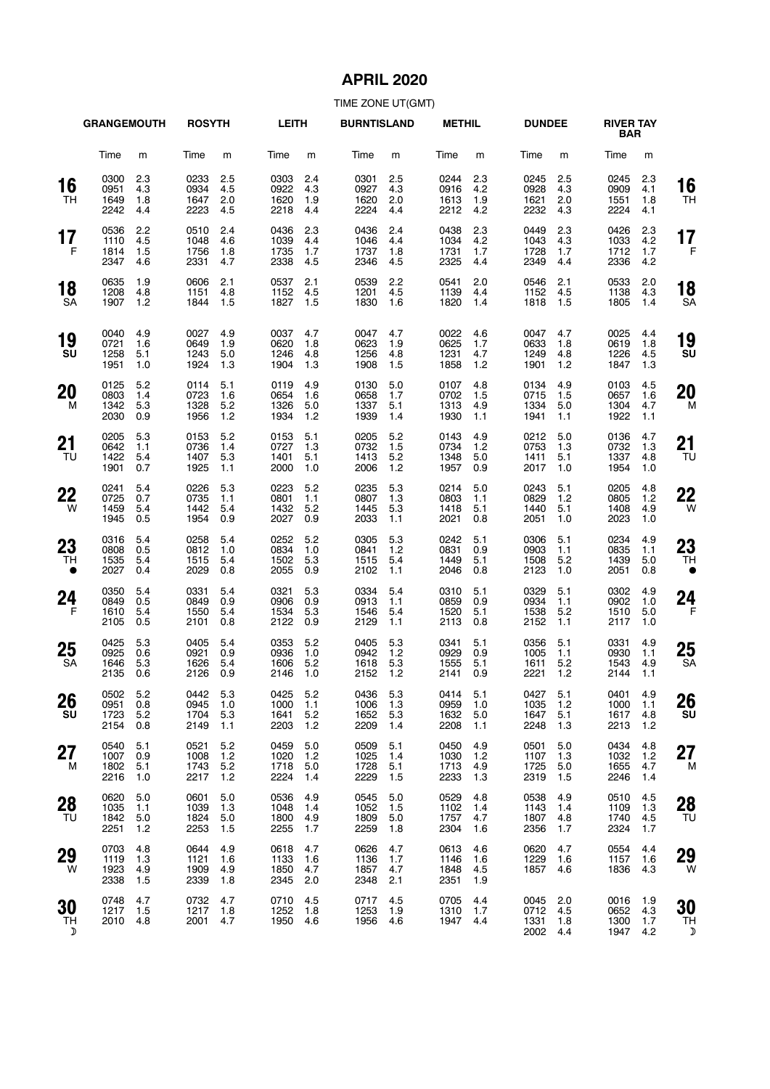# **APRIL 2020**

|                       | <b>GRANGEMOUTH</b>           |                          | <b>ROSYTH</b>                    |                          | LEITH                            |                          | <b>BURNTISLAND</b>               |                          | <b>METHIL</b>                    |                          | <b>DUNDEE</b>                    |                          | <b>RIVER TAY</b><br>BAR      |                            |                 |
|-----------------------|------------------------------|--------------------------|----------------------------------|--------------------------|----------------------------------|--------------------------|----------------------------------|--------------------------|----------------------------------|--------------------------|----------------------------------|--------------------------|------------------------------|----------------------------|-----------------|
|                       | Time                         | m                        | Time                             | m                        | Time                             | m                        | Time                             | m                        | Time                             | m                        | Time                             | m                        | Time                         | m                          |                 |
| 16<br>TH              | 0300<br>0951<br>1649<br>2242 | 2.3<br>4.3<br>1.8<br>4.4 | 0233<br>0934<br>1647<br>2223     | 2.5<br>4.5<br>2.0<br>4.5 | 0303<br>0922<br>1620<br>2218     | 2.4<br>4.3<br>1.9<br>4.4 | 0301<br>0927<br>1620<br>2224     | 2.5<br>4.3<br>2.0<br>4.4 | 0244<br>0916<br>1613<br>2212     | 2.3<br>4.2<br>1.9<br>4.2 | 0245<br>0928<br>1621<br>2232     | 2.5<br>4.3<br>2.0<br>4.3 | 0245<br>0909<br>1551<br>2224 | 2.3<br>4.1<br>1.8<br>4.1   | 16<br>TН        |
| 17<br>F               | 0536<br>1110<br>1814<br>2347 | 2.2<br>4.5<br>1.5<br>4.6 | 0510<br>1048<br>1756<br>2331     | 2.4<br>4.6<br>1.8<br>4.7 | 0436<br>1039<br>1735<br>2338     | 2.3<br>4.4<br>1.7<br>4.5 | 0436<br>1046<br>1737<br>2346     | 2.4<br>4.4<br>1.8<br>4.5 | 0438<br>1034<br>1731<br>2325     | 2.3<br>4.2<br>1.7<br>4.4 | 0449<br>1043<br>1728<br>2349     | 2.3<br>4.3<br>1.7<br>4.4 | 0426<br>1033<br>1712<br>2336 | 2.3<br>4.2<br>1.7<br>4.2   | 17<br>F         |
| 18<br>SA              | 0635<br>1208<br>1907         | 1.9<br>4.8<br>1.2        | 0606<br>1151<br>1844             | 2.1<br>4.8<br>1.5        | 0537<br>1152<br>1827             | 2.1<br>4.5<br>1.5        | 0539<br>1201<br>1830             | 2.2<br>4.5<br>1.6        | 0541<br>1139<br>1820             | 2.0<br>4.4<br>1.4        | 0546<br>1152<br>1818             | 2.1<br>4.5<br>1.5        | 0533<br>1138<br>1805         | 2.0<br>4.3<br>1.4          | 18<br>SА        |
| 19<br>SU              | 0040<br>0721<br>1258<br>1951 | 4.9<br>1.6<br>5.1<br>1.0 | 0027<br>0649<br>1243<br>1924     | 4.9<br>1.9<br>5.0<br>1.3 | 0037<br>0620<br>1246<br>1904     | 4.7<br>1.8<br>4.8<br>1.3 | 0047<br>0623<br>1256<br>1908     | 4.7<br>1.9<br>4.8<br>1.5 | 0022<br>0625<br>1231<br>1858     | 4.6<br>1.7<br>4.7<br>1.2 | 0047<br>0633<br>1249<br>1901     | 4.7<br>1.8<br>4.8<br>1.2 | 0025<br>0619<br>1226<br>1847 | 4.4<br>1.8<br>4.5<br>1.3   | 19<br>SU        |
| 20<br>м               | 0125<br>0803<br>1342<br>2030 | 5.2<br>1.4<br>5.3<br>0.9 | 0114<br>0723<br>1328<br>1956     | 5.1<br>1.6<br>5.2<br>1.2 | 0119<br>0654<br>1326<br>1934     | 4.9<br>1.6<br>5.0<br>1.2 | 0130<br>0658<br>1337<br>1939     | 5.0<br>1.7<br>5.1<br>1.4 | 0107<br>0702<br>1313<br>1930     | 4.8<br>1.5<br>4.9<br>1.1 | 0134<br>0715<br>1334<br>1941     | 4.9<br>1.5<br>5.0<br>1.1 | 0103<br>0657<br>1304<br>1922 | 4.5<br>1.6<br>4.7<br>1.1   | 20<br>M         |
| 21<br>TU              | 0205<br>0642<br>1422<br>1901 | 5.3<br>1.1<br>5.4<br>0.7 | 0153<br>0736<br>1407<br>1925     | 5.2<br>1.4<br>5.3<br>1.1 | 0153<br>0727<br>1401<br>2000     | 5.1<br>1.3<br>5.1<br>1.0 | 0205<br>0732<br>1413<br>2006     | 5.2<br>1.5<br>5.2<br>1.2 | 0143<br>0734<br>1348<br>1957     | 4.9<br>1.2<br>5.0<br>0.9 | 0212<br>0753<br>1411<br>2017     | 5.0<br>1.3<br>5.1<br>1.0 | 0136<br>0732<br>1337<br>1954 | 4.7<br>1.3<br>4.8<br>1.0   | 21<br>TU        |
| 22<br>W               | 0241<br>0725<br>1459<br>1945 | 5.4<br>0.7<br>5.4<br>0.5 | 0226<br>0735<br>1442<br>1954     | 5.3<br>1.1<br>5.4<br>0.9 | 0223<br>0801<br>1432<br>2027     | 5.2<br>1.1<br>5.2<br>0.9 | 0235<br>0807<br>1445<br>2033     | 5.3<br>1.3<br>5.3<br>1.1 | 0214<br>0803<br>1418<br>2021     | 5.0<br>1.1<br>5.1<br>0.8 | 0243<br>0829<br>1440<br>2051     | 5.1<br>1.2<br>5.1<br>1.0 | 0205<br>0805<br>1408<br>2023 | 4.8<br>1.2<br>4.9<br>1.0   | 22<br>W         |
| 23<br>TH<br>$\bullet$ | 0316<br>0808<br>1535<br>2027 | 5.4<br>0.5<br>5.4<br>0.4 | 0258<br>0812<br>1515<br>2029     | 5.4<br>1.0<br>5.4<br>0.8 | 0252<br>0834<br>1502<br>2055     | 5.2<br>1.0<br>5.3<br>0.9 | 0305<br>0841<br>1515<br>2102     | 5.3<br>1.2<br>5.4<br>1.1 | 0242<br>0831<br>1449<br>2046     | 5.1<br>0.9<br>5.1<br>0.8 | 0306<br>0903<br>1508<br>2123     | 5.1<br>1.1<br>5.2<br>1.0 | 0234<br>0835<br>1439<br>2051 | 4.9<br>1.1<br>5.0<br>0.8   | 23<br>TН        |
| 24<br>F               | 0350<br>0849<br>1610<br>2105 | 5.4<br>0.5<br>5.4<br>0.5 | 0331<br>0849<br>1550<br>2101     | 5.4<br>0.9<br>5.4<br>0.8 | 0321<br>0906<br>1534<br>2122     | 5.3<br>0.9<br>5.3<br>0.9 | 0334<br>0913<br>1546<br>2129     | 5.4<br>1.1<br>5.4<br>1.1 | 0310<br>0859<br>1520<br>2113     | 5.1<br>0.9<br>5.1<br>0.8 | 0329<br>0934<br>1538<br>2152     | 5.1<br>1.1<br>5.2<br>1.1 | 0302<br>0902<br>1510<br>2117 | 4.9<br>1.0<br>5.0<br>1.0   | 24<br>F         |
| 25<br>SA              | 0425<br>0925<br>1646<br>2135 | 5.3<br>0.6<br>5.3<br>0.6 | 0405<br>0921<br>1626<br>2126     | 5.4<br>0.9<br>5.4<br>0.9 | 0353<br>0936<br>1606<br>2146     | 5.2<br>1.0<br>5.2<br>1.0 | 0405<br>0942<br>1618<br>2152     | 5.3<br>1.2<br>5.3<br>1.2 | 0341<br>0929<br>1555<br>2141     | 5.1<br>0.9<br>5.1<br>0.9 | 0356<br>1005<br>1611<br>2221     | 5.1<br>1.1<br>5.2<br>1.2 | 0331<br>0930<br>1543<br>2144 | 4.9<br>1.1<br>4.9<br>1.1   | 25<br><b>SA</b> |
| 26<br>SU              | 0502<br>0951<br>1723<br>2154 | 5.2<br>0.8<br>5.2<br>0.8 | 0442 5.3<br>0945<br>1704<br>2149 | 1.0<br>5.3<br>1.1        | 0425 5.2<br>1000<br>1641<br>2203 | 1.1<br>5.2<br>1.2        | 0436 5.3<br>1006<br>1652<br>2209 | 1.3<br>5.3<br>1.4        | 0414 5.1<br>0959<br>1632<br>2208 | 1.0<br>5.0<br>1.1        | 0427 5.1<br>1035<br>1647<br>2248 | 1.2<br>5.1<br>1.3        | 0401<br>1000<br>1617<br>2213 | 4.9<br>1.1<br>4.8<br>1.2   | 26<br>SU        |
| 27<br>M               | 0540<br>1007<br>1802<br>2216 | 5.1<br>0.9<br>5.1<br>1.0 | 0521<br>1008<br>1743<br>2217     | 5.2<br>1.2<br>5.2<br>1.2 | 0459<br>1020<br>1718<br>2224     | 5.0<br>1.2<br>5.0<br>1.4 | 0509<br>1025<br>1728<br>2229     | 5.1<br>1.4<br>5.1<br>1.5 | 0450<br>1030<br>1713<br>2233     | 4.9<br>1.2<br>4.9<br>1.3 | 0501<br>1107<br>1725<br>2319     | 5.0<br>1.3<br>5.0<br>1.5 | 0434<br>1032<br>1655<br>2246 | 4.8<br>$1.2$<br>4.7<br>1.4 | 27<br>M         |
| 28<br>TU              | 0620<br>1035<br>1842<br>2251 | 5.0<br>1.1<br>5.0<br>1.2 | 0601<br>1039<br>1824<br>2253     | 5.0<br>1.3<br>5.0<br>1.5 | 0536<br>1048<br>1800<br>2255     | 4.9<br>1.4<br>4.9<br>1.7 | 0545<br>1052<br>1809<br>2259     | 5.0<br>1.5<br>5.0<br>1.8 | 0529<br>1102<br>1757<br>2304     | 4.8<br>1.4<br>4.7<br>1.6 | 0538<br>1143<br>1807<br>2356     | 4.9<br>1.4<br>4.8<br>1.7 | 0510<br>1109<br>1740<br>2324 | 4.5<br>1.3<br>4.5<br>1.7   | 28<br>TU        |
| 29<br>W               | 0703<br>1119<br>1923<br>2338 | 4.8<br>1.3<br>4.9<br>1.5 | 0644<br>1121<br>1909<br>2339     | 4.9<br>1.6<br>4.9<br>1.8 | 0618<br>1133<br>1850<br>2345     | 4.7<br>1.6<br>4.7<br>2.0 | 0626<br>1136<br>1857<br>2348     | 4.7<br>1.7<br>4.7<br>2.1 | 0613<br>1146<br>1848<br>2351     | 4.6<br>1.6<br>4.5<br>1.9 | 0620<br>1229<br>1857             | 4.7<br>1.6<br>4.6        | 0554<br>1157<br>1836         | 4.4<br>1.6<br>4.3          | 29<br>W         |
| 30<br>TH<br>D         | 0748<br>1217<br>2010         | 4.7<br>1.5<br>4.8        | 0732<br>1217<br>2001             | 4.7<br>1.8<br>4.7        | 0710<br>1252<br>1950 4.6         | 4.5<br>1.8               | 0717<br>1253<br>1956             | 4.5<br>1.9<br>4.6        | 0705<br>1310<br>1947             | 4.4<br>1.7<br>4.4        | 0045<br>0712<br>1331<br>2002     | 2.0<br>4.5<br>1.8<br>4.4 | 0016<br>0652<br>1300<br>1947 | 1.9<br>4.3<br>1.7<br>4.2   | 30<br>TН<br>D   |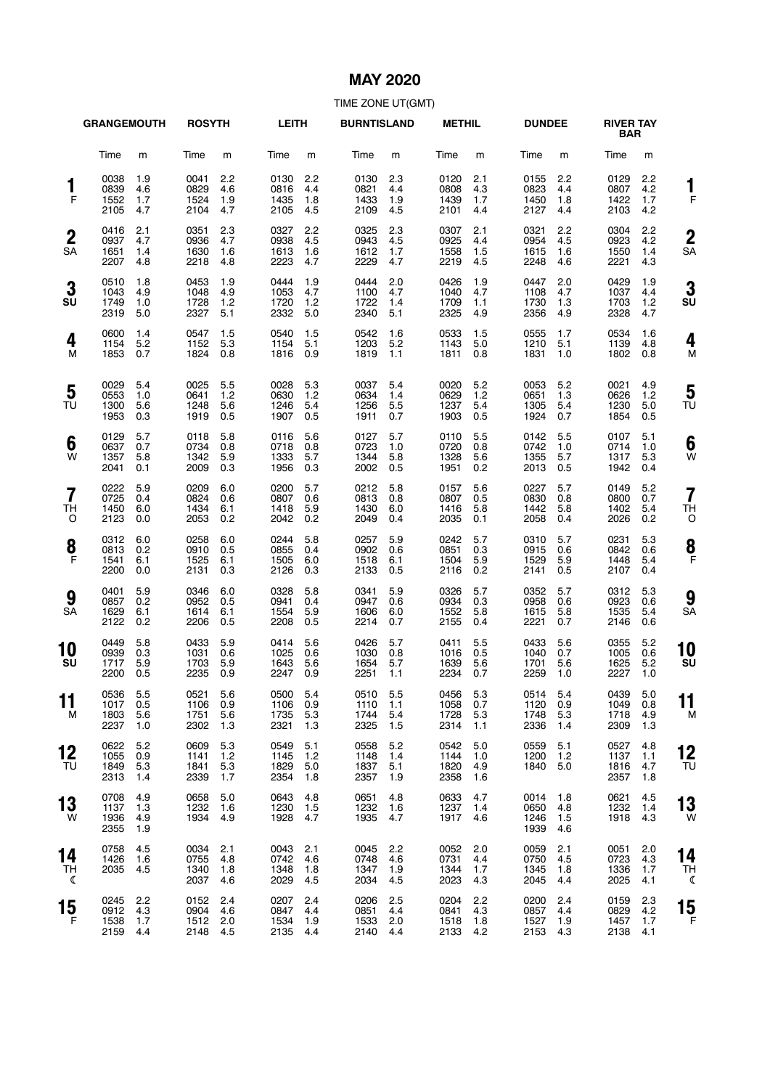### **MAY 2020**

|                                  | <b>GRANGEMOUTH</b>               |                          | <b>ROSYTH</b>                    |                          | LEITH                            |                          | <b>BURNTISLAND</b>               |                          | <b>METHIL</b>                    |                          | <b>DUNDEE</b>                    |                          | <b>RIVER TAY</b><br><b>BAR</b>   |                          |                      |
|----------------------------------|----------------------------------|--------------------------|----------------------------------|--------------------------|----------------------------------|--------------------------|----------------------------------|--------------------------|----------------------------------|--------------------------|----------------------------------|--------------------------|----------------------------------|--------------------------|----------------------|
|                                  | Time                             | m                        | Time                             | m                        | Time                             | m                        | Time                             | m                        | Time                             | m                        | Time                             | m                        | Time                             | m                        |                      |
| 1<br>F                           | 0038<br>0839<br>1552<br>2105     | 1.9<br>4.6<br>1.7<br>4.7 | 0041<br>0829<br>1524<br>2104     | 2.2<br>4.6<br>1.9<br>4.7 | 0130<br>0816<br>1435<br>2105     | 2.2<br>4.4<br>1.8<br>4.5 | 0130<br>0821<br>1433<br>2109     | 2.3<br>4.4<br>1.9<br>4.5 | 0120<br>0808<br>1439<br>2101     | 2.1<br>4.3<br>1.7<br>4.4 | 0155<br>0823<br>1450<br>2127     | 2.2<br>4.4<br>1.8<br>4.4 | 0129<br>0807<br>1422<br>2103     | 2.2<br>4.2<br>1.7<br>4.2 | 1<br>F               |
| $\boldsymbol{2}$<br><b>SA</b>    | 0416<br>0937<br>1651<br>2207     | 2.1<br>4.7<br>1.4<br>4.8 | 0351<br>0936<br>1630<br>2218     | 2.3<br>4.7<br>1.6<br>4.8 | 0327<br>0938<br>1613<br>2223     | 2.2<br>4.5<br>1.6<br>4.7 | 0325<br>0943<br>1612<br>2229     | 2.3<br>4.5<br>1.7<br>4.7 | 0307<br>0925<br>1558<br>2219     | 2.1<br>4.4<br>1.5<br>4.5 | 0321<br>0954<br>1615<br>2248     | 2.2<br>4.5<br>1.6<br>4.6 | 0304<br>0923<br>1550<br>2221     | 2.2<br>4.2<br>1.4<br>4.3 | $\overline{2}$<br>SA |
| 3<br>SU                          | 0510<br>1043<br>1749<br>2319     | 1.8<br>4.9<br>1.0<br>5.0 | 0453<br>1048<br>1728<br>2327     | 1.9<br>4.9<br>1.2<br>5.1 | 0444<br>1053<br>1720<br>2332     | 1.9<br>4.7<br>1.2<br>5.0 | 0444<br>1100<br>1722<br>2340     | 2.0<br>4.7<br>1.4<br>5.1 | 0426<br>1040<br>1709<br>2325     | 1.9<br>4.7<br>1.1<br>4.9 | 0447<br>1108<br>1730<br>2356     | 2.0<br>4.7<br>1.3<br>4.9 | 0429<br>1037<br>1703<br>2328     | 1.9<br>4.4<br>1.2<br>4.7 | 3<br>SU              |
| 4<br>м                           | 0600<br>1154<br>1853             | 1.4<br>5.2<br>0.7        | 0547<br>1152<br>1824             | 1.5<br>5.3<br>0.8        | 0540<br>1154<br>1816             | 1.5<br>5.1<br>0.9        | 0542<br>1203<br>1819             | 1.6<br>5.2<br>1.1        | 0533<br>1143<br>1811             | 1.5<br>5.0<br>0.8        | 0555<br>1210<br>1831             | 1.7<br>5.1<br>1.0        | 0534<br>1139<br>1802             | 1.6<br>4.8<br>0.8        | 4<br>M               |
| 5<br>TU                          | 0029<br>0553<br>1300<br>1953     | 5.4<br>1.0<br>5.6<br>0.3 | 0025<br>0641<br>1248<br>1919     | 5.5<br>1.2<br>5.6<br>0.5 | 0028<br>0630<br>1246<br>1907     | 5.3<br>1.2<br>5.4<br>0.5 | 0037<br>0634<br>1256<br>1911     | 5.4<br>1.4<br>5.5<br>0.7 | 0020<br>0629<br>1237<br>1903     | 5.2<br>1.2<br>5.4<br>0.5 | 0053<br>0651<br>1305<br>1924     | 5.2<br>1.3<br>5.4<br>0.7 | 0021<br>0626<br>1230<br>1854     | 4.9<br>1.2<br>5.0<br>0.5 | 5<br>TU              |
| 6<br>W                           | 0129<br>0637<br>1357<br>2041     | 5.7<br>0.7<br>5.8<br>0.1 | 0118<br>0734<br>1342<br>2009     | 5.8<br>0.8<br>5.9<br>0.3 | 0116<br>0718<br>1333<br>1956     | 5.6<br>0.8<br>5.7<br>0.3 | 0127<br>0723<br>1344<br>2002     | 5.7<br>1.0<br>5.8<br>0.5 | 0110<br>0720<br>1328<br>1951     | 5.5<br>0.8<br>5.6<br>0.2 | 0142<br>0742<br>1355<br>2013     | 5.5<br>1.0<br>5.7<br>0.5 | 0107<br>0714<br>1317<br>1942     | 5.1<br>1.0<br>5.3<br>0.4 | 6<br>W               |
| $\overline{7}$<br><b>TH</b><br>O | 0222<br>0725<br>1450<br>2123     | 5.9<br>0.4<br>6.0<br>0.0 | 0209<br>0824<br>1434<br>2053     | 6.0<br>0.6<br>6.1<br>0.2 | 0200<br>0807<br>1418<br>2042     | 5.7<br>0.6<br>5.9<br>0.2 | 0212<br>0813<br>1430<br>2049     | 5.8<br>0.8<br>6.0<br>0.4 | 0157<br>0807<br>1416<br>2035     | 5.6<br>0.5<br>5.8<br>0.1 | 0227<br>0830<br>1442<br>2058     | 5.7<br>0.8<br>5.8<br>0.4 | 0149<br>0800<br>1402<br>2026     | 5.2<br>0.7<br>5.4<br>0.2 | 7<br>ΤH<br>C         |
| 8<br>$\mathsf{F}$                | 0312<br>0813<br>1541<br>2200     | 6.0<br>0.2<br>6.1<br>0.0 | 0258<br>0910<br>1525<br>2131     | 6.0<br>0.5<br>6.1<br>0.3 | 0244<br>0855<br>1505<br>2126     | 5.8<br>0.4<br>6.0<br>0.3 | 0257<br>0902<br>1518<br>2133     | 5.9<br>0.6<br>6.1<br>0.5 | 0242<br>0851<br>1504<br>2116     | 5.7<br>0.3<br>5.9<br>0.2 | 0310<br>0915<br>1529<br>2141     | 5.7<br>0.6<br>5.9<br>0.5 | 0231<br>0842<br>1448<br>2107     | 5.3<br>0.6<br>5.4<br>0.4 | 8<br>F               |
| 9<br>SA                          | 0401<br>0857<br>1629<br>2122     | 5.9<br>0.2<br>6.1<br>0.2 | 0346<br>0952<br>1614<br>2206     | 6.0<br>0.5<br>6.1<br>0.5 | 0328<br>0941<br>1554<br>2208     | 5.8<br>0.4<br>5.9<br>0.5 | 0341<br>0947<br>1606<br>2214     | 5.9<br>0.6<br>6.0<br>0.7 | 0326<br>0934<br>1552<br>2155     | 5.7<br>0.3<br>5.8<br>0.4 | 0352<br>0958<br>1615<br>2221     | 5.7<br>0.6<br>5.8<br>0.7 | 0312<br>0923<br>1535<br>2146     | 5.3<br>0.6<br>5.4<br>0.6 | 9<br><b>SA</b>       |
| 10<br>SU                         | 0449<br>0939<br>1717<br>2200     | 5.8<br>0.3<br>5.9<br>0.5 | 0433<br>1031<br>1703<br>2235     | 5.9<br>0.6<br>5.9<br>0.9 | 0414<br>1025<br>1643<br>2247     | 5.6<br>0.6<br>5.6<br>0.9 | 0426<br>1030<br>1654<br>2251     | 5.7<br>0.8<br>5.7<br>1.1 | 0411<br>1016<br>1639<br>2234     | 5.5<br>0.5<br>5.6<br>0.7 | 0433<br>1040<br>1701<br>2259     | 5.6<br>0.7<br>5.6<br>1.0 | 0355<br>1005<br>1625<br>2227     | 5.2<br>0.6<br>5.2<br>1.0 | 10<br>SU             |
| 11<br>M                          | 0536 5.5<br>1017<br>1803<br>2237 | 0.5<br>5.6<br>1.0        | 0521 5.6<br>1106<br>1751<br>2302 | 0.9<br>5.6<br>1.3        | 0500 5.4<br>1106<br>1735<br>2321 | 0.9<br>5.3<br>1.3        | 0510 5.5<br>1110<br>1744<br>2325 | 1.1<br>5.4<br>1.5        | 0456 5.3<br>1058<br>1728<br>2314 | 0.7<br>5.3<br>1.1        | 0514 5.4<br>1120<br>1748<br>2336 | 0.9<br>5.3<br>1.4        | 0439 5.0<br>1049<br>1718<br>2309 | 0.8<br>4.9<br>1.3        | 11<br>M              |
| 12<br>TU                         | 0622<br>1055<br>1849<br>2313     | 5.2<br>0.9<br>5.3<br>1.4 | 0609<br>1141<br>1841<br>2339     | 5.3<br>1.2<br>5.3<br>1.7 | 0549<br>1145<br>1829<br>2354     | 5.1<br>1.2<br>5.0<br>1.8 | 0558<br>1148<br>1837<br>2357     | 5.2<br>1.4<br>5.1<br>1.9 | 0542<br>1144<br>1820<br>2358     | 5.0<br>1.0<br>4.9<br>1.6 | 0559<br>1200<br>1840             | 5.1<br>1.2<br>5.0        | 0527<br>1137<br>1816<br>2357     | 4.8<br>1.1<br>4.7<br>1.8 | 12<br>ТU             |
| 13<br>W                          | 0708<br>1137<br>1936<br>2355     | 4.9<br>1.3<br>4.9<br>1.9 | 0658<br>1232<br>1934             | 5.0<br>1.6<br>4.9        | 0643<br>1230<br>1928             | 4.8<br>1.5<br>4.7        | 0651<br>1232<br>1935             | 4.8<br>1.6<br>4.7        | 0633<br>1237<br>1917             | 4.7<br>1.4<br>4.6        | 0014<br>0650<br>1246<br>1939     | 1.8<br>4.8<br>1.5<br>4.6 | 0621<br>1232<br>1918             | 4.5<br>1.4<br>4.3        | 13<br>W              |
| 14<br>TН<br>ℭ                    | 0758<br>1426<br>2035             | 4.5<br>1.6<br>4.5        | 0034<br>0755<br>1340<br>2037     | 2.1<br>4.8<br>1.8<br>4.6 | 0043<br>0742<br>1348<br>2029     | 2.1<br>4.6<br>1.8<br>4.5 | 0045<br>0748<br>1347<br>2034     | 2.2<br>4.6<br>1.9<br>4.5 | 0052<br>0731<br>1344<br>2023     | 2.0<br>4.4<br>1.7<br>4.3 | 0059<br>0750<br>1345<br>2045     | 2.1<br>4.5<br>1.8<br>4.4 | 0051<br>0723<br>1336<br>2025     | 2.0<br>4.3<br>1.7<br>4.1 | 14<br>TΗ<br>ℭ        |
| 15<br>F                          | 0245<br>0912<br>1538<br>2159     | 2.2<br>4.3<br>1.7<br>4.4 | 0152<br>0904<br>1512<br>2148 4.5 | 2.4<br>4.6<br>2.0        | 0207<br>0847<br>1534<br>2135     | 2.4<br>4.4<br>1.9<br>4.4 | 0206<br>0851<br>1533<br>2140     | 2.5<br>4.4<br>2.0<br>4.4 | 0204<br>0841<br>1518<br>2133     | 2.2<br>4.3<br>1.8<br>4.2 | 0200<br>0857<br>1527<br>2153     | 2.4<br>4.4<br>1.9<br>4.3 | 0159<br>0829<br>1457<br>2138     | 2.3<br>4.2<br>1.7<br>4.1 | 15<br>F              |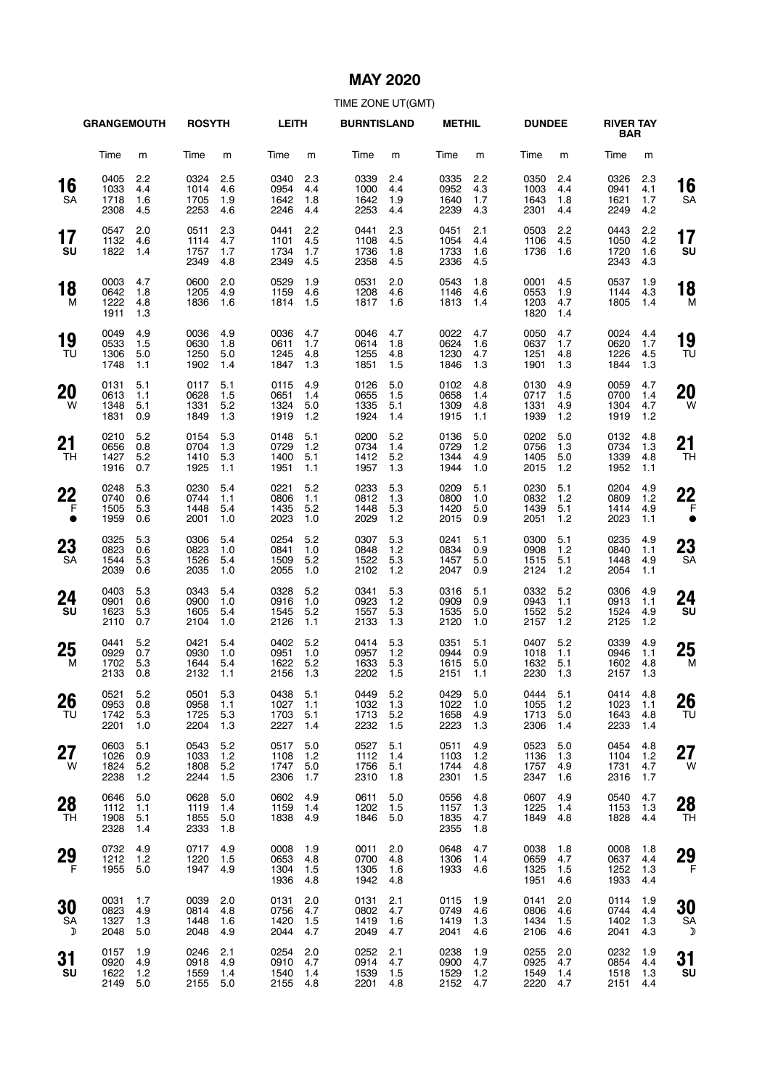## **MAY 2020**

|                           | <b>GRANGEMOUTH</b>           |                          | <b>ROSYTH</b>                    |                          | <b>LEITH</b>                     |                            | <b>BURNTISLAND</b>               |                          | <b>METHIL</b>                    |                          | <b>DUNDEE</b>                    |                          | <b>RIVER TAY</b><br>BAR      |                          |                      |
|---------------------------|------------------------------|--------------------------|----------------------------------|--------------------------|----------------------------------|----------------------------|----------------------------------|--------------------------|----------------------------------|--------------------------|----------------------------------|--------------------------|------------------------------|--------------------------|----------------------|
|                           | Time                         | m                        | Time                             | m                        | Time                             | m                          | Time                             | m                        | Time                             | m                        | Time                             | m                        | Time                         | m                        |                      |
| 16<br><b>SA</b>           | 0405<br>1033<br>1718<br>2308 | 2.2<br>4.4<br>1.6<br>4.5 | 0324<br>1014<br>1705<br>2253     | 2.5<br>4.6<br>1.9<br>4.6 | 0340<br>0954<br>1642<br>2246     | 2.3<br>4.4<br>1.8<br>4.4   | 0339<br>1000<br>1642<br>2253     | 2.4<br>4.4<br>1.9<br>4.4 | 0335<br>0952<br>1640<br>2239     | 2.2<br>4.3<br>1.7<br>4.3 | 0350<br>1003<br>1643<br>2301     | 2.4<br>4.4<br>1.8<br>4.4 | 0326<br>0941<br>1621<br>2249 | 2.3<br>4.1<br>1.7<br>4.2 | 16<br>SА             |
| 17<br>SU                  | 0547<br>1132<br>1822         | 2.0<br>4.6<br>1.4        | 0511<br>1114<br>1757<br>2349     | 2.3<br>4.7<br>1.7<br>4.8 | 0441<br>1101<br>1734<br>2349     | 2.2<br>4.5<br>1.7<br>4.5   | 0441<br>1108<br>1736<br>2358     | 2.3<br>4.5<br>1.8<br>4.5 | 0451<br>1054<br>1733<br>2336     | 2.1<br>4.4<br>1.6<br>4.5 | 0503<br>1106<br>1736             | 2.2<br>4.5<br>1.6        | 0443<br>1050<br>1720<br>2343 | 2.2<br>4.2<br>1.6<br>4.3 | 17<br>SU             |
| 18<br>M                   | 0003<br>0642<br>1222<br>1911 | 4.7<br>1.8<br>4.8<br>1.3 | 0600<br>1205<br>1836             | 2.0<br>4.9<br>1.6        | 0529<br>1159<br>1814             | 1.9<br>4.6<br>1.5          | 0531<br>1208<br>1817             | 2.0<br>4.6<br>1.6        | 0543<br>1146<br>1813             | 1.8<br>4.6<br>1.4        | 0001<br>0553<br>1203<br>1820     | 4.5<br>1.9<br>4.7<br>1.4 | 0537<br>1144<br>1805         | 1.9<br>4.3<br>1.4        | 18<br>M              |
| 19<br>TU                  | 0049<br>0533<br>1306<br>1748 | 4.9<br>1.5<br>5.0<br>1.1 | 0036<br>0630<br>1250<br>1902     | 4.9<br>1.8<br>5.0<br>1.4 | 0036<br>0611<br>1245<br>1847     | 4.7<br>1.7<br>4.8<br>1.3   | 0046<br>0614<br>1255<br>1851     | 4.7<br>1.8<br>4.8<br>1.5 | 0022<br>0624<br>1230<br>1846     | 4.7<br>1.6<br>4.7<br>1.3 | 0050<br>0637<br>1251<br>1901     | 4.7<br>1.7<br>4.8<br>1.3 | 0024<br>0620<br>1226<br>1844 | 4.4<br>1.7<br>4.5<br>1.3 | 19<br>TU             |
| 20<br>W                   | 0131<br>0613<br>1348<br>1831 | 5.1<br>1.1<br>5.1<br>0.9 | 0117<br>0628<br>1331<br>1849     | 5.1<br>1.5<br>5.2<br>1.3 | 0115<br>0651<br>1324<br>1919     | 4.9<br>1.4<br>5.0<br>1.2   | 0126<br>0655<br>1335<br>1924     | 5.0<br>1.5<br>5.1<br>1.4 | 0102<br>0658<br>1309<br>1915     | 4.8<br>1.4<br>4.8<br>1.1 | 0130<br>0717<br>1331<br>1939     | 4.9<br>1.5<br>4.9<br>1.2 | 0059<br>0700<br>1304<br>1919 | 4.7<br>1.4<br>4.7<br>1.2 | 20<br>W              |
| 21<br>TH                  | 0210<br>0656<br>1427<br>1916 | 5.2<br>0.8<br>5.2<br>0.7 | 0154<br>0704<br>1410<br>1925     | 5.3<br>1.3<br>5.3<br>1.1 | 0148<br>0729<br>1400<br>1951     | 5.1<br>1.2<br>5.1<br>1.1   | 0200<br>0734<br>1412<br>1957     | 5.2<br>1.4<br>5.2<br>1.3 | 0136<br>0729<br>1344<br>1944     | 5.0<br>1.2<br>4.9<br>1.0 | 0202<br>0756<br>1405<br>2015     | 5.0<br>1.3<br>5.0<br>1.2 | 0132<br>0734<br>1339<br>1952 | 4.8<br>1.3<br>4.8<br>1.1 | 21<br>TН             |
| 22<br>F<br>$\bullet$      | 0248<br>0740<br>1505<br>1959 | 5.3<br>0.6<br>5.3<br>0.6 | 0230<br>0744<br>1448<br>2001     | 5.4<br>1.1<br>5.4<br>1.0 | 0221<br>0806<br>1435<br>2023     | 5.2<br>1.1<br>5.2<br>1.0   | 0233<br>0812<br>1448<br>2029     | 5.3<br>1.3<br>5.3<br>1.2 | 0209<br>0800<br>1420<br>2015     | 5.1<br>1.0<br>5.0<br>0.9 | 0230<br>0832<br>1439<br>2051     | 5.1<br>1.2<br>5.1<br>1.2 | 0204<br>0809<br>1414<br>2023 | 4.9<br>1.2<br>4.9<br>1.1 | 22<br>F<br>$\bullet$ |
| 23<br><b>SA</b>           | 0325<br>0823<br>1544<br>2039 | 5.3<br>0.6<br>5.3<br>0.6 | 0306<br>0823<br>1526<br>2035     | 5.4<br>1.0<br>5.4<br>1.0 | 0254<br>0841<br>1509<br>2055     | 5.2<br>1.0<br>5.2<br>1.0   | 0307<br>0848<br>1522<br>2102     | 5.3<br>1.2<br>5.3<br>1.2 | 0241<br>0834<br>1457<br>2047     | 5.1<br>0.9<br>5.0<br>0.9 | 0300<br>0908<br>1515<br>2124     | 5.1<br>1.2<br>5.1<br>1.2 | 0235<br>0840<br>1448<br>2054 | 4.9<br>1.1<br>4.9<br>1.1 | 23<br>SА             |
| 24<br>SU                  | 0403<br>0901<br>1623<br>2110 | 5.3<br>0.6<br>5.3<br>0.7 | 0343<br>0900<br>1605<br>2104     | 5.4<br>1.0<br>5.4<br>1.0 | 0328<br>0916<br>1545<br>2126     | 5.2<br>1.0<br>5.2<br>1.1   | 0341<br>0923<br>1557<br>2133     | 5.3<br>1.2<br>5.3<br>1.3 | 0316<br>0909<br>1535<br>2120     | 5.1<br>0.9<br>5.0<br>1.0 | 0332<br>0943<br>1552<br>2157     | 5.2<br>1.1<br>5.2<br>1.2 | 0306<br>0913<br>1524<br>2125 | 4.9<br>1.1<br>4.9<br>1.2 | 24<br>SU             |
| 25<br>м                   | 0441<br>0929<br>1702<br>2133 | 5.2<br>0.7<br>5.3<br>0.8 | 0421<br>0930<br>1644<br>2132     | 5.4<br>1.0<br>5.4<br>1.1 | 0402<br>0951<br>1622<br>2156     | 5.2<br>1.0<br>5.2<br>1.3   | 0414<br>0957<br>1633<br>2202     | 5.3<br>1.2<br>5.3<br>1.5 | 0351<br>0944<br>1615<br>2151     | 5.1<br>0.9<br>5.0<br>1.1 | 0407<br>1018<br>1632<br>2230     | 5.2<br>1.1<br>5.1<br>1.3 | 0339<br>0946<br>1602<br>2157 | 4.9<br>1.1<br>4.8<br>1.3 | 25<br>M              |
| 26<br>TU                  | 0521<br>0953<br>1742<br>2201 | 5.2<br>0.8<br>5.3<br>1.0 | 0501 5.3<br>0958<br>1725<br>2204 | 1.1<br>5.3<br>1.3        | 0438 5.1<br>1027<br>1703<br>2227 | 1.1<br>5.1<br>1.4          | 0449 5.2<br>1032<br>1713<br>2232 | 1.3<br>5.2<br>1.5        | 0429 5.0<br>1022<br>1658<br>2223 | 1.0<br>4.9<br>1.3        | 0444 5.1<br>1055<br>1713<br>2306 | 1.2<br>5.0<br>1.4        | 0414<br>1023<br>1643<br>2233 | 4.8<br>1.1<br>4.8<br>1.4 | 26<br>TU             |
| 27<br>W                   | 0603<br>1026<br>1824<br>2238 | 5.1<br>0.9<br>5.2<br>1.2 | 0543<br>1033<br>1808<br>2244     | 5.2<br>1.2<br>5.2<br>1.5 | 0517<br>1108<br>1747<br>2306     | 5.0<br>$1.2$<br>5.0<br>1.7 | 0527<br>1112<br>1756<br>2310     | 5.1<br>1.4<br>5.1<br>1.8 | 0511<br>1103<br>1744<br>2301     | 4.9<br>1.2<br>4.8<br>1.5 | 0523<br>1136<br>1757<br>2347     | 5.0<br>1.3<br>4.9<br>1.6 | 0454<br>1104<br>1731<br>2316 | 4.8<br>1.2<br>4.7<br>1.7 | 27<br>W              |
| 28<br>TH                  | 0646<br>1112<br>1908<br>2328 | 5.0<br>1.1<br>5.1<br>1.4 | 0628<br>1119<br>1855<br>2333     | 5.0<br>1.4<br>5.0<br>1.8 | 0602<br>1159<br>1838             | 4.9<br>1.4<br>4.9          | 0611<br>1202<br>1846             | 5.0<br>1.5<br>5.0        | 0556<br>1157<br>1835<br>2355     | 4.8<br>1.3<br>4.7<br>1.8 | 0607<br>1225<br>1849             | 4.9<br>1.4<br>4.8        | 0540<br>1153<br>1828         | 4.7<br>1.3<br>4.4        | 28<br><b>TH</b>      |
| 29<br>F                   | 0732<br>1212<br>1955         | 4.9<br>1.2<br>5.0        | 0717<br>1220<br>1947             | 4.9<br>1.5<br>4.9        | 0008<br>0653<br>1304<br>1936     | 1.9<br>4.8<br>1.5<br>4.8   | 0011<br>0700<br>1305<br>1942     | 2.0<br>4.8<br>1.6<br>4.8 | 0648<br>1306<br>1933             | 4.7<br>1.4<br>4.6        | 0038<br>0659<br>1325<br>1951     | 1.8<br>4.7<br>1.5<br>4.6 | 0008<br>0637<br>1252<br>1933 | 1.8<br>4.4<br>1.3<br>4.4 | 29<br>F              |
| 30<br>SA<br>$\mathcal{D}$ | 0031<br>0823<br>1327<br>2048 | 1.7<br>4.9<br>1.3<br>5.0 | 0039<br>0814<br>1448<br>2048     | 2.0<br>4.8<br>1.6<br>4.9 | 0131<br>0756<br>1420<br>2044     | 2.0<br>4.7<br>1.5<br>4.7   | 0131<br>0802<br>1419<br>2049     | 2.1<br>4.7<br>1.6<br>4.7 | 0115<br>0749<br>1419<br>2041     | 1.9<br>4.6<br>1.3<br>4.6 | 0141<br>0806<br>1434<br>2106     | 2.0<br>4.6<br>1.5<br>4.6 | 0114<br>0744<br>1402<br>2041 | 1.9<br>4.4<br>1.3<br>4.3 | 30<br>SA<br>D        |
| 31<br>SU                  | 0157<br>0920<br>1622<br>2149 | 1.9<br>4.9<br>1.2<br>5.0 | 0246<br>0918<br>1559<br>2155     | 2.1<br>4.9<br>1.4<br>5.0 | 0254<br>0910<br>1540<br>2155     | 2.0<br>4.7<br>1.4<br>4.8   | 0252<br>0914<br>1539<br>2201     | 2.1<br>4.7<br>1.5<br>4.8 | 0238<br>0900<br>1529<br>2152     | 1.9<br>4.7<br>1.2<br>4.7 | 0255<br>0925<br>1549<br>2220     | 2.0<br>4.7<br>1.4<br>4.7 | 0232<br>0854<br>1518<br>2151 | 1.9<br>4.4<br>1.3<br>4.4 | 31<br><b>SU</b>      |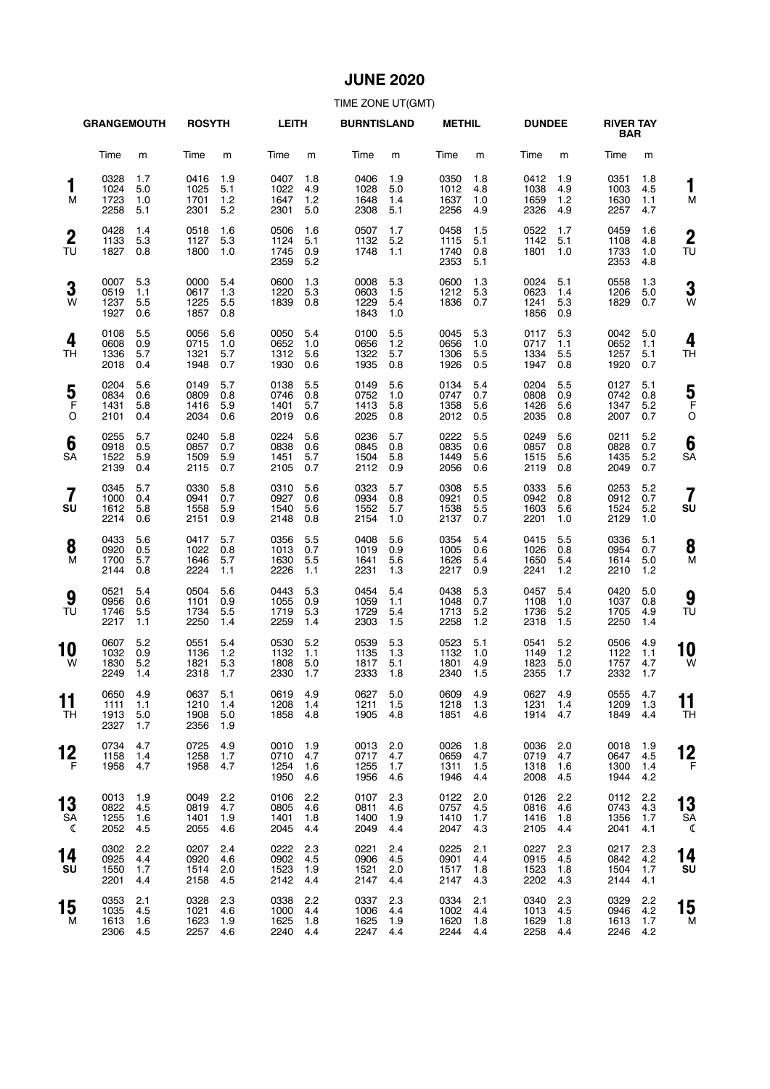## **JUNE 2020**

|                               | <b>GRANGEMOUTH</b>               |                          | <b>ROSYTH</b>                    |                          | <b>LEITH</b>                 |                          | <b>BURNTISLAND</b>           |                          | <b>METHIL</b>                |                          | <b>DUNDEE</b>                |                          | <b>RIVER TAY</b><br><b>BAR</b> |                          |                    |
|-------------------------------|----------------------------------|--------------------------|----------------------------------|--------------------------|------------------------------|--------------------------|------------------------------|--------------------------|------------------------------|--------------------------|------------------------------|--------------------------|--------------------------------|--------------------------|--------------------|
|                               | Time                             | m                        | Time                             | m                        | Time                         | m                        | Time                         | m                        | Time                         | m                        | Time                         | m                        | Time                           | m                        |                    |
| 1<br>M                        | 0328<br>1024<br>1723<br>2258     | 1.7<br>5.0<br>1.0<br>5.1 | 0416<br>1025<br>1701<br>2301     | 1.9<br>5.1<br>1.2<br>5.2 | 0407<br>1022<br>1647<br>2301 | 1.8<br>4.9<br>1.2<br>5.0 | 0406<br>1028<br>1648<br>2308 | 1.9<br>5.0<br>1.4<br>5.1 | 0350<br>1012<br>1637<br>2256 | 1.8<br>4.8<br>1.0<br>4.9 | 0412<br>1038<br>1659<br>2326 | 1.9<br>4.9<br>1.2<br>4.9 | 0351<br>1003<br>1630<br>2257   | 1.8<br>4.5<br>1.1<br>4.7 | 1<br>M             |
| $\boldsymbol{2}$<br>TU        | 0428<br>1133<br>1827             | 1.4<br>5.3<br>0.8        | 0518<br>1127<br>1800             | 1.6<br>5.3<br>1.0        | 0506<br>1124<br>1745<br>2359 | 1.6<br>5.1<br>0.9<br>5.2 | 0507<br>1132<br>1748         | 1.7<br>5.2<br>1.1        | 0458<br>1115<br>1740<br>2353 | 1.5<br>5.1<br>0.8<br>5.1 | 0522<br>1142<br>1801         | 1.7<br>5.1<br>1.0        | 0459<br>1108<br>1733<br>2353   | 1.6<br>4.8<br>1.0<br>4.8 | $\mathbf{2}$<br>TU |
| 3<br>W                        | 0007<br>0519<br>1237<br>1927     | 5.3<br>1.1<br>5.5<br>0.6 | 0000<br>0617<br>1225<br>1857     | 5.4<br>1.3<br>5.5<br>0.8 | 0600<br>1220<br>1839         | 1.3<br>5.3<br>0.8        | 0008<br>0603<br>1229<br>1843 | 5.3<br>1.5<br>5.4<br>1.0 | 0600<br>1212<br>1836         | 1.3<br>5.3<br>0.7        | 0024<br>0623<br>1241<br>1856 | 5.1<br>1.4<br>5.3<br>0.9 | 0558<br>1206<br>1829           | 1.3<br>5.0<br>0.7        | 3<br>W             |
| 4<br>TН                       | 0108<br>0608<br>1336<br>2018     | 5.5<br>0.9<br>5.7<br>0.4 | 0056<br>0715<br>1321<br>1948     | 5.6<br>1.0<br>5.7<br>0.7 | 0050<br>0652<br>1312<br>1930 | 5.4<br>1.0<br>5.6<br>0.6 | 0100<br>0656<br>1322<br>1935 | 5.5<br>1.2<br>5.7<br>0.8 | 0045<br>0656<br>1306<br>1926 | 5.3<br>1.0<br>5.5<br>0.5 | 0117<br>0717<br>1334<br>1947 | 5.3<br>1.1<br>5.5<br>0.8 | 0042<br>0652<br>1257<br>1920   | 5.0<br>1.1<br>5.1<br>0.7 | 4<br>TН            |
| $\frac{5}{F}$<br>O            | 0204<br>0834<br>1431<br>2101     | 5.6<br>0.6<br>5.8<br>0.4 | 0149<br>0809<br>1416<br>2034     | 5.7<br>0.8<br>5.9<br>0.6 | 0138<br>0746<br>1401<br>2019 | 5.5<br>0.8<br>5.7<br>0.6 | 0149<br>0752<br>1413<br>2025 | 5.6<br>1.0<br>5.8<br>0.8 | 0134<br>0747<br>1358<br>2012 | 5.4<br>0.7<br>5.6<br>0.5 | 0204<br>0808<br>1426<br>2035 | 5.5<br>0.9<br>5.6<br>0.8 | 0127<br>0742<br>1347<br>2007   | 5.1<br>0.8<br>5.2<br>0.7 | 5<br>F<br>C        |
| 6<br>SA                       | 0255<br>0918<br>1522<br>2139     | 5.7<br>0.5<br>5.9<br>0.4 | 0240<br>0857<br>1509<br>2115     | 5.8<br>0.7<br>5.9<br>0.7 | 0224<br>0838<br>1451<br>2105 | 5.6<br>0.6<br>5.7<br>0.7 | 0236<br>0845<br>1504<br>2112 | 5.7<br>0.8<br>5.8<br>0.9 | 0222<br>0835<br>1449<br>2056 | 5.5<br>0.6<br>5.6<br>0.6 | 0249<br>0857<br>1515<br>2119 | 5.6<br>0.8<br>5.6<br>0.8 | 0211<br>0828<br>1435<br>2049   | 5.2<br>0.7<br>5.2<br>0.7 | 6<br>SA            |
| $\overline{\mathbf{7}}$<br>SU | 0345<br>1000<br>1612<br>2214     | 5.7<br>0.4<br>5.8<br>0.6 | 0330<br>0941<br>1558<br>2151     | 5.8<br>0.7<br>5.9<br>0.9 | 0310<br>0927<br>1540<br>2148 | 5.6<br>0.6<br>5.6<br>0.8 | 0323<br>0934<br>1552<br>2154 | 5.7<br>0.8<br>5.7<br>1.0 | 0308<br>0921<br>1538<br>2137 | 5.5<br>0.5<br>5.5<br>0.7 | 0333<br>0942<br>1603<br>2201 | 5.6<br>0.8<br>5.6<br>1.0 | 0253<br>0912<br>1524<br>2129   | 5.2<br>0.7<br>5.2<br>1.0 | 7<br>SU            |
| 8<br>M                        | 0433<br>0920<br>1700<br>2144     | 5.6<br>0.5<br>5.7<br>0.8 | 0417<br>1022<br>1646<br>2224     | 5.7<br>0.8<br>5.7<br>1.1 | 0356<br>1013<br>1630<br>2226 | 5.5<br>0.7<br>5.5<br>1.1 | 0408<br>1019<br>1641<br>2231 | 5.6<br>0.9<br>5.6<br>1.3 | 0354<br>1005<br>1626<br>2217 | 5.4<br>0.6<br>5.4<br>0.9 | 0415<br>1026<br>1650<br>2241 | 5.5<br>0.8<br>5.4<br>1.2 | 0336<br>0954<br>1614<br>2210   | 5.1<br>0.7<br>5.0<br>1.2 | 8<br>M             |
| 9<br>TU                       | 0521<br>0956<br>1746<br>2217     | 5.4<br>0.6<br>5.5<br>1.1 | 0504<br>1101<br>1734<br>2250     | 5.6<br>0.9<br>5.5<br>1.4 | 0443<br>1055<br>1719<br>2259 | 5.3<br>0.9<br>5.3<br>1.4 | 0454<br>1059<br>1729<br>2303 | 5.4<br>1.1<br>5.4<br>1.5 | 0438<br>1048<br>1713<br>2258 | 5.3<br>0.7<br>5.2<br>1.2 | 0457<br>1108<br>1736<br>2318 | 5.4<br>1.0<br>5.2<br>1.5 | 0420<br>1037<br>1705<br>2250   | 5.0<br>0.8<br>4.9<br>1.4 | 9<br>TU            |
| 10<br>W                       | 0607<br>1032<br>1830<br>2249     | 5.2<br>0.9<br>5.2<br>1.4 | 0551<br>1136<br>1821<br>2318     | 5.4<br>1.2<br>5.3<br>1.7 | 0530<br>1132<br>1808<br>2330 | 5.2<br>1.1<br>5.0<br>1.7 | 0539<br>1135<br>1817<br>2333 | 5.3<br>1.3<br>5.1<br>1.8 | 0523<br>1132<br>1801<br>2340 | 5.1<br>1.0<br>4.9<br>1.5 | 0541<br>1149<br>1823<br>2355 | 5.2<br>1.2<br>5.0<br>1.7 | 0506<br>1122<br>1757<br>2332   | 4.9<br>1.1<br>4.7<br>1.7 | 10<br>W            |
| 11<br>TН                      | 0650 4.9<br>1111<br>1913<br>2327 | 1.1<br>5.0<br>1.7        | 0637 5.1<br>1210<br>1908<br>2356 | 1.4<br>5.0<br>1.9        | 0619 4.9<br>1208<br>1858     | 1.4<br>4.8               | 0627 5.0<br>1211<br>1905     | 1.5<br>4.8               | 0609 4.9<br>1218<br>1851     | 1.3<br>4.6               | 0627 4.9<br>1231<br>1914     | 1.4<br>4.7               | 0555 4.7<br>1209<br>1849       | 1.3<br>4.4               | 11<br>ΤH           |
| 12<br>- F                     | 0734<br>1158<br>1958             | 4.7<br>1.4<br>4.7        | 0725<br>1258<br>1958             | 4.9<br>1.7<br>4.7        | 0010<br>0710<br>1254<br>1950 | 1.9<br>4.7<br>1.6<br>4.6 | 0013<br>0717<br>1255<br>1956 | 2.0<br>4.7<br>1.7<br>4.6 | 0026<br>0659<br>1311<br>1946 | 1.8<br>4.7<br>1.5<br>4.4 | 0036<br>0719<br>1318<br>2008 | 2.0<br>4.7<br>1.6<br>4.5 | 0018<br>0647<br>1300<br>1944   | 1.9<br>4.5<br>1.4<br>4.2 | 12<br>F            |
| 13<br>SA<br>ℂ                 | 0013<br>0822<br>1255<br>2052     | 1.9<br>4.5<br>1.6<br>4.5 | 0049<br>0819<br>1401<br>2055     | 2.2<br>4.7<br>1.9<br>4.6 | 0106<br>0805<br>1401<br>2045 | 2.2<br>4.6<br>1.8<br>4.4 | 0107<br>0811<br>1400<br>2049 | 2.3<br>4.6<br>1.9<br>4.4 | 0122<br>0757<br>1410<br>2047 | 2.0<br>4.5<br>1.7<br>4.3 | 0126<br>0816<br>1416<br>2105 | 2.2<br>4.6<br>1.8<br>4.4 | 0112<br>0743<br>1356<br>2041   | 2.2<br>4.3<br>1.7<br>4.1 | 13<br>SΑ<br>ℭ      |
| 14<br>SU                      | 0302<br>0925<br>1550<br>2201     | 2.2<br>4.4<br>1.7<br>4.4 | 0207<br>0920<br>1514<br>2158     | 2.4<br>4.6<br>2.0<br>4.5 | 0222<br>0902<br>1523<br>2142 | 2.3<br>4.5<br>1.9<br>4.4 | 0221<br>0906<br>1521<br>2147 | 2.4<br>4.5<br>2.0<br>4.4 | 0225<br>0901<br>1517<br>2147 | 2.1<br>4.4<br>1.8<br>4.3 | 0227<br>0915<br>1523<br>2202 | 2.3<br>4.5<br>1.8<br>4.3 | 0217<br>0842<br>1504<br>2144   | 2.3<br>4.2<br>1.7<br>4.1 | 14<br>SU           |
| 15<br>м                       | 0353<br>1035<br>1613<br>2306     | 2.1<br>4.5<br>1.6<br>4.5 | 0328<br>1021<br>1623<br>2257     | 2.3<br>4.6<br>1.9<br>4.6 | 0338<br>1000<br>1625<br>2240 | 2.2<br>4.4<br>1.8<br>4.4 | 0337<br>1006<br>1625<br>2247 | 2.3<br>4.4<br>1.9<br>4.4 | 0334<br>1002<br>1620<br>2244 | 2.1<br>4.4<br>1.8<br>4.4 | 0340<br>1013<br>1629<br>2258 | 2.3<br>4.5<br>1.8<br>4.4 | 0329<br>0946<br>1613<br>2246   | 2.2<br>4.2<br>1.7<br>4.2 | 15<br>M            |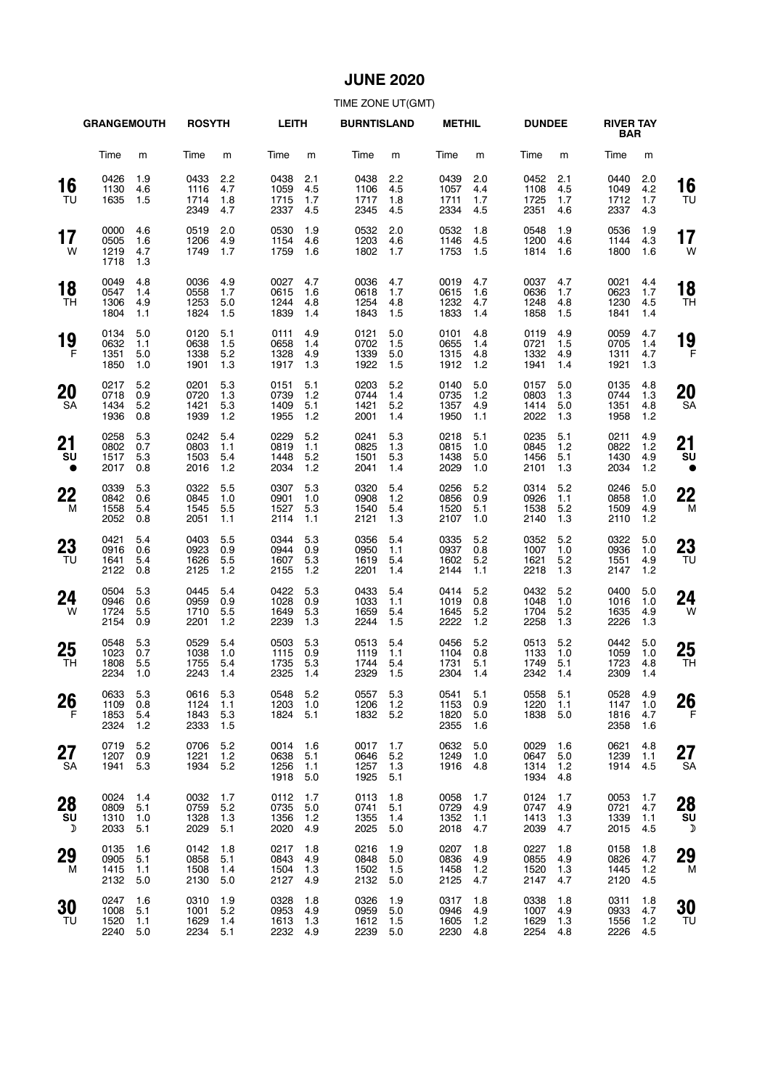## **JUNE 2020**

|                        | <b>GRANGEMOUTH</b>           |                            | <b>ROSYTH</b>                    |                          | <b>LEITH</b>                 |                          | <b>BURNTISLAND</b>           |                          | <b>METHIL</b>                    |                          | <b>DUNDEE</b>                |                            | <b>RIVER TAY</b><br><b>BAR</b> |                            |                 |
|------------------------|------------------------------|----------------------------|----------------------------------|--------------------------|------------------------------|--------------------------|------------------------------|--------------------------|----------------------------------|--------------------------|------------------------------|----------------------------|--------------------------------|----------------------------|-----------------|
|                        | Time                         | m                          | Time                             | m                        | Time                         | m                        | Time                         | m                        | Time                             | m                        | Time                         | m                          | Time                           | m                          |                 |
| 16<br>TU               | 0426<br>1130<br>1635         | 1.9<br>4.6<br>1.5          | 0433<br>1116<br>1714<br>2349     | 2.2<br>4.7<br>1.8<br>4.7 | 0438<br>1059<br>1715<br>2337 | 2.1<br>4.5<br>1.7<br>4.5 | 0438<br>1106<br>1717<br>2345 | 2.2<br>4.5<br>1.8<br>4.5 | 0439<br>1057<br>1711<br>2334     | 2.0<br>4.4<br>1.7<br>4.5 | 0452<br>1108<br>1725<br>2351 | 2.1<br>4.5<br>1.7<br>4.6   | 0440<br>1049<br>1712<br>2337   | 2.0<br>4.2<br>1.7<br>4.3   | 16<br>TU        |
| 17<br>W                | 0000<br>0505<br>1219<br>1718 | 4.6<br>1.6<br>4.7<br>1.3   | 0519<br>1206<br>1749             | 2.0<br>4.9<br>1.7        | 0530<br>1154<br>1759         | 1.9<br>4.6<br>1.6        | 0532<br>1203<br>1802         | 2.0<br>4.6<br>1.7        | 0532<br>1146<br>1753             | 1.8<br>4.5<br>1.5        | 0548<br>1200<br>1814         | 1.9<br>4.6<br>1.6          | 0536<br>1144<br>1800           | 1.9<br>4.3<br>1.6          | 17<br>W         |
| 18<br>TН               | 0049<br>0547<br>1306<br>1804 | 4.8<br>1.4<br>4.9<br>1.1   | 0036<br>0558<br>1253<br>1824     | 4.9<br>1.7<br>5.0<br>1.5 | 0027<br>0615<br>1244<br>1839 | 4.7<br>1.6<br>4.8<br>1.4 | 0036<br>0618<br>1254<br>1843 | 4.7<br>1.7<br>4.8<br>1.5 | 0019<br>0615<br>1232<br>1833     | 4.7<br>1.6<br>4.7<br>1.4 | 0037<br>0636<br>1248<br>1858 | 4.7<br>1.7<br>4.8<br>1.5   | 0021<br>0623<br>1230<br>1841   | 4.4<br>1.7<br>4.5<br>1.4   | 18<br><b>TH</b> |
| 19<br>F                | 0134<br>0632<br>1351<br>1850 | 5.0<br>1.1<br>5.0<br>1.0   | 0120<br>0638<br>1338<br>1901     | 5.1<br>1.5<br>5.2<br>1.3 | 0111<br>0658<br>1328<br>1917 | 4.9<br>1.4<br>4.9<br>1.3 | 0121<br>0702<br>1339<br>1922 | 5.0<br>1.5<br>5.0<br>1.5 | 0101<br>0655<br>1315<br>1912     | 4.8<br>1.4<br>4.8<br>1.2 | 0119<br>0721<br>1332<br>1941 | 4.9<br>1.5<br>4.9<br>1.4   | 0059<br>0705<br>1311<br>1921   | 4.7<br>1.4<br>4.7<br>1.3   | 19<br>F         |
| <b>20</b><br><b>SA</b> | 0217<br>0718<br>1434<br>1936 | 5.2<br>0.9<br>5.2<br>0.8   | 0201<br>0720<br>1421<br>1939     | 5.3<br>1.3<br>5.3<br>1.2 | 0151<br>0739<br>1409<br>1955 | 5.1<br>1.2<br>5.1<br>1.2 | 0203<br>0744<br>1421<br>2001 | 5.2<br>1.4<br>5.2<br>1.4 | 0140<br>0735<br>1357<br>1950     | 5.0<br>1.2<br>4.9<br>1.1 | 0157<br>0803<br>1414<br>2022 | 5.0<br>1.3<br>5.0<br>1.3   | 0135<br>0744<br>1351<br>1958   | 4.8<br>1.3<br>4.8<br>1.2   | 20<br>SА        |
| 21<br>SU<br>$\bullet$  | 0258<br>0802<br>1517<br>2017 | 5.3<br>0.7<br>5.3<br>0.8   | 0242<br>0803<br>1503<br>2016     | 5.4<br>1.1<br>5.4<br>1.2 | 0229<br>0819<br>1448<br>2034 | 5.2<br>1.1<br>5.2<br>1.2 | 0241<br>0825<br>1501<br>2041 | 5.3<br>1.3<br>5.3<br>1.4 | 0218<br>0815<br>1438<br>2029     | 5.1<br>1.0<br>5.0<br>1.0 | 0235<br>0845<br>1456<br>2101 | 5.1<br>1.2<br>5.1<br>1.3   | 0211<br>0822<br>1430<br>2034   | 4.9<br>1.2<br>4.9<br>1.2   | 21<br>SU        |
| 22<br>M                | 0339<br>0842<br>1558<br>2052 | 5.3<br>0.6<br>5.4<br>0.8   | 0322<br>0845<br>1545<br>2051     | 5.5<br>1.0<br>5.5<br>1.1 | 0307<br>0901<br>1527<br>2114 | 5.3<br>1.0<br>5.3<br>1.1 | 0320<br>0908<br>1540<br>2121 | 5.4<br>1.2<br>5.4<br>1.3 | 0256<br>0856<br>1520<br>2107     | 5.2<br>0.9<br>5.1<br>1.0 | 0314<br>0926<br>1538<br>2140 | 5.2<br>1.1<br>5.2<br>1.3   | 0246<br>0858<br>1509<br>2110   | 5.0<br>1.0<br>4.9<br>1.2   | 22<br>M         |
| 23<br>TU               | 0421<br>0916<br>1641<br>2122 | 5.4<br>0.6<br>5.4<br>0.8   | 0403<br>0923<br>1626<br>2125     | 5.5<br>0.9<br>5.5<br>1.2 | 0344<br>0944<br>1607<br>2155 | 5.3<br>0.9<br>5.3<br>1.2 | 0356<br>0950<br>1619<br>2201 | 5.4<br>1.1<br>5.4<br>1.4 | 0335<br>0937<br>1602<br>2144     | 5.2<br>0.8<br>5.2<br>1.1 | 0352<br>1007<br>1621<br>2218 | 5.2<br>1.0<br>5.2<br>1.3   | 0322<br>0936<br>1551<br>2147   | 5.0<br>1.0<br>4.9<br>1.2   | 23<br>TU        |
| 24<br>W                | 0504<br>0946<br>1724<br>2154 | 5.3<br>0.6<br>5.5<br>0.9   | 0445<br>0959<br>1710<br>2201     | 5.4<br>0.9<br>5.5<br>1.2 | 0422<br>1028<br>1649<br>2239 | 5.3<br>0.9<br>5.3<br>1.3 | 0433<br>1033<br>1659<br>2244 | 5.4<br>1.1<br>5.4<br>1.5 | 0414<br>1019<br>1645<br>2222     | 5.2<br>0.8<br>5.2<br>1.2 | 0432<br>1048<br>1704<br>2258 | 5.2<br>1.0<br>5.2<br>1.3   | 0400<br>1016<br>1635<br>2226   | 5.0<br>1.0<br>4.9<br>1.3   | 24<br>W         |
| 25<br>TH               | 0548<br>1023<br>1808<br>2234 | 5.3<br>0.7<br>5.5<br>1.0   | 0529<br>1038<br>1755<br>2243     | 5.4<br>1.0<br>5.4<br>1.4 | 0503<br>1115<br>1735<br>2325 | 5.3<br>0.9<br>5.3<br>1.4 | 0513<br>1119<br>1744<br>2329 | 5.4<br>1.1<br>5.4<br>1.5 | 0456<br>1104<br>1731<br>2304     | 5.2<br>0.8<br>5.1<br>1.4 | 0513<br>1133<br>1749<br>2342 | 5.2<br>1.0<br>5.1<br>1.4   | 0442<br>1059<br>1723<br>2309   | 5.0<br>1.0<br>4.8<br>1.4   | 25<br>TН        |
| 26<br>F                | 0633<br>1109<br>1853<br>2324 | 5.3<br>0.8<br>5.4<br>$1.2$ | 0616 5.3<br>1124<br>1843<br>2333 | 1.1<br>5.3<br>1.5        | 0548 5.2<br>1203<br>1824     | 1.0<br>5.1               | 0557 5.3<br>1206<br>1832     | 1.2<br>5.2               | 0541 5.1<br>1153<br>1820<br>2355 | 0.9<br>5.0<br>1.6        | 0558 5.1<br>1220<br>1838     | 1.1<br>5.0                 | 0528<br>1147<br>1816<br>2358   | 4.9<br>1.0<br>4.7<br>1.6   | 26<br>F         |
| 27<br>SA               | 0719<br>1207<br>1941         | 5.2<br>0.9<br>5.3          | 0706<br>1221<br>1934             | 5.2<br>1.2<br>5.2        | 0014<br>0638<br>1256<br>1918 | 1.6<br>5.1<br>1.1<br>5.0 | 0017<br>0646<br>1257<br>1925 | 1.7<br>5.2<br>1.3<br>5.1 | 0632<br>1249<br>1916             | 5.0<br>1.0<br>4.8        | 0029<br>0647<br>1314<br>1934 | 1.6<br>5.0<br>$1.2$<br>4.8 | 0621<br>1239<br>1914           | 4.8<br>1.1<br>4.5          | 27<br><b>SA</b> |
| 28<br>SU<br>♪          | 0024<br>0809<br>1310<br>2033 | 1.4<br>5.1<br>1.0<br>5.1   | 0032<br>0759<br>1328<br>2029     | 1.7<br>5.2<br>1.3<br>5.1 | 0112<br>0735<br>1356<br>2020 | 1.7<br>5.0<br>1.2<br>4.9 | 0113<br>0741<br>1355<br>2025 | 1.8<br>5.1<br>1.4<br>5.0 | 0058<br>0729<br>1352<br>2018     | 1.7<br>4.9<br>1.1<br>4.7 | 0124<br>0747<br>1413<br>2039 | 1.7<br>4.9<br>1.3<br>4.7   | 0053<br>0721<br>1339<br>2015   | 1.7<br>4.7<br>1.1<br>4.5   | 28<br>SU<br>D   |
| 29<br>м                | 0135<br>0905<br>1415<br>2132 | 1.6<br>5.1<br>1.1<br>5.0   | 0142<br>0858<br>1508<br>2130     | 1.8<br>5.1<br>1.4<br>5.0 | 0217<br>0843<br>1504<br>2127 | 1.8<br>4.9<br>1.3<br>4.9 | 0216<br>0848<br>1502<br>2132 | 1.9<br>5.0<br>1.5<br>5.0 | 0207<br>0836<br>1458<br>2125     | 1.8<br>4.9<br>1.2<br>4.7 | 0227<br>0855<br>1520<br>2147 | 1.8<br>4.9<br>1.3<br>4.7   | 0158<br>0826<br>1445<br>2120   | 1.8<br>4.7<br>$1.2$<br>4.5 | 29<br>M         |
| 30<br>TU               | 0247<br>1008<br>1520<br>2240 | 1.6<br>5.1<br>1.1<br>5.0   | 0310<br>1001<br>1629<br>2234     | 1.9<br>5.2<br>1.4<br>5.1 | 0328<br>0953<br>1613<br>2232 | 1.8<br>4.9<br>1.3<br>4.9 | 0326<br>0959<br>1612<br>2239 | 1.9<br>5.0<br>1.5<br>5.0 | 0317<br>0946<br>1605<br>2230     | 1.8<br>4.9<br>1.2<br>4.8 | 0338<br>1007<br>1629<br>2254 | 1.8<br>4.9<br>1.3<br>4.8   | 0311<br>0933<br>1556<br>2226   | 1.8<br>4.7<br>1.2<br>4.5   | 30<br>TU        |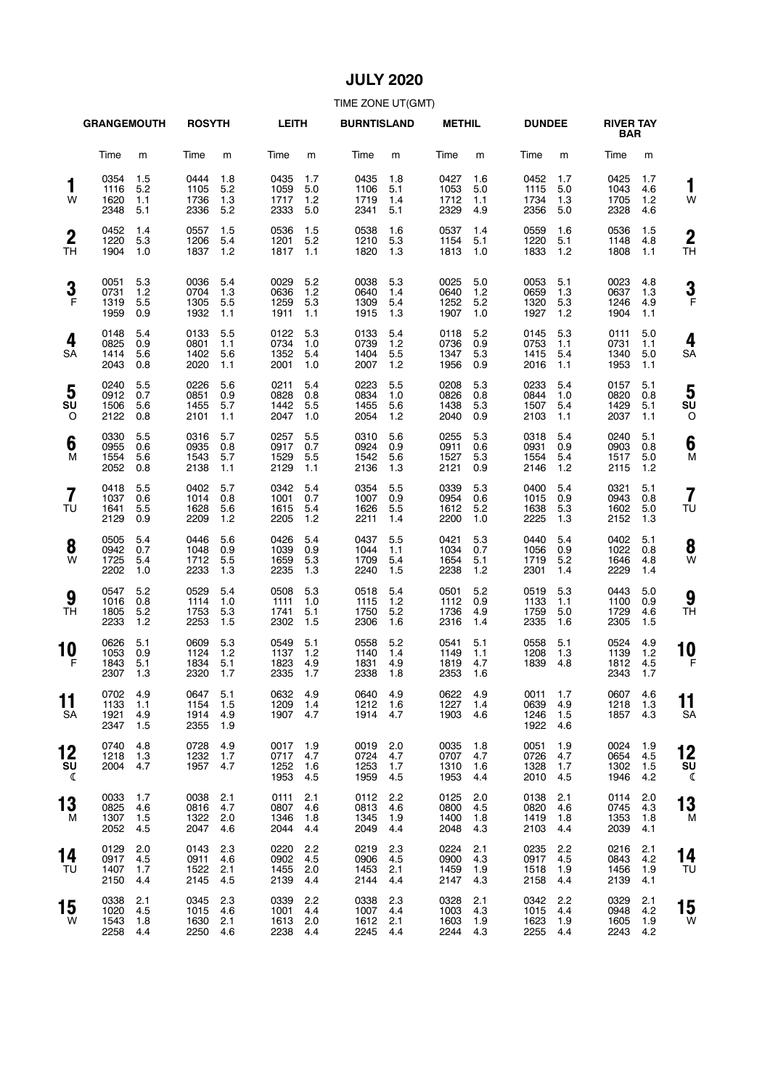## **JULY 2020**

|                               | <b>GRANGEMOUTH</b>           |                          | <b>ROSYTH</b>                    |                          | <b>LEITH</b>                 |                          | <b>BURNTISLAND</b>           |                          | <b>METHIL</b>                |                          | <b>DUNDEE</b>                |                          | <b>RIVER TAY</b><br><b>BAR</b> |                          |                      |
|-------------------------------|------------------------------|--------------------------|----------------------------------|--------------------------|------------------------------|--------------------------|------------------------------|--------------------------|------------------------------|--------------------------|------------------------------|--------------------------|--------------------------------|--------------------------|----------------------|
|                               | Time                         | m                        | Time                             | m                        | Time                         | m                        | Time                         | m                        | Time                         | m                        | Time                         | m                        | Time                           | m                        |                      |
| 1<br>W                        | 0354<br>1116<br>1620<br>2348 | 1.5<br>5.2<br>1.1<br>5.1 | 0444<br>1105<br>1736<br>2336     | 1.8<br>5.2<br>1.3<br>5.2 | 0435<br>1059<br>1717<br>2333 | 1.7<br>5.0<br>1.2<br>5.0 | 0435<br>1106<br>1719<br>2341 | 1.8<br>5.1<br>1.4<br>5.1 | 0427<br>1053<br>1712<br>2329 | 1.6<br>5.0<br>1.1<br>4.9 | 0452<br>1115<br>1734<br>2356 | 1.7<br>5.0<br>1.3<br>5.0 | 0425<br>1043<br>1705<br>2328   | 1.7<br>4.6<br>1.2<br>4.6 | 1<br>W               |
| $\boldsymbol{2}$<br>TН        | 0452<br>1220<br>1904         | 1.4<br>5.3<br>1.0        | 0557<br>1206<br>1837             | 1.5<br>5.4<br>1.2        | 0536<br>1201<br>1817         | 1.5<br>5.2<br>1.1        | 0538<br>1210<br>1820         | 1.6<br>5.3<br>1.3        | 0537<br>1154<br>1813         | 1.4<br>5.1<br>1.0        | 0559<br>1220<br>1833         | 1.6<br>5.1<br>1.2        | 0536<br>1148<br>1808           | 1.5<br>4.8<br>1.1        | $\overline{2}$<br>TН |
| 3<br>$\mathsf{F}$             | 0051<br>0731<br>1319<br>1959 | 5.3<br>1.2<br>5.5<br>0.9 | 0036<br>0704<br>1305<br>1932     | 5.4<br>1.3<br>5.5<br>1.1 | 0029<br>0636<br>1259<br>1911 | 5.2<br>1.2<br>5.3<br>1.1 | 0038<br>0640<br>1309<br>1915 | 5.3<br>1.4<br>5.4<br>1.3 | 0025<br>0640<br>1252<br>1907 | 5.0<br>1.2<br>5.2<br>1.0 | 0053<br>0659<br>1320<br>1927 | 5.1<br>1.3<br>5.3<br>1.2 | 0023<br>0637<br>1246<br>1904   | 4.8<br>1.3<br>4.9<br>1.1 | 3<br>F               |
| 4<br>SA                       | 0148<br>0825<br>1414<br>2043 | 5.4<br>0.9<br>5.6<br>0.8 | 0133<br>0801<br>1402<br>2020     | 5.5<br>1.1<br>5.6<br>1.1 | 0122<br>0734<br>1352<br>2001 | 5.3<br>1.0<br>5.4<br>1.0 | 0133<br>0739<br>1404<br>2007 | 5.4<br>1.2<br>5.5<br>1.2 | 0118<br>0736<br>1347<br>1956 | 5.2<br>0.9<br>5.3<br>0.9 | 0145<br>0753<br>1415<br>2016 | 5.3<br>1.1<br>5.4<br>1.1 | 0111<br>0731<br>1340<br>1953   | 5.0<br>1.1<br>5.0<br>1.1 | 4<br>SΑ              |
| 5<br>SU<br>O                  | 0240<br>0912<br>1506<br>2122 | 5.5<br>0.7<br>5.6<br>0.8 | 0226<br>0851<br>1455<br>2101     | 5.6<br>0.9<br>5.7<br>1.1 | 0211<br>0828<br>1442<br>2047 | 5.4<br>0.8<br>5.5<br>1.0 | 0223<br>0834<br>1455<br>2054 | 5.5<br>1.0<br>5.6<br>1.2 | 0208<br>0826<br>1438<br>2040 | 5.3<br>0.8<br>5.3<br>0.9 | 0233<br>0844<br>1507<br>2103 | 5.4<br>1.0<br>5.4<br>1.1 | 0157<br>0820<br>1429<br>2037   | 5.1<br>0.8<br>5.1<br>1.1 | 5<br>su<br>C         |
| 6<br>M                        | 0330<br>0955<br>1554<br>2052 | 5.5<br>0.6<br>5.6<br>0.8 | 0316<br>0935<br>1543<br>2138     | 5.7<br>0.8<br>5.7<br>1.1 | 0257<br>0917<br>1529<br>2129 | 5.5<br>0.7<br>5.5<br>1.1 | 0310<br>0924<br>1542<br>2136 | 5.6<br>0.9<br>5.6<br>1.3 | 0255<br>0911<br>1527<br>2121 | 5.3<br>0.6<br>5.3<br>0.9 | 0318<br>0931<br>1554<br>2146 | 5.4<br>0.9<br>5.4<br>1.2 | 0240<br>0903<br>1517<br>2115   | 5.1<br>0.8<br>5.0<br>1.2 | 6<br>M               |
| $\overline{\mathbf{z}}$<br>TU | 0418<br>1037<br>1641<br>2129 | 5.5<br>0.6<br>5.5<br>0.9 | 0402<br>1014<br>1628<br>2209     | 5.7<br>0.8<br>5.6<br>1.2 | 0342<br>1001<br>1615<br>2205 | 5.4<br>0.7<br>5.4<br>1.2 | 0354<br>1007<br>1626<br>2211 | 5.5<br>0.9<br>5.5<br>1.4 | 0339<br>0954<br>1612<br>2200 | 5.3<br>0.6<br>5.2<br>1.0 | 0400<br>1015<br>1638<br>2225 | 5.4<br>0.9<br>5.3<br>1.3 | 0321<br>0943<br>1602<br>2152   | 5.1<br>0.8<br>5.0<br>1.3 | 7<br>ΤU              |
| 8<br>W                        | 0505<br>0942<br>1725<br>2202 | 5.4<br>0.7<br>5.4<br>1.0 | 0446<br>1048<br>1712<br>2233     | 5.6<br>0.9<br>5.5<br>1.3 | 0426<br>1039<br>1659<br>2235 | 5.4<br>0.9<br>5.3<br>1.3 | 0437<br>1044<br>1709<br>2240 | 5.5<br>1.1<br>5.4<br>1.5 | 0421<br>1034<br>1654<br>2238 | 5.3<br>0.7<br>5.1<br>1.2 | 0440<br>1056<br>1719<br>2301 | 5.4<br>0.9<br>5.2<br>1.4 | 0402<br>1022<br>1646<br>2229   | 5.1<br>0.8<br>4.8<br>1.4 | 8<br>W               |
| 9<br>TH                       | 0547<br>1016<br>1805<br>2233 | 5.2<br>0.8<br>5.2<br>1.2 | 0529<br>1114<br>1753<br>2253     | 5.4<br>1.0<br>5.3<br>1.5 | 0508<br>1111<br>1741<br>2302 | 5.3<br>1.0<br>5.1<br>1.5 | 0518<br>1115<br>1750<br>2306 | 5.4<br>1.2<br>5.2<br>1.6 | 0501<br>1112<br>1736<br>2316 | 5.2<br>0.9<br>4.9<br>1.4 | 0519<br>1133<br>1759<br>2335 | 5.3<br>1.1<br>5.0<br>1.6 | 0443<br>1100<br>1729<br>2305   | 5.0<br>0.9<br>4.6<br>1.5 | 9<br>ΤH              |
| 10<br>F                       | 0626<br>1053<br>1843<br>2307 | 5.1<br>0.9<br>5.1<br>1.3 | 0609<br>1124<br>1834<br>2320     | 5.3<br>1.2<br>5.1<br>1.7 | 0549<br>1137<br>1823<br>2335 | 5.1<br>1.2<br>4.9<br>1.7 | 0558<br>1140<br>1831<br>2338 | 5.2<br>1.4<br>4.9<br>1.8 | 0541<br>1149<br>1819<br>2353 | 5.1<br>1.1<br>4.7<br>1.6 | 0558<br>1208<br>1839         | 5.1<br>1.3<br>4.8        | 0524<br>1139<br>1812<br>2343   | 4.9<br>1.2<br>4.5<br>1.7 | 10<br>F              |
| 11<br>SA                      | 0702<br>1133<br>1921<br>2347 | 4.9<br>1.1<br>4.9<br>1.5 | 0647 5.1<br>1154<br>1914<br>2355 | 1.5<br>4.9<br>1.9        | 0632<br>1209<br>1907         | 4.9<br>1.4<br>4.7        | 0640<br>1212<br>1914         | 4.9<br>1.6<br>4.7        | 0622<br>1227<br>1903         | 4.9<br>1.4<br>4.6        | 0011<br>0639<br>1246<br>1922 | 1.7<br>4.9<br>1.5<br>4.6 | 0607<br>1218<br>1857           | 4.6<br>1.3<br>4.3        | 11<br>SΑ             |
| 12<br>SU<br>ℂ                 | 0740<br>1218<br>2004         | 4.8<br>1.3<br>4.7        | 0728<br>1232<br>1957             | 4.9<br>1.7<br>4.7        | 0017<br>0717<br>1252<br>1953 | 1.9<br>4.7<br>1.6<br>4.5 | 0019<br>0724<br>1253<br>1959 | 2.0<br>4.7<br>1.7<br>4.5 | 0035<br>0707<br>1310<br>1953 | 1.8<br>4.7<br>1.6<br>4.4 | 0051<br>0726<br>1328<br>2010 | 1.9<br>4.7<br>1.7<br>4.5 | 0024<br>0654<br>1302<br>1946   | 1.9<br>4.5<br>1.5<br>4.2 | 12<br>SU<br>《        |
| 13<br>м                       | 0033<br>0825<br>1307<br>2052 | 1.7<br>4.6<br>1.5<br>4.5 | 0038<br>0816<br>1322<br>2047     | 2.1<br>4.7<br>2.0<br>4.6 | 0111<br>0807<br>1346<br>2044 | 2.1<br>4.6<br>1.8<br>4.4 | 0112<br>0813<br>1345<br>2049 | 2.2<br>4.6<br>1.9<br>4.4 | 0125<br>0800<br>1400<br>2048 | 2.0<br>4.5<br>1.8<br>4.3 | 0138<br>0820<br>1419<br>2103 | 2.1<br>4.6<br>1.8<br>4.4 | 0114<br>0745<br>1353<br>2039   | 2.0<br>4.3<br>1.8<br>4.1 | 13<br>M              |
| 14<br>TU                      | 0129<br>0917<br>1407<br>2150 | 2.0<br>4.5<br>1.7<br>4.4 | 0143<br>0911<br>1522<br>2145     | 2.3<br>4.6<br>2.1<br>4.5 | 0220<br>0902<br>1455<br>2139 | 2.2<br>4.5<br>2.0<br>4.4 | 0219<br>0906<br>1453<br>2144 | 2.3<br>4.5<br>2.1<br>4.4 | 0224<br>0900<br>1459<br>2147 | 2.1<br>4.3<br>1.9<br>4.3 | 0235<br>0917<br>1518<br>2158 | 2.2<br>4.5<br>1.9<br>4.4 | 0216<br>0843<br>1456<br>2139   | 2.1<br>4.2<br>1.9<br>4.1 | 14<br>TU             |
| 15<br>W                       | 0338<br>1020<br>1543<br>2258 | 2.1<br>4.5<br>1.8<br>4.4 | 0345<br>1015<br>1630<br>2250     | 2.3<br>4.6<br>2.1<br>4.6 | 0339<br>1001<br>1613<br>2238 | 2.2<br>4.4<br>2.0<br>4.4 | 0338<br>1007<br>1612<br>2245 | 2.3<br>4.4<br>2.1<br>4.4 | 0328<br>1003<br>1603<br>2244 | 2.1<br>4.3<br>1.9<br>4.3 | 0342<br>1015<br>1623<br>2255 | 2.2<br>4.4<br>1.9<br>4.4 | 0329<br>0948<br>1605<br>2243   | 2.1<br>4.2<br>1.9<br>4.2 | 15<br>W              |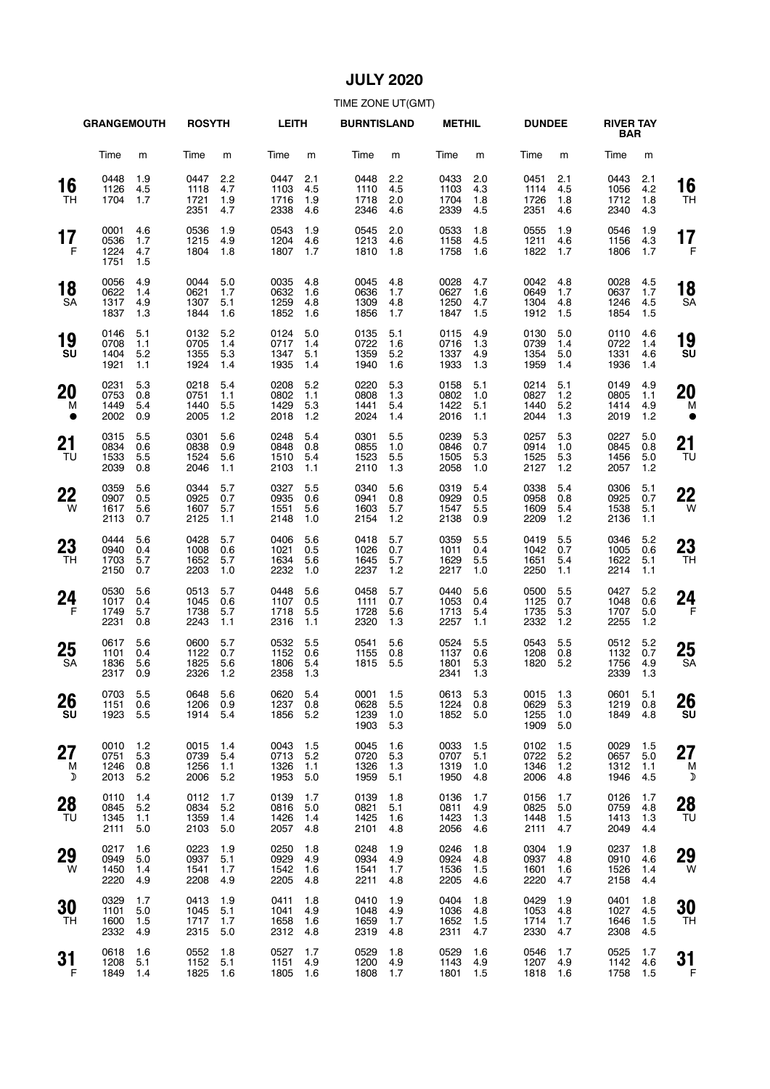## **JULY 2020**

|                      | <b>GRANGEMOUTH</b>           |                          | <b>ROSYTH</b>                |                          | <b>LEITH</b>                 |                          | <b>BURNTISLAND</b>               |                          | <b>METHIL</b>                |                          | <b>DUNDEE</b>                    |                            | <b>RIVER TAY</b><br><b>BAR</b> |                          |                 |
|----------------------|------------------------------|--------------------------|------------------------------|--------------------------|------------------------------|--------------------------|----------------------------------|--------------------------|------------------------------|--------------------------|----------------------------------|----------------------------|--------------------------------|--------------------------|-----------------|
|                      | Time                         | m                        | Time                         | m                        | Time                         | m                        | Time                             | m                        | Time                         | m                        | Time                             | m                          | Time                           | m                        |                 |
| 16<br>TH             | 0448<br>1126<br>1704         | 1.9<br>4.5<br>1.7        | 0447<br>1118<br>1721<br>2351 | 2.2<br>4.7<br>1.9<br>4.7 | 0447<br>1103<br>1716<br>2338 | 2.1<br>4.5<br>1.9<br>4.6 | 0448<br>1110<br>1718<br>2346     | 2.2<br>4.5<br>2.0<br>4.6 | 0433<br>1103<br>1704<br>2339 | 2.0<br>4.3<br>1.8<br>4.5 | 0451<br>1114<br>1726<br>2351     | 2.1<br>4.5<br>1.8<br>4.6   | 0443<br>1056<br>1712<br>2340   | 2.1<br>4.2<br>1.8<br>4.3 | 16<br>TН        |
| 17<br>F              | 0001<br>0536<br>1224<br>1751 | 4.6<br>1.7<br>4.7<br>1.5 | 0536<br>1215<br>1804         | 1.9<br>4.9<br>1.8        | 0543<br>1204<br>1807         | 1.9<br>4.6<br>1.7        | 0545<br>1213<br>1810             | 2.0<br>4.6<br>1.8        | 0533<br>1158<br>1758         | 1.8<br>4.5<br>1.6        | 0555<br>1211<br>1822             | 1.9<br>4.6<br>1.7          | 0546<br>1156<br>1806           | 1.9<br>4.3<br>1.7        | 17<br>F         |
| 18<br>SA             | 0056<br>0622<br>1317<br>1837 | 4.9<br>1.4<br>4.9<br>1.3 | 0044<br>0621<br>1307<br>1844 | 5.0<br>1.7<br>5.1<br>1.6 | 0035<br>0632<br>1259<br>1852 | 4.8<br>1.6<br>4.8<br>1.6 | 0045<br>0636<br>1309<br>1856     | 4.8<br>1.7<br>4.8<br>1.7 | 0028<br>0627<br>1250<br>1847 | 4.7<br>1.6<br>4.7<br>1.5 | 0042<br>0649<br>1304<br>1912     | 4.8<br>1.7<br>4.8<br>1.5   | 0028<br>0637<br>1246<br>1854   | 4.5<br>1.7<br>4.5<br>1.5 | 18<br><b>SA</b> |
| 19<br>SU             | 0146<br>0708<br>1404<br>1921 | 5.1<br>1.1<br>5.2<br>1.1 | 0132<br>0705<br>1355<br>1924 | 5.2<br>1.4<br>5.3<br>1.4 | 0124<br>0717<br>1347<br>1935 | 5.0<br>1.4<br>5.1<br>1.4 | 0135<br>0722<br>1359<br>1940     | 5.1<br>1.6<br>5.2<br>1.6 | 0115<br>0716<br>1337<br>1933 | 4.9<br>1.3<br>4.9<br>1.3 | 0130<br>0739<br>1354<br>1959     | 5.0<br>1.4<br>5.0<br>1.4   | 0110<br>0722<br>1331<br>1936   | 4.6<br>1.4<br>4.6<br>1.4 | 19<br>SU        |
| 20<br>м<br>$\bullet$ | 0231<br>0753<br>1449<br>2002 | 5.3<br>0.8<br>5.4<br>0.9 | 0218<br>0751<br>1440<br>2005 | 5.4<br>1.1<br>5.5<br>1.2 | 0208<br>0802<br>1429<br>2018 | 5.2<br>1.1<br>5.3<br>1.2 | 0220<br>0808<br>1441<br>2024     | 5.3<br>1.3<br>5.4<br>1.4 | 0158<br>0802<br>1422<br>2016 | 5.1<br>1.0<br>5.1<br>1.1 | 0214<br>0827<br>1440<br>2044     | 5.1<br>1.2<br>5.2<br>1.3   | 0149<br>0805<br>1414<br>2019   | 4.9<br>1.1<br>4.9<br>1.2 | 20<br>M         |
| 21<br>TU             | 0315<br>0834<br>1533<br>2039 | 5.5<br>0.6<br>5.5<br>0.8 | 0301<br>0838<br>1524<br>2046 | 5.6<br>0.9<br>5.6<br>1.1 | 0248<br>0848<br>1510<br>2103 | 5.4<br>0.8<br>5.4<br>1.1 | 0301<br>0855<br>1523<br>2110     | 5.5<br>1.0<br>5.5<br>1.3 | 0239<br>0846<br>1505<br>2058 | 5.3<br>0.7<br>5.3<br>1.0 | 0257<br>0914<br>1525<br>2127     | 5.3<br>1.0<br>5.3<br>1.2   | 0227<br>0845<br>1456<br>2057   | 5.0<br>0.8<br>5.0<br>1.2 | 21<br>TU        |
| 22<br>W              | 0359<br>0907<br>1617<br>2113 | 5.6<br>0.5<br>5.6<br>0.7 | 0344<br>0925<br>1607<br>2125 | 5.7<br>0.7<br>5.7<br>1.1 | 0327<br>0935<br>1551<br>2148 | 5.5<br>0.6<br>5.6<br>1.0 | 0340<br>0941<br>1603<br>2154     | 5.6<br>0.8<br>5.7<br>1.2 | 0319<br>0929<br>1547<br>2138 | 5.4<br>0.5<br>5.5<br>0.9 | 0338<br>0958<br>1609<br>2209     | 5.4<br>0.8<br>5.4<br>$1.2$ | 0306<br>0925<br>1538<br>2136   | 5.1<br>0.7<br>5.1<br>1.1 | 22<br>W         |
| 23<br>TH             | 0444<br>0940<br>1703<br>2150 | 5.6<br>0.4<br>5.7<br>0.7 | 0428<br>1008<br>1652<br>2203 | 5.7<br>0.6<br>5.7<br>1.0 | 0406<br>1021<br>1634<br>2232 | 5.6<br>0.5<br>5.6<br>1.0 | 0418<br>1026<br>1645<br>2237     | 5.7<br>0.7<br>5.7<br>1.2 | 0359<br>1011<br>1629<br>2217 | 5.5<br>0.4<br>5.5<br>1.0 | 0419<br>1042<br>1651<br>2250     | 5.5<br>0.7<br>5.4<br>1.1   | 0346<br>1005<br>1622<br>2214   | 5.2<br>0.6<br>5.1<br>1.1 | 23<br>TН        |
| 24<br>F              | 0530<br>1017<br>1749<br>2231 | 5.6<br>0.4<br>5.7<br>0.8 | 0513<br>1045<br>1738<br>2243 | 5.7<br>0.6<br>5.7<br>1.1 | 0448<br>1107<br>1718<br>2316 | 5.6<br>0.5<br>5.5<br>1.1 | 0458<br>1111<br>1728<br>2320     | 5.7<br>0.7<br>5.6<br>1.3 | 0440<br>1053<br>1713<br>2257 | 5.6<br>0.4<br>5.4<br>1.1 | 0500<br>1125<br>1735<br>2332     | 5.5<br>0.7<br>5.3<br>1.2   | 0427<br>1048<br>1707<br>2255   | 5.2<br>0.6<br>5.0<br>1.2 | 24<br>F         |
| 25<br>SA             | 0617<br>1101<br>1836<br>2317 | 5.6<br>0.4<br>5.6<br>0.9 | 0600<br>1122<br>1825<br>2326 | 5.7<br>0.7<br>5.6<br>1.2 | 0532<br>1152<br>1806<br>2358 | 5.5<br>0.6<br>5.4<br>1.3 | 0541<br>1155<br>1815             | 5.6<br>0.8<br>5.5        | 0524<br>1137<br>1801<br>2341 | 5.5<br>0.6<br>5.3<br>1.3 | 0543<br>1208<br>1820             | 5.5<br>0.8<br>5.2          | 0512<br>1132<br>1756<br>2339   | 5.2<br>0.7<br>4.9<br>1.3 | 25<br><b>SA</b> |
| 26<br>SU             | 0703<br>1151<br>1923         | 5.5<br>0.6<br>5.5        | 0648 5.6<br>1206<br>1914     | 0.9<br>5.4               | 0620 5.4<br>1237<br>1856     | 0.8<br>5.2               | 0001 1.5<br>0628<br>1239<br>1903 | 5.5<br>1.0<br>5.3        | 0613 5.3<br>1224<br>1852     | 0.8<br>5.0               | 0015 1.3<br>0629<br>1255<br>1909 | 5.3<br>1.0<br>5.0          | 0601 5.1<br>1219<br>1849       | 0.8<br>4.8               | 26<br>SU        |
| 27<br>M<br>D         | 0010<br>0751<br>1246<br>2013 | 1.2<br>5.3<br>0.8<br>5.2 | 0015<br>0739<br>1256<br>2006 | 1.4<br>5.4<br>1.1<br>5.2 | 0043<br>0713<br>1326<br>1953 | 1.5<br>5.2<br>1.1<br>5.0 | 0045<br>0720<br>1326<br>1959     | 1.6<br>5.3<br>1.3<br>5.1 | 0033<br>0707<br>1319<br>1950 | 1.5<br>5.1<br>1.0<br>4.8 | 0102<br>0722<br>1346<br>2006     | 1.5<br>5.2<br>$1.2$<br>4.8 | 0029<br>0657<br>1312<br>1946   | 1.5<br>5.0<br>1.1<br>4.5 | 27<br>M<br>D    |
| 28<br>TU             | 0110<br>0845<br>1345<br>2111 | 1.4<br>5.2<br>1.1<br>5.0 | 0112<br>0834<br>1359<br>2103 | 1.7<br>5.2<br>1.4<br>5.0 | 0139<br>0816<br>1426<br>2057 | 1.7<br>5.0<br>1.4<br>4.8 | 0139<br>0821<br>1425<br>2101     | 1.8<br>5.1<br>1.6<br>4.8 | 0136<br>0811<br>1423<br>2056 | 1.7<br>4.9<br>1.3<br>4.6 | 0156<br>0825<br>1448<br>2111     | 1.7<br>5.0<br>1.5<br>4.7   | 0126<br>0759<br>1413<br>2049   | 1.7<br>4.8<br>1.3<br>4.4 | 28<br>TU        |
| 29<br>W              | 0217<br>0949<br>1450<br>2220 | 1.6<br>5.0<br>1.4<br>4.9 | 0223<br>0937<br>1541<br>2208 | 1.9<br>5.1<br>1.7<br>4.9 | 0250<br>0929<br>1542<br>2205 | 1.8<br>4.9<br>1.6<br>4.8 | 0248<br>0934<br>1541<br>2211     | 1.9<br>4.9<br>1.7<br>4.8 | 0246<br>0924<br>1536<br>2205 | 1.8<br>4.8<br>1.5<br>4.6 | 0304<br>0937<br>1601<br>2220     | 1.9<br>4.8<br>1.6<br>4.7   | 0237<br>0910<br>1526<br>2158   | 1.8<br>4.6<br>1.4<br>4.4 | 29<br>W         |
| 30<br>TH             | 0329<br>1101<br>1600<br>2332 | 1.7<br>5.0<br>1.5<br>4.9 | 0413<br>1045<br>1717<br>2315 | 1.9<br>5.1<br>1.7<br>5.0 | 0411<br>1041<br>1658<br>2312 | 1.8<br>4.9<br>1.6<br>4.8 | 0410<br>1048<br>1659<br>2319     | 1.9<br>4.9<br>1.7<br>4.8 | 0404<br>1036<br>1652<br>2311 | 1.8<br>4.8<br>1.5<br>4.7 | 0429<br>1053<br>1714<br>2330     | 1.9<br>4.8<br>1.7<br>4.7   | 0401<br>1027<br>1646<br>2308   | 1.8<br>4.5<br>1.5<br>4.5 | 30<br>TН        |
| 31<br>F              | 0618<br>1208<br>1849         | 1.6<br>5.1<br>1.4        | 0552<br>1152<br>1825         | 1.8<br>5.1<br>1.6        | 0527<br>1151<br>1805         | 1.7<br>4.9<br>1.6        | 0529<br>1200<br>1808             | 1.8<br>4.9<br>1.7        | 0529<br>1143<br>1801         | 1.6<br>4.9<br>1.5        | 0546<br>1207<br>1818             | 1.7<br>4.9<br>1.6          | 0525<br>1142<br>1758           | 1.7<br>4.6<br>1.5        | 31<br>F         |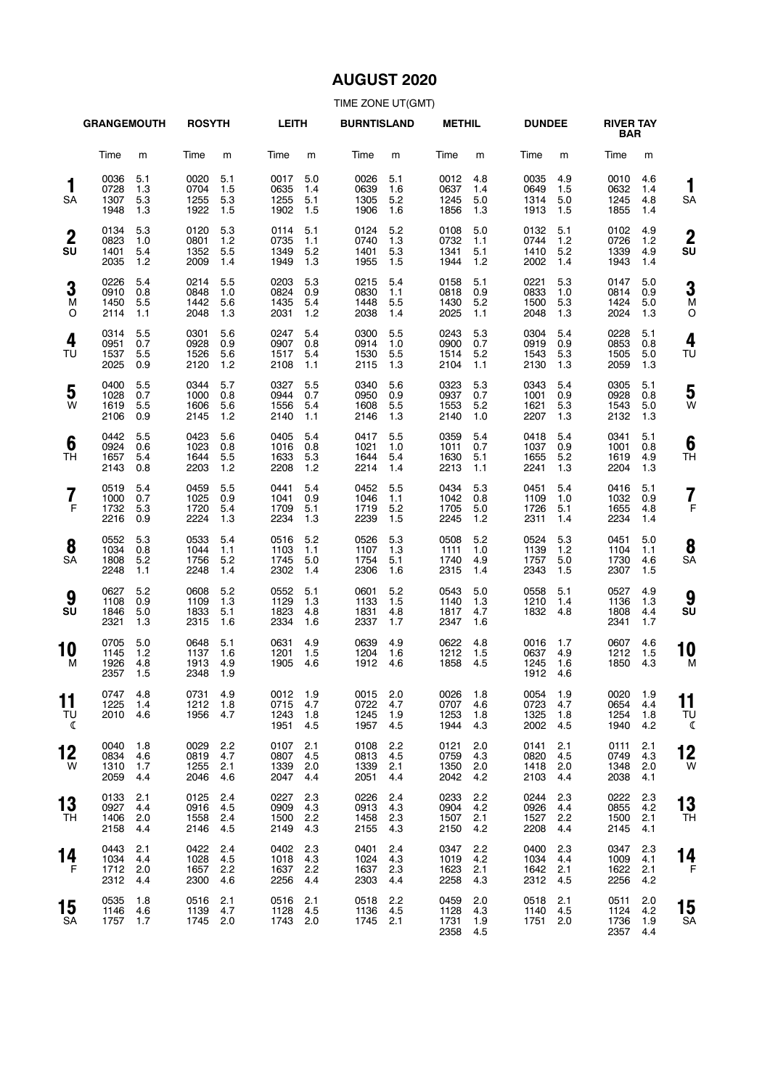# **AUGUST 2020**

|                        | <b>GRANGEMOUTH</b>           |                          | <b>ROSYTH</b>                |                          | <b>LEITH</b>                         |                          | <b>BURNTISLAND</b>               |                          | <b>METHIL</b>                    |                          | <b>DUNDEE</b>                    |                          | <b>RIVER TAY</b><br><b>BAR</b>   |                          |                      |
|------------------------|------------------------------|--------------------------|------------------------------|--------------------------|--------------------------------------|--------------------------|----------------------------------|--------------------------|----------------------------------|--------------------------|----------------------------------|--------------------------|----------------------------------|--------------------------|----------------------|
|                        | Time                         | m                        | Time                         | m                        | Time                                 | m                        | Time                             | m                        | Time                             | m                        | Time                             | m                        | Time                             | m                        |                      |
| 1<br>SA                | 0036<br>0728<br>1307<br>1948 | 5.1<br>1.3<br>5.3<br>1.3 | 0020<br>0704<br>1255<br>1922 | 5.1<br>1.5<br>5.3<br>1.5 | 0017<br>0635<br>1255<br>1902         | 5.0<br>1.4<br>5.1<br>1.5 | 0026<br>0639<br>1305<br>1906     | 5.1<br>1.6<br>5.2<br>1.6 | 0012<br>0637<br>1245<br>1856     | 4.8<br>1.4<br>5.0<br>1.3 | 0035<br>0649<br>1314<br>1913     | 4.9<br>1.5<br>5.0<br>1.5 | 0010<br>0632<br>1245<br>1855     | 4.6<br>1.4<br>4.8<br>1.4 | 1<br>SΑ              |
| $\boldsymbol{2}$<br>SU | 0134<br>0823<br>1401<br>2035 | 5.3<br>1.0<br>5.4<br>1.2 | 0120<br>0801<br>1352<br>2009 | 5.3<br>1.2<br>5.5<br>1.4 | 0114<br>0735<br>1349<br>1949         | 5.1<br>1.1<br>5.2<br>1.3 | 0124<br>0740<br>1401<br>1955     | 5.2<br>1.3<br>5.3<br>1.5 | 0108<br>0732<br>1341<br>1944     | 5.0<br>1.1<br>5.1<br>1.2 | 0132<br>0744<br>1410<br>2002     | 5.1<br>1.2<br>5.2<br>1.4 | 0102<br>0726<br>1339<br>1943     | 4.9<br>1.2<br>4.9<br>1.4 | $\overline{2}$<br>SU |
| 3<br>M<br>O            | 0226<br>0910<br>1450<br>2114 | 5.4<br>0.8<br>5.5<br>1.1 | 0214<br>0848<br>1442<br>2048 | 5.5<br>1.0<br>5.6<br>1.3 | 0203<br>0824<br>1435<br>2031         | 5.3<br>0.9<br>5.4<br>1.2 | 0215<br>0830<br>1448<br>2038     | 5.4<br>1.1<br>5.5<br>1.4 | 0158<br>0818<br>1430<br>2025     | 5.1<br>0.9<br>5.2<br>1.1 | 0221<br>0833<br>1500<br>2048     | 5.3<br>1.0<br>5.3<br>1.3 | 0147<br>0814<br>1424<br>2024     | 5.0<br>0.9<br>5.0<br>1.3 | 3<br>M<br>C          |
| 4<br>TU                | 0314<br>0951<br>1537<br>2025 | 5.5<br>0.7<br>5.5<br>0.9 | 0301<br>0928<br>1526<br>2120 | 5.6<br>0.9<br>5.6<br>1.2 | 0247<br>0907<br>1517<br>2108         | 5.4<br>0.8<br>5.4<br>1.1 | 0300<br>0914<br>1530<br>2115     | 5.5<br>1.0<br>5.5<br>1.3 | 0243<br>0900<br>1514<br>2104     | 5.3<br>0.7<br>5.2<br>1.1 | 0304<br>0919<br>1543<br>2130     | 5.4<br>0.9<br>5.3<br>1.3 | 0228<br>0853<br>1505<br>2059     | 5.1<br>0.8<br>5.0<br>1.3 | 4<br>TU              |
| 5<br>W                 | 0400<br>1028<br>1619<br>2106 | 5.5<br>0.7<br>5.5<br>0.9 | 0344<br>1000<br>1606<br>2145 | 5.7<br>0.8<br>5.6<br>1.2 | 0327<br>0944<br>1556<br>2140         | 5.5<br>0.7<br>5.4<br>1.1 | 0340<br>0950<br>1608<br>2146     | 5.6<br>0.9<br>5.5<br>1.3 | 0323<br>0937<br>1553<br>2140     | 5.3<br>0.7<br>5.2<br>1.0 | 0343<br>1001<br>1621<br>2207     | 5.4<br>0.9<br>5.3<br>1.3 | 0305<br>0928<br>1543<br>2132     | 5.1<br>0.8<br>5.0<br>1.3 | 5<br>W               |
| 6<br>TН                | 0442<br>0924<br>1657<br>2143 | 5.5<br>0.6<br>5.4<br>0.8 | 0423<br>1023<br>1644<br>2203 | 5.6<br>0.8<br>5.5<br>1.2 | 0405<br>1016<br>1633<br>2208         | 5.4<br>0.8<br>5.3<br>1.2 | 0417<br>1021<br>1644<br>2214     | 5.5<br>1.0<br>5.4<br>1.4 | 0359<br>1011<br>1630<br>2213     | 5.4<br>0.7<br>5.1<br>1.1 | 0418<br>1037<br>1655<br>2241     | 5.4<br>0.9<br>5.2<br>1.3 | 0341<br>1001<br>1619<br>2204     | 5.1<br>0.8<br>4.9<br>1.3 | 6<br>ΤH              |
| 7<br>F                 | 0519<br>1000<br>1732<br>2216 | 5.4<br>0.7<br>5.3<br>0.9 | 0459<br>1025<br>1720<br>2224 | 5.5<br>0.9<br>5.4<br>1.3 | 0441<br>1041<br>1709<br>2234         | 5.4<br>0.9<br>5.1<br>1.3 | 0452<br>1046<br>1719<br>2239     | 5.5<br>1.1<br>5.2<br>1.5 | 0434<br>1042<br>1705<br>2245     | 5.3<br>0.8<br>5.0<br>1.2 | 0451<br>1109<br>1726<br>2311     | 5.4<br>1.0<br>5.1<br>1.4 | 0416<br>1032<br>1655<br>2234     | 5.1<br>0.9<br>4.8<br>1.4 | 7<br>F               |
| 8<br><b>SA</b>         | 0552<br>1034<br>1808<br>2248 | 5.3<br>0.8<br>5.2<br>1.1 | 0533<br>1044<br>1756<br>2248 | 5.4<br>1.1<br>5.2<br>1.4 | 0516<br>1103<br>1745<br>2302         | 5.2<br>1.1<br>5.0<br>1.4 | 0526<br>1107<br>1754<br>2306     | 5.3<br>1.3<br>5.1<br>1.6 | 0508<br>1111<br>1740<br>2315     | 5.2<br>1.0<br>4.9<br>1.4 | 0524<br>1139<br>1757<br>2343     | 5.3<br>1.2<br>5.0<br>1.5 | 0451<br>1104<br>1730<br>2307     | 5.0<br>1.1<br>4.6<br>1.5 | 8<br>SA              |
| 9<br>SU                | 0627<br>1108<br>1846<br>2321 | 5.2<br>0.9<br>5.0<br>1.3 | 0608<br>1109<br>1833<br>2315 | 5.2<br>1.3<br>5.1<br>1.6 | 0552<br>1129<br>1823<br>2334         | 5.1<br>1.3<br>4.8<br>1.6 | 0601<br>1133<br>1831<br>2337     | 5.2<br>1.5<br>4.8<br>1.7 | 0543<br>1140<br>1817<br>2347     | 5.0<br>1.3<br>4.7<br>1.6 | 0558<br>1210<br>1832             | 5.1<br>1.4<br>4.8        | 0527<br>1136<br>1808<br>2341     | 4.9<br>1.3<br>4.4<br>1.7 | 9<br>SU              |
| 10<br>м                | 0705<br>1145<br>1926<br>2357 | 5.0<br>1.2<br>4.8<br>1.5 | 0648<br>1137<br>1913<br>2348 | 5.1<br>1.6<br>4.9<br>1.9 | 0631<br>1201<br>1905                 | 4.9<br>1.5<br>4.6        | 0639<br>1204<br>1912             | 4.9<br>1.6<br>4.6        | 0622<br>1212<br>1858             | 4.8<br>1.5<br>4.5        | 0016<br>0637<br>1245<br>1912     | 1.7<br>4.9<br>1.6<br>4.6 | 0607<br>1212<br>1850             | 4.6<br>1.5<br>4.3        | 10<br>M              |
| 11<br>TU<br>ℂ          | 0747 4.8<br>1225<br>2010     | 1.4<br>4.6               | 0731 4.9<br>1212<br>1956     | 1.8<br>4.7               | 0012 1.9<br>0715 4.7<br>1243<br>1951 | 1.8<br>4.5               | 0015 2.0<br>0722<br>1245<br>1957 | 4.7<br>1.9<br>4.5        | 0026 1.8<br>0707<br>1253<br>1944 | 4.6<br>1.8<br>4.3        | 0054 1.9<br>0723<br>1325<br>2002 | 4.7<br>1.8<br>4.5        | 0020 1.9<br>0654<br>1254<br>1940 | 4.4<br>1.8<br>4.2        | 11<br>ТU<br>ℭ        |
| 12<br>W                | 0040<br>0834<br>1310<br>2059 | 1.8<br>4.6<br>1.7<br>4.4 | 0029<br>0819<br>1255<br>2046 | 2.2<br>4.7<br>2.1<br>4.6 | 0107<br>0807<br>1339<br>2047         | 2.1<br>4.5<br>2.0<br>4.4 | 0108<br>0813<br>1339<br>2051     | 2.2<br>4.5<br>2.1<br>4.4 | 0121<br>0759<br>1350<br>2042     | 2.0<br>4.3<br>2.0<br>4.2 | 0141<br>0820<br>1418<br>2103     | 2.1<br>4.5<br>2.0<br>4.4 | 0111<br>0749<br>1348<br>2038     | 2.1<br>4.3<br>2.0<br>4.1 | 12<br>W              |
| 13<br>TН               | 0133<br>0927<br>1406<br>2158 | 2.1<br>4.4<br>2.0<br>4.4 | 0125<br>0916<br>1558<br>2146 | 2.4<br>4.5<br>2.4<br>4.5 | 0227<br>0909<br>1500<br>2149         | 2.3<br>4.3<br>2.2<br>4.3 | 0226<br>0913<br>1458<br>2155     | 2.4<br>4.3<br>2.3<br>4.3 | 0233<br>0904<br>1507<br>2150     | 2.2<br>4.2<br>2.1<br>4.2 | 0244<br>0926<br>1527<br>2208     | 2.3<br>4.4<br>2.2<br>4.4 | 0222<br>0855<br>1500<br>2145     | 2.3<br>4.2<br>2.1<br>4.1 | 13<br>TΗ             |
| 14<br>F                | 0443<br>1034<br>1712<br>2312 | 2.1<br>4.4<br>2.0<br>4.4 | 0422<br>1028<br>1657<br>2300 | 2.4<br>4.5<br>2.2<br>4.6 | 0402<br>1018<br>1637<br>2256         | 2.3<br>4.3<br>2.2<br>4.4 | 0401<br>1024<br>1637<br>2303     | 2.4<br>4.3<br>2.3<br>4.4 | 0347<br>1019<br>1623<br>2258     | 2.2<br>4.2<br>2.1<br>4.3 | 0400<br>1034<br>1642<br>2312     | 2.3<br>4.4<br>2.1<br>4.5 | 0347<br>1009<br>1622<br>2256     | 2.3<br>4.1<br>2.1<br>4.2 | 14<br>F              |
| 15<br>SA               | 0535<br>1146<br>1757         | 1.8<br>4.6<br>1.7        | 0516<br>1139<br>1745         | 2.1<br>4.7<br>2.0        | 0516<br>1128<br>1743 2.0             | 2.1<br>-4.5              | 0518<br>1136<br>1745 2.1         | 2.2<br>4.5               | 0459<br>1128<br>1731<br>2358     | 2.0<br>4.3<br>1.9<br>4.5 | 0518<br>1140<br>1751             | 2.1<br>4.5<br>2.0        | 0511<br>1124<br>1736<br>2357     | 2.0<br>4.2<br>1.9<br>4.4 | 15<br>SΑ             |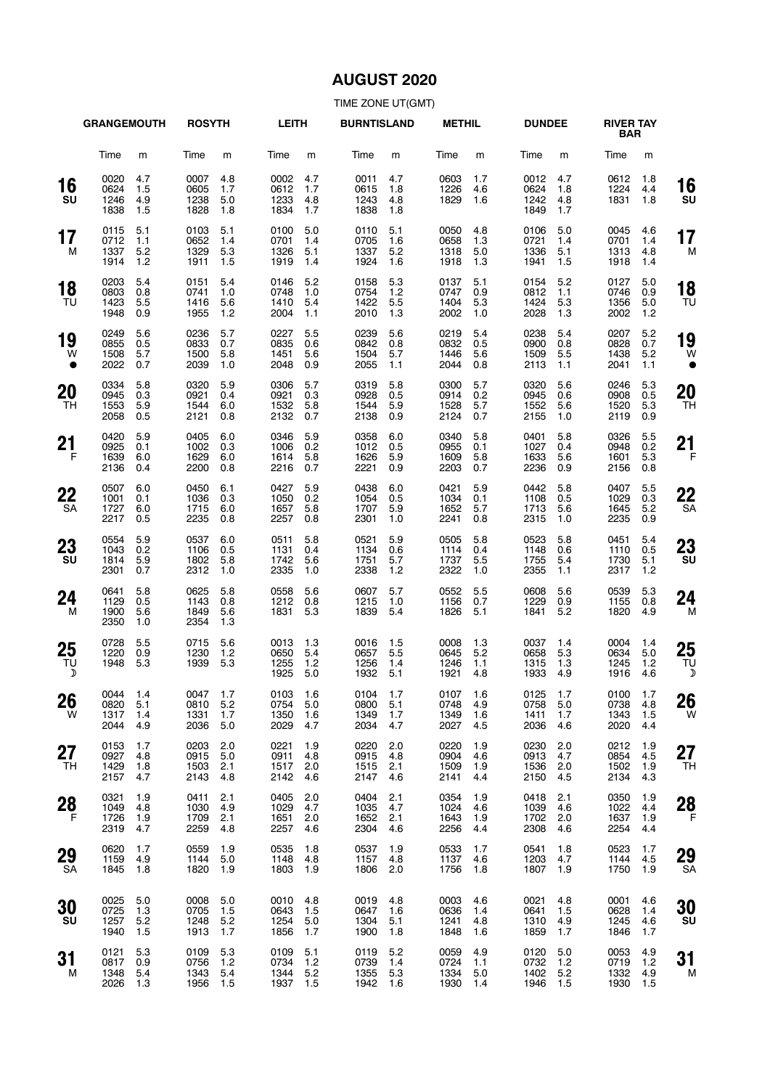# **AUGUST 2020**

|                    | <b>GRANGEMOUTH</b>               |                          | <b>ROSYTH</b>                    |                          | <b>LEITH</b>                     |                            | <b>BURNTISLAND</b>               |                          | <b>METHIL</b>                    |                          | <b>DUNDEE</b>                    |                            | <b>RIVER TAY</b><br><b>BAR</b>   |                          |                 |
|--------------------|----------------------------------|--------------------------|----------------------------------|--------------------------|----------------------------------|----------------------------|----------------------------------|--------------------------|----------------------------------|--------------------------|----------------------------------|----------------------------|----------------------------------|--------------------------|-----------------|
|                    | Time                             | m                        | Time                             | m                        | Time                             | m                          | Time                             | m                        | Time                             | m                        | Time                             | m                          | Time                             | m                        |                 |
| 16<br>SU           | 0020<br>0624<br>1246<br>1838     | 4.7<br>1.5<br>4.9<br>1.5 | 0007<br>0605<br>1238<br>1828     | 4.8<br>1.7<br>5.0<br>1.8 | 0002<br>0612<br>1233<br>1834     | 4.7<br>1.7<br>4.8<br>1.7   | 0011<br>0615<br>1243<br>1838     | 4.7<br>1.8<br>4.8<br>1.8 | 0603<br>1226<br>1829             | 1.7<br>4.6<br>1.6        | 0012<br>0624<br>1242<br>1849     | 4.7<br>1.8<br>4.8<br>1.7   | 0612<br>1224<br>1831             | 1.8<br>4.4<br>1.8        | 16<br>SU        |
| 17<br>М            | 0115<br>0712<br>1337<br>1914     | 5.1<br>1.1<br>5.2<br>1.2 | 0103<br>0652<br>1329<br>1911     | 5.1<br>1.4<br>5.3<br>1.5 | 0100<br>0701<br>1326<br>1919     | 5.0<br>1.4<br>5.1<br>1.4   | 0110<br>0705<br>1337<br>1924     | 5.1<br>1.6<br>5.2<br>1.6 | 0050<br>0658<br>1318<br>1918     | 4.8<br>1.3<br>5.0<br>1.3 | 0106<br>0721<br>1336<br>1941     | 5.0<br>1.4<br>5.1<br>1.5   | 0045<br>0701<br>1313<br>1918     | 4.6<br>1.4<br>4.8<br>1.4 | 17<br>M         |
| 18<br>TU           | 0203<br>0803<br>1423<br>1948     | 5.4<br>0.8<br>5.5<br>0.9 | 0151<br>0741<br>1416<br>1955     | 5.4<br>1.0<br>5.6<br>1.2 | 0146<br>0748<br>1410<br>2004     | 5.2<br>1.0<br>5.4<br>1.1   | 0158<br>0754<br>1422<br>2010     | 5.3<br>1.2<br>5.5<br>1.3 | 0137<br>0747<br>1404<br>2002     | 5.1<br>0.9<br>5.3<br>1.0 | 0154<br>0812<br>1424<br>2028     | 5.2<br>1.1<br>5.3<br>1.3   | 0127<br>0746<br>1356<br>2002     | 5.0<br>0.9<br>5.0<br>1.2 | 18<br>TU        |
| 19<br>W            | 0249<br>0855<br>1508<br>2022     | 5.6<br>0.5<br>5.7<br>0.7 | 0236<br>0833<br>1500<br>2039     | 5.7<br>0.7<br>5.8<br>1.0 | 0227<br>0835<br>1451<br>2048     | 5.5<br>0.6<br>5.6<br>0.9   | 0239<br>0842<br>1504<br>2055     | 5.6<br>0.8<br>5.7<br>1.1 | 0219<br>0832<br>1446<br>2044     | 5.4<br>0.5<br>5.6<br>0.8 | 0238<br>0900<br>1509<br>2113     | 5.4<br>0.8<br>5.5<br>1.1   | 0207<br>0828<br>1438<br>2041     | 5.2<br>0.7<br>5.2<br>1.1 | 19<br>W         |
| 20<br>TH           | 0334<br>0945<br>1553<br>2058     | 5.8<br>0.3<br>5.9<br>0.5 | 0320<br>0921<br>1544<br>2121     | 5.9<br>0.4<br>6.0<br>0.8 | 0306<br>0921<br>1532<br>2132     | 5.7<br>0.3<br>5.8<br>0.7   | 0319<br>0928<br>1544<br>2138     | 5.8<br>0.5<br>5.9<br>0.9 | 0300<br>0914<br>1528<br>2124     | 5.7<br>0.2<br>5.7<br>0.7 | 0320<br>0945<br>1552<br>2155     | 5.6<br>0.6<br>5.6<br>1.0   | 0246<br>0908<br>1520<br>2119     | 5.3<br>0.5<br>5.3<br>0.9 | 20<br>TH        |
| 21<br>F            | 0420<br>0925<br>1639<br>2136     | 5.9<br>0.1<br>6.0<br>0.4 | 0405<br>1002<br>1629<br>2200     | 6.0<br>0.3<br>6.0<br>0.8 | 0346<br>1006<br>1614<br>2216     | 5.9<br>0.2<br>5.8<br>0.7   | 0358<br>1012<br>1626<br>2221     | 6.0<br>0.5<br>5.9<br>0.9 | 0340<br>0955<br>1609<br>2203     | 5.8<br>0.1<br>5.8<br>0.7 | 0401<br>1027<br>1633<br>2236     | 5.8<br>0.4<br>5.6<br>0.9   | 0326<br>0948<br>1601<br>2156     | 5.5<br>0.2<br>5.3<br>0.8 | 21<br>F         |
| 22<br><b>SA</b>    | 0507<br>1001<br>1727<br>2217     | 6.0<br>0.1<br>6.0<br>0.5 | 0450<br>1036<br>1715<br>2235     | 6.1<br>0.3<br>6.0<br>0.8 | 0427<br>1050<br>1657<br>2257     | 5.9<br>0.2<br>5.8<br>0.8   | 0438<br>1054<br>1707<br>2301     | 6.0<br>0.5<br>5.9<br>1.0 | 0421<br>1034<br>1652<br>2241     | 5.9<br>0.1<br>5.7<br>0.8 | 0442<br>1108<br>1713<br>2315     | 5.8<br>0.5<br>5.6<br>1.0   | 0407<br>1029<br>1645<br>2235     | 5.5<br>0.3<br>5.2<br>0.9 | 22<br><b>SA</b> |
| 23<br>SU           | 0554<br>1043<br>1814<br>2301     | 5.9<br>0.2<br>5.9<br>0.7 | 0537<br>1106<br>1802<br>2312     | 6.0<br>0.5<br>5.8<br>1.0 | 0511<br>1131<br>1742<br>2335     | 5.8<br>0.4<br>5.6<br>1.0   | 0521<br>1134<br>1751<br>2338     | 5.9<br>0.6<br>5.7<br>1.2 | 0505<br>1114<br>1737<br>2322     | 5.8<br>0.4<br>5.5<br>1.0 | 0523<br>1148<br>1755<br>2355     | 5.8<br>0.6<br>5.4<br>1.1   | 0451<br>1110<br>1730<br>2317     | 5.4<br>0.5<br>5.1<br>1.2 | 23<br>SU        |
| 24<br>м            | 0641<br>1129<br>1900<br>2350     | 5.8<br>0.5<br>5.6<br>1.0 | 0625<br>1143<br>1849<br>2354     | 5.8<br>0.8<br>5.6<br>1.3 | 0558<br>1212<br>1831             | 5.6<br>0.8<br>5.3          | 0607<br>1215<br>1839             | 5.7<br>1.0<br>5.4        | 0552<br>1156<br>1826             | 5.5<br>0.7<br>5.1        | 0608<br>1229<br>1841             | 5.6<br>0.9<br>5.2          | 0539<br>1155<br>1820             | 5.3<br>0.8<br>4.9        | 24<br>м         |
| 25<br>TU<br>D      | 0728<br>1220<br>1948             | 5.5<br>0.9<br>5.3        | 0715<br>1230<br>1939             | 5.6<br>1.2<br>5.3        | 0013<br>0650<br>1255<br>1925     | 1.3<br>5.4<br>$1.2$<br>5.0 | 0016<br>0657<br>1256<br>1932     | 1.5<br>5.5<br>1.4<br>5.1 | 0008<br>0645<br>1246<br>1921     | 1.3<br>5.2<br>1.1<br>4.8 | 0037<br>0658<br>1315<br>1933     | 1.4<br>5.3<br>1.3<br>4.9   | 0004<br>0634<br>1245<br>1916     | 1.4<br>5.0<br>1.2<br>4.6 | 25<br>TU<br>⊅   |
| 26<br>W            | 0044 1.4<br>0820<br>1317<br>2044 | 5.1<br>1.4<br>4.9        | 0047 1.7<br>0810<br>1331<br>2036 | 5.2<br>1.7<br>5.0        | 0103 1.6<br>0754<br>1350<br>2029 | 5.0<br>1.6<br>4.7          | 0104 1.7<br>0800<br>1349<br>2034 | 5.1<br>1.7<br>4.7        | 0107 1.6<br>0748<br>1349<br>2027 | 4.9<br>1.6<br>4.5        | 0125 1.7<br>0758<br>1411<br>2036 | 5.0<br>1.7<br>4.6          | 0100 1.7<br>0738<br>1343<br>2020 | 4.8<br>1.5<br>4.4        | 26<br>W         |
| 27<br>TH           | 0153<br>0927<br>1429<br>2157     | 1.7<br>4.8<br>1.8<br>4.7 | 0203<br>0915<br>1503<br>2143     | 2.0<br>5.0<br>2.1<br>4.8 | 0221<br>0911<br>1517<br>2142     | 1.9<br>4.8<br>2.0<br>4.6   | 0220<br>0915<br>1515<br>2147     | 2.0<br>4.8<br>2.1<br>4.6 | 0220<br>0904<br>1509<br>2141     | 1.9<br>4.6<br>1.9<br>4.4 | 0230<br>0913<br>1536<br>2150     | 2.0<br>4.7<br>2.0<br>4.5   | 0212<br>0854<br>1502<br>2134     | 1.9<br>4.5<br>1.9<br>4.3 | 27<br>TH        |
| 28<br>$\mathsf{F}$ | 0321<br>1049<br>1726<br>2319     | 1.9<br>4.8<br>1.9<br>4.7 | 0411<br>1030<br>1709<br>2259     | 2.1<br>4.9<br>2.1<br>4.8 | 0405<br>1029<br>1651<br>2257     | 2.0<br>4.7<br>2.0<br>4.6   | 0404<br>1035<br>1652<br>2304     | 2.1<br>4.7<br>2.1<br>4.6 | 0354<br>1024<br>1643<br>2256     | 1.9<br>4.6<br>1.9<br>4.4 | 0418<br>1039<br>1702<br>2308     | 2.1<br>4.6<br>2.0<br>4.6   | 0350<br>1022<br>1637<br>2254     | 1.9<br>4.4<br>1.9<br>4.4 | 28<br>F         |
| 29<br>SA           | 0620<br>1159<br>1845             | 1.7<br>4.9<br>1.8        | 0559<br>1144<br>1820             | 1.9<br>5.0<br>1.9        | 0535<br>1148<br>1803             | 1.8<br>4.8<br>1.9          | 0537<br>1157<br>1806             | 1.9<br>4.8<br>2.0        | 0533<br>1137<br>1756             | 1.7<br>4.6<br>1.8        | 0541<br>1203<br>1807             | 1.8<br>4.7<br>1.9          | 0523<br>1144<br>1750             | 1.7<br>4.5<br>1.9        | 29<br><b>SA</b> |
| 30<br>SU           | 0025<br>0725<br>1257<br>1940     | 5.0<br>1.3<br>5.2<br>1.5 | 0008<br>0705<br>1248<br>1913     | 5.0<br>1.5<br>5.2<br>1.7 | 0010<br>0643<br>1254<br>1856     | 4.8<br>1.5<br>5.0<br>1.7   | 0019<br>0647<br>1304<br>1900     | 4.8<br>1.6<br>5.1<br>1.8 | 0003<br>0636<br>1241<br>1848     | 4.6<br>1.4<br>4.8<br>1.6 | 0021<br>0641<br>1310<br>1859     | 4.8<br>1.5<br>4.9<br>1.7   | 0001<br>0628<br>1245<br>1846     | 4.6<br>1.4<br>4.6<br>1.7 | 30<br>SU        |
| 31<br>м            | 0121<br>0817<br>1348<br>2026     | 5.3<br>0.9<br>5.4<br>1.3 | 0109<br>0756<br>1343<br>1956     | 5.3<br>1.2<br>5.4<br>1.5 | 0109<br>0734<br>1344<br>1937     | 5.1<br>1.2<br>5.2<br>1.5   | 0119<br>0739<br>1355<br>1942     | 5.2<br>1.4<br>5.3<br>1.6 | 0059<br>0724<br>1334<br>1930     | 4.9<br>1.1<br>5.0<br>1.4 | 0120<br>0732<br>1402<br>1946     | 5.0<br>$1.2$<br>5.2<br>1.5 | 0053<br>0719<br>1332<br>1930     | 4.9<br>1.2<br>4.9<br>1.5 | 31<br>M         |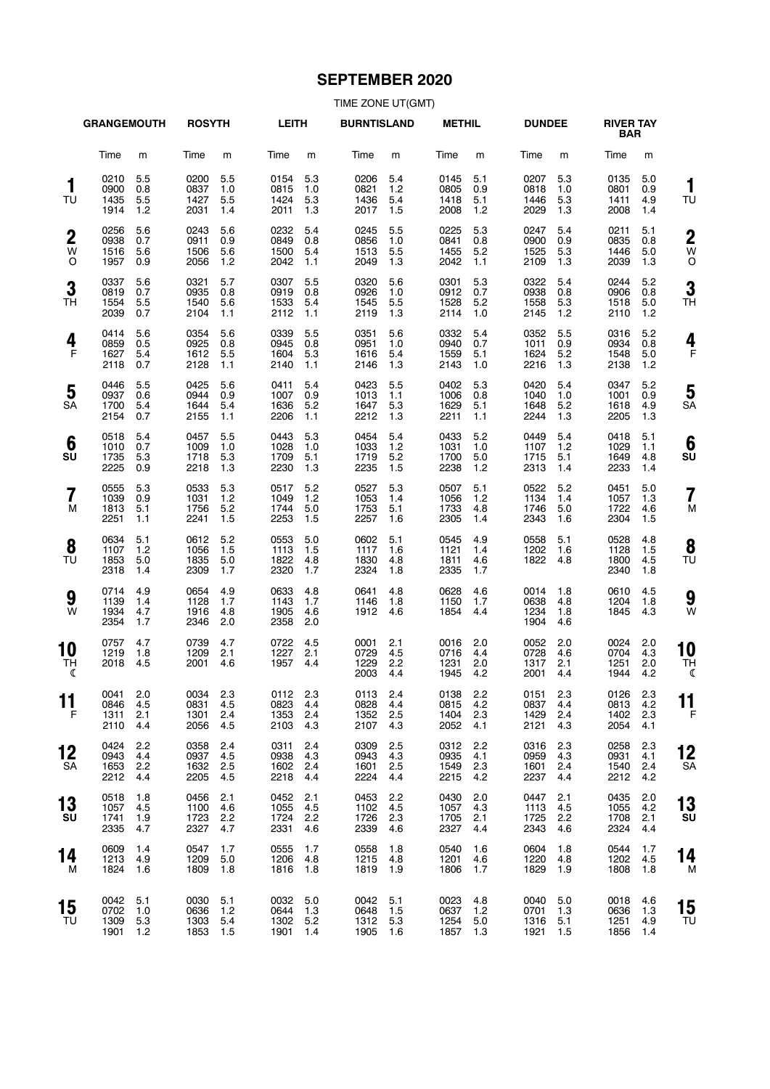# **SEPTEMBER 2020**

|                            | <b>GRANGEMOUTH</b>           |                          | <b>ROSYTH</b>                    |                          | <b>LEITH</b>                         |                          | <b>BURNTISLAND</b>                   |                          | <b>METHIL</b>                    |                          | <b>DUNDEE</b>                    |                            | <b>RIVER TAY</b><br><b>BAR</b>   |                          |                          |
|----------------------------|------------------------------|--------------------------|----------------------------------|--------------------------|--------------------------------------|--------------------------|--------------------------------------|--------------------------|----------------------------------|--------------------------|----------------------------------|----------------------------|----------------------------------|--------------------------|--------------------------|
|                            | Time                         | m                        | Time                             | m                        | Time                                 | m                        | Time                                 | m                        | Time                             | m                        | Time                             | m                          | Time                             | m                        |                          |
| 1<br>TU                    | 0210<br>0900<br>1435<br>1914 | 5.5<br>0.8<br>5.5<br>1.2 | 0200<br>0837<br>1427<br>2031     | 5.5<br>1.0<br>5.5<br>1.4 | 0154<br>0815<br>1424<br>2011         | 5.3<br>1.0<br>5.3<br>1.3 | 0206<br>0821<br>1436<br>2017         | 5.4<br>1.2<br>5.4<br>1.5 | 0145<br>0805<br>1418<br>2008     | 5.1<br>0.9<br>5.1<br>1.2 | 0207<br>0818<br>1446<br>2029     | 5.3<br>1.0<br>5.3<br>1.3   | 0135<br>0801<br>1411<br>2008     | 5.0<br>0.9<br>4.9<br>1.4 | 1<br>TU                  |
| $\boldsymbol{2}$<br>W<br>O | 0256<br>0938<br>1516<br>1957 | 5.6<br>0.7<br>5.6<br>0.9 | 0243<br>0911<br>1506<br>2056     | 5.6<br>0.9<br>5.6<br>1.2 | 0232<br>0849<br>1500<br>2042         | 5.4<br>0.8<br>5.4<br>1.1 | 0245<br>0856<br>1513<br>2049         | 5.5<br>1.0<br>5.5<br>1.3 | 0225<br>0841<br>1455<br>2042     | 5.3<br>0.8<br>5.2<br>1.1 | 0247<br>0900<br>1525<br>2109     | 5.4<br>0.9<br>5.3<br>1.3   | 0211<br>0835<br>1446<br>2039     | 5.1<br>0.8<br>5.0<br>1.3 | $\overline{2}$<br>W<br>C |
| 3<br>TН                    | 0337<br>0819<br>1554<br>2039 | 5.6<br>0.7<br>5.5<br>0.7 | 0321<br>0935<br>1540<br>2104     | 5.7<br>0.8<br>5.6<br>1.1 | 0307<br>0919<br>1533<br>2112         | 5.5<br>0.8<br>5.4<br>1.1 | 0320<br>0926<br>1545<br>2119         | 5.6<br>1.0<br>5.5<br>1.3 | 0301<br>0912<br>1528<br>2114     | 5.3<br>0.7<br>5.2<br>1.0 | 0322<br>0938<br>1558<br>2145     | 5.4<br>0.8<br>5.3<br>1.2   | 0244<br>0906<br>1518<br>2110     | 5.2<br>0.8<br>5.0<br>1.2 | 3<br>ΤH                  |
| 4<br>F                     | 0414<br>0859<br>1627<br>2118 | 5.6<br>0.5<br>5.4<br>0.7 | 0354<br>0925<br>1612<br>2128     | 5.6<br>0.8<br>5.5<br>1.1 | 0339<br>0945<br>1604<br>2140         | 5.5<br>0.8<br>5.3<br>1.1 | 0351<br>0951<br>1616<br>2146         | 5.6<br>1.0<br>5.4<br>1.3 | 0332<br>0940<br>1559<br>2143     | 5.4<br>0.7<br>5.1<br>1.0 | 0352<br>1011<br>1624<br>2216     | 5.5<br>0.9<br>5.2<br>1.3   | 0316<br>0934<br>1548<br>2138     | 5.2<br>0.8<br>5.0<br>1.2 | 4<br>F                   |
| 5<br>SA                    | 0446<br>0937<br>1700<br>2154 | 5.5<br>0.6<br>5.4<br>0.7 | 0425<br>0944<br>1644<br>2155     | 5.6<br>0.9<br>5.4<br>1.1 | 0411<br>1007<br>1636<br>2206         | 5.4<br>0.9<br>5.2<br>1.1 | 0423<br>1013<br>1647<br>2212         | 5.5<br>1.1<br>5.3<br>1.3 | 0402<br>1006<br>1629<br>2211     | 5.3<br>0.8<br>5.1<br>1.1 | 0420<br>1040<br>1648<br>2244     | 5.4<br>1.0<br>5.2<br>1.3   | 0347<br>1001<br>1618<br>2205     | 5.2<br>0.9<br>4.9<br>1.3 | 5<br>SΑ                  |
| 6<br>SU                    | 0518<br>1010<br>1735<br>2225 | 5.4<br>0.7<br>5.3<br>0.9 | 0457<br>1009<br>1718<br>2218     | 5.5<br>1.0<br>5.3<br>1.3 | 0443<br>1028<br>1709<br>2230         | 5.3<br>1.0<br>5.1<br>1.3 | 0454<br>1033<br>1719<br>2235         | 5.4<br>1.2<br>5.2<br>1.5 | 0433<br>1031<br>1700<br>2238     | 5.2<br>1.0<br>5.0<br>1.2 | 0449<br>1107<br>1715<br>2313     | 5.4<br>1.2<br>5.1<br>1.4   | 0418<br>1029<br>1649<br>2233     | 5.1<br>1.1<br>4.8<br>1.4 | 6<br>su                  |
| $\overline{7}$<br>M        | 0555<br>1039<br>1813<br>2251 | 5.3<br>0.9<br>5.1<br>1.1 | 0533<br>1031<br>1756<br>2241     | 5.3<br>1.2<br>5.2<br>1.5 | 0517<br>1049<br>1744<br>2253         | 5.2<br>1.2<br>5.0<br>1.5 | 0527<br>1053<br>1753<br>2257         | 5.3<br>1.4<br>5.1<br>1.6 | 0507<br>1056<br>1733<br>2305     | 5.1<br>1.2<br>4.8<br>1.4 | 0522<br>1134<br>1746<br>2343     | 5.2<br>1.4<br>5.0<br>1.6   | 0451<br>1057<br>1722<br>2304     | 5.0<br>1.3<br>4.6<br>1.5 | 7<br>M                   |
| 8<br>TU                    | 0634<br>1107<br>1853<br>2318 | 5.1<br>1.2<br>5.0<br>1.4 | 0612<br>1056<br>1835<br>2309     | 5.2<br>1.5<br>5.0<br>1.7 | 0553<br>1113<br>1822<br>2320         | 5.0<br>1.5<br>4.8<br>1.7 | 0602<br>1117<br>1830<br>2324         | 5.1<br>1.6<br>4.8<br>1.8 | 0545<br>1121<br>1811<br>2335     | 4.9<br>1.4<br>4.6<br>1.7 | 0558<br>1202<br>1822             | 5.1<br>1.6<br>4.8          | 0528<br>1128<br>1800<br>2340     | 4.8<br>1.5<br>4.5<br>1.8 | 8<br>ΤU                  |
| 9<br>W                     | 0714<br>1139<br>1934<br>2354 | 4.9<br>1.4<br>4.7<br>1.7 | 0654<br>1128<br>1916<br>2346     | 4.9<br>1.7<br>4.8<br>2.0 | 0633<br>1143<br>1905<br>2358         | 4.8<br>1.7<br>4.6<br>2.0 | 0641<br>1146<br>1912                 | 4.8<br>1.8<br>4.6        | 0628<br>1150<br>1854             | 4.6<br>1.7<br>4.4        | 0014<br>0638<br>1234<br>1904     | 1.8<br>4.8<br>1.8<br>4.6   | 0610<br>1204<br>1845             | 4.5<br>1.8<br>4.3        | 9<br>W                   |
| 10<br>TН<br>ℭ              | 0757<br>1219<br>2018         | 4.7<br>1.8<br>4.5        | 0739<br>1209<br>2001             | 4.7<br>2.1<br>4.6        | 0722<br>1227<br>1957                 | 4.5<br>2.1<br>4.4        | 0001<br>0729<br>1229<br>2003         | 2.1<br>4.5<br>2.2<br>4.4 | 0016<br>0716<br>1231<br>1945     | 2.0<br>4.4<br>2.0<br>4.2 | 0052<br>0728<br>1317<br>2001     | 2.0<br>4.6<br>2.1<br>4.4   | 0024<br>0704<br>1251<br>1944     | 2.0<br>4.3<br>2.0<br>4.2 | 10<br><b>TH</b><br>ℭ     |
| 11<br>F                    | 0041<br>0846<br>1311<br>2110 | 2.0<br>4.5<br>2.1<br>4.4 | 0034 2.3<br>0831<br>1301<br>2056 | 4.5<br>2.4<br>4.5        | 0112 2.3<br>0823 4.4<br>1353<br>2103 | 2.4<br>4.3               | 0113 2.4<br>0828 4.4<br>1352<br>2107 | 2.5<br>4.3               | 0138 2.2<br>0815<br>1404<br>2052 | 4.2<br>2.3<br>4.1        | 0151 2.3<br>0837<br>1429<br>2121 | 4.4<br>2.4<br>4.3          | 0126 2.3<br>0813<br>1402<br>2054 | 4.2<br>2.3<br>4.1        | 11<br>F                  |
| 12<br>SA                   | 0424<br>0943<br>1653<br>2212 | 2.2<br>4.4<br>2.2<br>4.4 | 0358<br>0937<br>1632<br>2205     | 2.4<br>4.5<br>2.5<br>4.5 | 0311<br>0938<br>1602<br>2218         | 2.4<br>4.3<br>2.4<br>4.4 | 0309<br>0943<br>1601<br>2224         | 2.5<br>4.3<br>2.5<br>4.4 | 0312<br>0935<br>1549<br>2215     | 2.2<br>4.1<br>2.3<br>4.2 | 0316<br>0959<br>1601<br>2237     | 2.3<br>4.3<br>2.4<br>4.4   | 0258<br>0931<br>1540<br>2212     | 2.3<br>4.1<br>2.4<br>4.2 | 12<br>SΑ                 |
| 13<br>SU                   | 0518<br>1057<br>1741<br>2335 | 1.8<br>4.5<br>1.9<br>4.7 | 0456<br>1100<br>1723<br>2327     | 2.1<br>4.6<br>2.2<br>4.7 | 0452<br>1055<br>1724<br>2331         | 2.1<br>4.5<br>2.2<br>4.6 | 0453<br>1102<br>1726<br>2339         | 2.2<br>4.5<br>2.3<br>4.6 | 0430<br>1057<br>1705<br>2327     | 2.0<br>4.3<br>2.1<br>4.4 | 0447<br>1113<br>1725<br>2343     | 2.1<br>4.5<br>2.2<br>4.6   | 0435<br>1055<br>1708<br>2324     | 2.0<br>4.2<br>2.1<br>4.4 | 13<br>su                 |
| 14<br>м                    | 0609<br>1213<br>1824         | 1.4<br>4.9<br>1.6        | 0547<br>1209<br>1809             | 1.7<br>5.0<br>1.8        | 0555<br>1206<br>1816                 | 1.7<br>4.8<br>$-1.8$     | 0558<br>1215<br>1819 1.9             | 1.8<br>4.8               | 0540<br>1201<br>1806             | 1.6<br>4.6<br>1.7        | 0604<br>1220<br>1829             | 1.8<br>4.8<br>1.9          | 0544<br>1202<br>1808             | 1.7<br>4.5<br>1.8        | 14<br>N                  |
| 15<br>TU                   | 0042<br>0702<br>1309<br>1901 | 5.1<br>1.0<br>5.3<br>1.2 | 0030<br>0636<br>1303<br>1853     | 5.1<br>1.2<br>5.4<br>1.5 | 0032<br>0644<br>1302 5.2<br>1901     | 5.0<br>1.3<br>1.4        | 0042<br>0648<br>1312<br>1905         | 5.1<br>1.5<br>5.3<br>1.6 | 0023<br>0637<br>1254<br>1857     | 4.8<br>1.2<br>5.0<br>1.3 | 0040<br>0701<br>1316<br>1921     | 5.0<br>1.3<br>5.1<br>- 1.5 | 0018<br>0636<br>1251<br>1856     | 4.6<br>1.3<br>4.9<br>1.4 | 15<br>TU                 |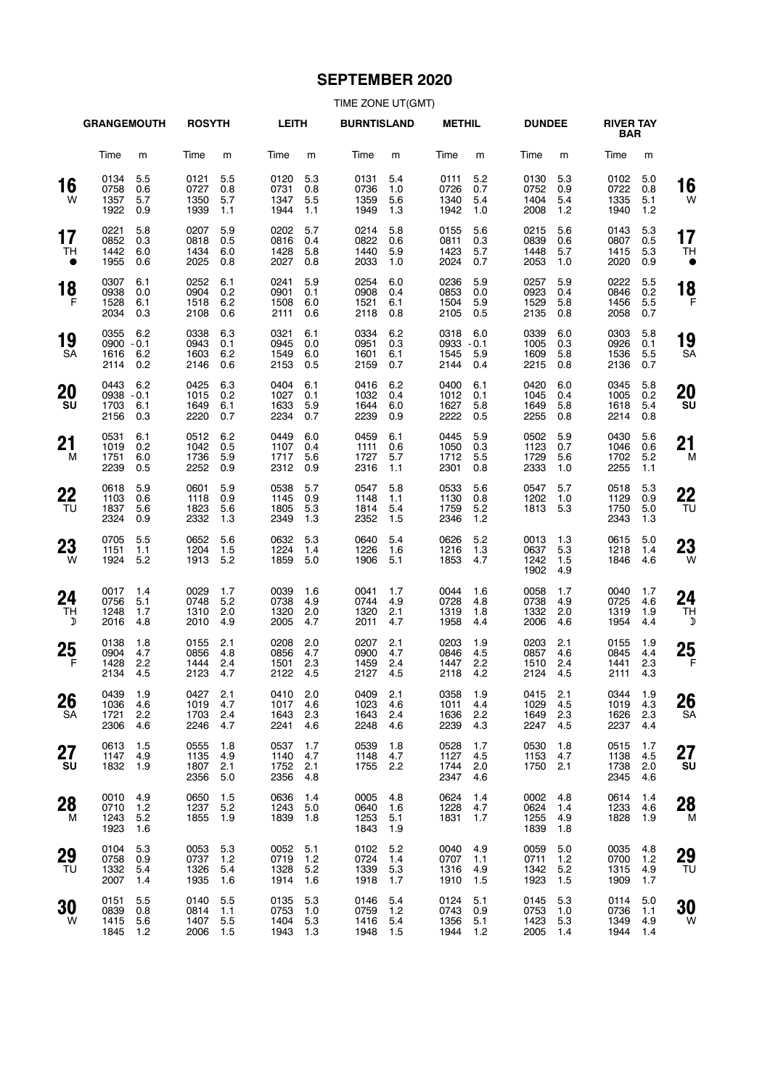# **SEPTEMBER 2020**

| TIME ZONE UT(GMT) |  |  |
|-------------------|--|--|
|-------------------|--|--|

|                           | <b>GRANGEMOUTH</b>                   |                          | <b>ROSYTH</b>                        |                          | <b>LEITH</b>                         |                          | <b>BURNTISLAND</b>                   |                          | <b>METHIL</b>                    |                             | <b>DUNDEE</b>                    |                              | <b>RIVER TAY</b><br><b>BAR</b> |                          |                                  |
|---------------------------|--------------------------------------|--------------------------|--------------------------------------|--------------------------|--------------------------------------|--------------------------|--------------------------------------|--------------------------|----------------------------------|-----------------------------|----------------------------------|------------------------------|--------------------------------|--------------------------|----------------------------------|
|                           | Time                                 | m                        | Time                                 | m                        | Time                                 | m                        | Time                                 | m                        | Time                             | m                           | Time                             | m                            | Time                           | m                        |                                  |
| 16<br>W                   | 0134<br>0758<br>1357<br>1922         | 5.5<br>0.6<br>5.7<br>0.9 | 0121<br>0727<br>1350<br>1939         | 5.5<br>0.8<br>5.7<br>1.1 | 0120<br>0731<br>1347<br>1944         | 5.3<br>0.8<br>5.5<br>1.1 | 0131<br>0736<br>1359<br>1949         | 5.4<br>1.0<br>5.6<br>1.3 | 0111<br>0726<br>1340<br>1942     | 5.2<br>0.7<br>5.4<br>1.0    | 0130<br>0752<br>1404<br>2008     | 5.3<br>0.9<br>5.4<br>1.2     | 0102<br>0722<br>1335<br>1940   | 5.0<br>0.8<br>5.1<br>1.2 | 16<br>W                          |
| 17<br>TH<br>$\bullet$     | 0221<br>0852<br>1442<br>1955         | 5.8<br>0.3<br>6.0<br>0.6 | 0207<br>0818<br>1434<br>2025         | 5.9<br>0.5<br>6.0<br>0.8 | 0202<br>0816<br>1428<br>2027         | 5.7<br>0.4<br>5.8<br>0.8 | 0214<br>0822<br>1440<br>2033         | 5.8<br>0.6<br>5.9<br>1.0 | 0155<br>0811<br>1423<br>2024     | 5.6<br>0.3<br>5.7<br>0.7    | 0215<br>0839<br>1448<br>2053     | 5.6<br>0.6<br>5.7<br>1.0     | 0143<br>0807<br>1415<br>2020   | 5.3<br>0.5<br>5.3<br>0.9 | 17<br><b>TH</b>                  |
| 18<br>$\mathsf{F}$        | 0307<br>0938<br>1528<br>2034         | 6.1<br>0.0<br>6.1<br>0.3 | 0252<br>0904<br>1518<br>2108         | 6.1<br>0.2<br>6.2<br>0.6 | 0241<br>0901<br>1508<br>2111         | 5.9<br>0.1<br>6.0<br>0.6 | 0254<br>0908<br>1521<br>2118         | 6.0<br>0.4<br>6.1<br>0.8 | 0236<br>0853<br>1504<br>2105     | 5.9<br>0.0<br>5.9<br>0.5    | 0257<br>0923<br>1529<br>2135     | 5.9<br>0.4<br>5.8<br>0.8     | 0222<br>0846<br>1456<br>2058   | 5.5<br>0.2<br>5.5<br>0.7 | 18<br>F                          |
| 19<br><b>SA</b>           | 0355<br>$0900 - 0.1$<br>1616<br>2114 | 6.2<br>6.2<br>0.2        | 0338<br>0943<br>1603<br>2146         | 6.3<br>0.1<br>6.2<br>0.6 | 0321<br>0945<br>1549<br>2153         | 6.1<br>0.0<br>6.0<br>0.5 | 0334<br>0951<br>1601<br>2159         | 6.2<br>0.3<br>6.1<br>0.7 | 0318<br>0933<br>1545<br>2144     | 6.0<br>$-0.1$<br>5.9<br>0.4 | 0339<br>1005<br>1609<br>2215     | 6.0<br>0.3<br>5.8<br>0.8     | 0303<br>0926<br>1536<br>2136   | 5.8<br>0.1<br>5.5<br>0.7 | 19<br><b>SA</b>                  |
| 20<br><b>SU</b>           | 0443<br>$0938 - 0.1$<br>1703<br>2156 | 6.2<br>6.1<br>0.3        | 0425<br>1015<br>1649<br>2220         | 6.3<br>0.2<br>6.1<br>0.7 | 0404<br>1027<br>1633<br>2234         | 6.1<br>0.1<br>5.9<br>0.7 | 0416<br>1032<br>1644<br>2239         | 6.2<br>0.4<br>6.0<br>0.9 | 0400<br>1012<br>1627<br>2222     | 6.1<br>0.1<br>5.8<br>0.5    | 0420<br>1045<br>1649<br>2255     | 6.0<br>0.4<br>5.8<br>0.8     | 0345<br>1005<br>1618<br>2214   | 5.8<br>0.2<br>5.4<br>0.8 | 20<br>SU                         |
| 21<br>М                   | 0531<br>1019<br>1751<br>2239         | 6.1<br>0.2<br>6.0<br>0.5 | 0512<br>1042<br>1736<br>2252         | 6.2<br>0.5<br>5.9<br>0.9 | 0449<br>1107<br>1717<br>2312         | 6.0<br>0.4<br>5.6<br>0.9 | 0459<br>1111<br>1727<br>2316         | 6.1<br>0.6<br>5.7<br>1.1 | 0445<br>1050<br>1712<br>2301     | 5.9<br>0.3<br>5.5<br>0.8    | 0502<br>1123<br>1729<br>2333     | 5.9<br>0.7<br>5.6<br>1.0     | 0430<br>1046<br>1702<br>2255   | 5.6<br>0.6<br>5.2<br>1.1 | 21<br>M                          |
| 22<br>TU                  | 0618<br>1103<br>1837<br>2324         | 5.9<br>0.6<br>5.6<br>0.9 | 0601<br>1118<br>1823<br>2332         | 5.9<br>0.9<br>5.6<br>1.3 | 0538<br>1145<br>1805<br>2349         | 5.7<br>0.9<br>5.3<br>1.3 | 0547<br>1148<br>1814<br>2352         | 5.8<br>1.1<br>5.4<br>1.5 | 0533<br>1130<br>1759<br>2346     | 5.6<br>0.8<br>5.2<br>1.2    | 0547<br>1202<br>1813             | 5.7<br>1.0<br>5.3            | 0518<br>1129<br>1750<br>2343   | 5.3<br>0.9<br>5.0<br>1.3 | 22<br>TU                         |
| 23<br>- W                 | 0705<br>1151<br>1924                 | 5.5<br>1.1<br>5.2        | 0652<br>1204<br>1913                 | 5.6<br>1.5<br>5.2        | 0632<br>1224<br>1859                 | 5.3<br>1.4<br>5.0        | 0640<br>1226<br>1906                 | 5.4<br>1.6<br>5.1        | 0626<br>1216<br>1853             | 5.2<br>1.3<br>4.7           | 0013<br>0637<br>1242<br>1902     | 1.3<br>5.3<br>1.5<br>4.9     | 0615<br>1218<br>1846           | 5.0<br>1.4<br>4.6        | 23<br>W                          |
| 24<br>TH<br>$\mathcal{D}$ | 0017<br>0756<br>1248<br>2016         | 1.4<br>5.1<br>1.7<br>4.8 | 0029<br>0748<br>1310<br>2010         | 1.7<br>5.2<br>2.0<br>4.9 | 0039<br>0738<br>1320<br>2005         | 1.6<br>4.9<br>2.0<br>4.7 | 0041<br>0744<br>1320<br>2011         | 1.7<br>4.9<br>2.1<br>4.7 | 0044<br>0728<br>1319<br>1958     | 1.6<br>4.8<br>1.8<br>4.4    | 0058<br>0738<br>1332<br>2006     | 1.7<br>4.9<br>2.0<br>4.6     | 0040<br>0725<br>1319<br>1954   | 1.7<br>4.6<br>1.9<br>4.4 | 24<br><b>TH</b><br>$\mathcal{D}$ |
| 25<br>F                   | 0138<br>0904<br>1428<br>2134         | 1.8<br>4.7<br>2.2<br>4.5 | 0155<br>0856<br>1444<br>2123         | 2.1<br>4.8<br>2.4<br>4.7 | 0208<br>0856<br>1501<br>2122         | 2.0<br>4.7<br>2.3<br>4.5 | 0207<br>0900<br>1459<br>2127         | 2.1<br>4.7<br>2.4<br>4.5 | 0203<br>0846<br>1447<br>2118     | 1.9<br>4.5<br>2.2<br>4.2    | 0203<br>0857<br>1510<br>2124     | 2.1<br>4.6<br>2.4<br>4.5     | 0155<br>0845<br>1441<br>2111   | 1.9<br>4.4<br>2.3<br>4.3 | 25<br>F                          |
| 26<br>SA                  | 0439 1.9<br>1036<br>1721<br>2306     | 4.6<br>2.2<br>4.6        | 0427 2.1<br>1019 4.7<br>1703<br>2246 | 2.4<br>4.7               | 0410 2.0<br>1017<br>1643<br>2241     | 4.6<br>2.3<br>4.6        | 0409 2.1<br>1023<br>1643<br>2248     | 4.6<br>2.4<br>4.6        | 0358 1.9<br>1011<br>1636<br>2239 | 4.4<br>2.2<br>4.3           | 0415 2.1<br>1029<br>1649<br>2247 | 4.5<br>2.3<br>4.5            | 0344<br>1019<br>1626<br>2237   | 1.9<br>4.3<br>2.3<br>4.4 | 26<br><b>SA</b>                  |
| 27<br>SU                  | 0613<br>1147<br>1832                 | 1.5<br>4.9<br>1.9        | 0555<br>1135<br>1807<br>2356         | 1.8<br>4.9<br>2.1<br>5.0 | 0537<br>1140<br>1752<br>2356         | 1.7<br>4.7<br>2.1<br>4.8 | 0539<br>1148<br>1755                 | 1.8<br>4.7<br>2.2        | 0528<br>1127<br>1744<br>2347     | 1.7<br>4.5<br>2.0<br>4.6    | 0530<br>1153<br>1750             | 1.8<br>4.7<br>2.1            | 0515<br>1138<br>1738<br>2345   | 1.7<br>4.5<br>2.0<br>4.6 | 27<br>SU                         |
| 28<br>M                   | 0010<br>0710<br>1243<br>1923         | 4.9<br>1.2<br>5.2<br>1.6 | 0650<br>1237<br>1855                 | 1.5<br>5.2<br>1.9        | 0636<br>1243<br>1839                 | 1.4<br>5.0<br>1.8        | 0005<br>0640<br>1253<br>1843         | 4.8<br>1.6<br>5.1<br>1.9 | 0624<br>1228<br>1831             | 1.4<br>4.7<br>1.7           | 0002<br>0624<br>1255<br>1839     | 4.8<br>1.4<br>4.9<br>1.8     | 0614<br>1233<br>1828           | 1.4<br>4.6<br>1.9        | 28<br>M                          |
| 29<br>TU                  | 0104<br>0758<br>1332<br>2007         | 5.3<br>0.9<br>5.4<br>1.4 | 0053<br>0737<br>1326<br>1935         | 5.3<br>1.2<br>5.4<br>1.6 | 0052<br>0719<br>1328<br>1914         | 5.1<br>1.2<br>5.2<br>1.6 | 0102<br>0724<br>1339<br>1918         | 5.2<br>1.4<br>5.3<br>1.7 | 0040<br>0707<br>1316<br>1910     | 4.9<br>1.1<br>4.9<br>1.5    | 0059<br>0711<br>1342<br>1923     | 5.0<br>$1.2$<br>5.2<br>$1.5$ | 0035<br>0700<br>1315<br>1909   | 4.8<br>1.2<br>4.9<br>1.7 | 29<br>TU                         |
| 30<br>W                   | 0151<br>0839<br>1415<br>1845         | 5.5<br>0.8<br>5.6<br>1.2 | 0140<br>0814<br>1407<br>2006         | 5.5<br>1.1<br>5.5<br>1.5 | 0135<br>0753<br>1404 5.3<br>1943 1.3 | 5.3<br>1.0               | 0146<br>0759<br>1416 5.4<br>1948 1.5 | 5.4<br>1.2               | 0124<br>0743<br>1356<br>1944 1.2 | 5.1<br>0.9<br>5.1           | 0145<br>0753<br>1423<br>2005     | 5.3<br>1.0<br>5.3<br>1.4     | 0114<br>0736<br>1349<br>1944   | 5.0<br>1.1<br>4.9<br>1.4 | 30<br>W                          |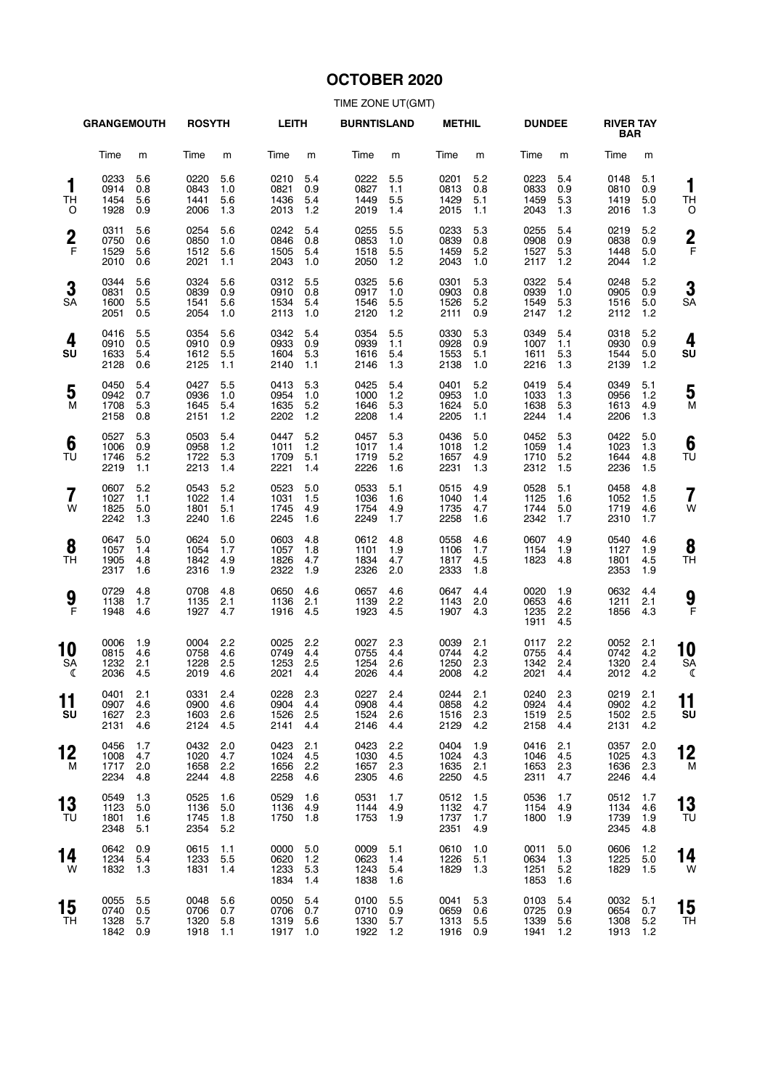# **OCTOBER 2020**

|                              | <b>GRANGEMOUTH</b>           |                          | <b>ROSYTH</b>                    |                          | <b>LEITH</b>                     |                          | <b>BURNTISLAND</b>               |                            | <b>METHIL</b>                    |                          | <b>DUNDEE</b>                |                          | <b>RIVER TAY</b><br><b>BAR</b> |                          |                     |
|------------------------------|------------------------------|--------------------------|----------------------------------|--------------------------|----------------------------------|--------------------------|----------------------------------|----------------------------|----------------------------------|--------------------------|------------------------------|--------------------------|--------------------------------|--------------------------|---------------------|
|                              | Time                         | m                        | Time                             | m                        | Time                             | m                        | Time                             | m                          | Time                             | m                        | Time                         | m                        | Time                           | m                        |                     |
| 1<br><b>TH</b><br>O          | 0233<br>0914<br>1454<br>1928 | 5.6<br>0.8<br>5.6<br>0.9 | 0220<br>0843<br>1441<br>2006     | 5.6<br>1.0<br>5.6<br>1.3 | 0210<br>0821<br>1436<br>2013     | 5.4<br>0.9<br>5.4<br>1.2 | 0222<br>0827<br>1449<br>2019     | 5.5<br>1.1<br>5.5<br>1.4   | 0201<br>0813<br>1429<br>2015     | 5.2<br>0.8<br>5.1<br>1.1 | 0223<br>0833<br>1459<br>2043 | 5.4<br>0.9<br>5.3<br>1.3 | 0148<br>0810<br>1419<br>2016   | 5.1<br>0.9<br>5.0<br>1.3 | 1<br>ΤH<br>C        |
| $\frac{2}{F}$                | 0311<br>0750<br>1529<br>2010 | 5.6<br>0.6<br>5.6<br>0.6 | 0254<br>0850<br>1512<br>2021     | 5.6<br>1.0<br>5.6<br>1.1 | 0242<br>0846<br>1505<br>2043     | 5.4<br>0.8<br>5.4<br>1.0 | 0255<br>0853<br>1518<br>2050     | 5.5<br>1.0<br>5.5<br>1.2   | 0233<br>0839<br>1459<br>2043     | 5.3<br>0.8<br>5.2<br>1.0 | 0255<br>0908<br>1527<br>2117 | 5.4<br>0.9<br>5.3<br>1.2 | 0219<br>0838<br>1448<br>2044   | 5.2<br>0.9<br>5.0<br>1.2 | $\overline{2}$<br>F |
| 3<br><b>SA</b>               | 0344<br>0831<br>1600<br>2051 | 5.6<br>0.5<br>5.5<br>0.5 | 0324<br>0839<br>1541<br>2054     | 5.6<br>0.9<br>5.6<br>1.0 | 0312<br>0910<br>1534<br>2113     | 5.5<br>0.8<br>5.4<br>1.0 | 0325<br>0917<br>1546<br>2120     | 5.6<br>1.0<br>5.5<br>$1.2$ | 0301<br>0903<br>1526<br>2111     | 5.3<br>0.8<br>5.2<br>0.9 | 0322<br>0939<br>1549<br>2147 | 5.4<br>1.0<br>5.3<br>1.2 | 0248<br>0905<br>1516<br>2112   | 5.2<br>0.9<br>5.0<br>1.2 | 3<br>SΑ             |
| 4<br>SU                      | 0416<br>0910<br>1633<br>2128 | 5.5<br>0.5<br>5.4<br>0.6 | 0354<br>0910<br>1612<br>2125     | 5.6<br>0.9<br>5.5<br>1.1 | 0342<br>0933<br>1604<br>2140     | 5.4<br>0.9<br>5.3<br>1.1 | 0354<br>0939<br>1616<br>2146     | 5.5<br>1.1<br>5.4<br>1.3   | 0330<br>0928<br>1553<br>2138     | 5.3<br>0.9<br>5.1<br>1.0 | 0349<br>1007<br>1611<br>2216 | 5.4<br>1.1<br>5.3<br>1.3 | 0318<br>0930<br>1544<br>2139   | 5.2<br>0.9<br>5.0<br>1.2 | 4<br>SU             |
| 5<br>M                       | 0450<br>0942<br>1708<br>2158 | 5.4<br>0.7<br>5.3<br>0.8 | 0427<br>0936<br>1645<br>2151     | 5.5<br>1.0<br>5.4<br>1.2 | 0413<br>0954<br>1635<br>2202     | 5.3<br>1.0<br>5.2<br>1.2 | 0425<br>1000<br>1646<br>2208     | 5.4<br>1.2<br>5.3<br>1.4   | 0401<br>0953<br>1624<br>2205     | 5.2<br>1.0<br>5.0<br>1.1 | 0419<br>1033<br>1638<br>2244 | 5.4<br>1.3<br>5.3<br>1.4 | 0349<br>0956<br>1613<br>2206   | 5.1<br>1.2<br>4.9<br>1.3 | 5<br>M              |
| 6<br>TU                      | 0527<br>1006<br>1746<br>2219 | 5.3<br>0.9<br>5.2<br>1.1 | 0503<br>0958<br>1722<br>2213     | 5.4<br>1.2<br>5.3<br>1.4 | 0447<br>1011<br>1709<br>2221     | 5.2<br>1.2<br>5.1<br>1.4 | 0457<br>1017<br>1719<br>2226     | 5.3<br>1.4<br>5.2<br>1.6   | 0436<br>1018<br>1657<br>2231     | 5.0<br>1.2<br>4.9<br>1.3 | 0452<br>1059<br>1710<br>2312 | 5.3<br>1.4<br>5.2<br>1.5 | 0422<br>1023<br>1644<br>2236   | 5.0<br>1.3<br>4.8<br>1.5 | 6<br>TU             |
| $\overline{\mathbf{r}}$<br>W | 0607<br>1027<br>1825<br>2242 | 5.2<br>1.1<br>5.0<br>1.3 | 0543<br>1022<br>1801<br>2240     | 5.2<br>1.4<br>5.1<br>1.6 | 0523<br>1031<br>1745<br>2245     | 5.0<br>1.5<br>4.9<br>1.6 | 0533<br>1036<br>1754<br>2249     | 5.1<br>1.6<br>4.9<br>1.7   | 0515<br>1040<br>1735<br>2258     | 4.9<br>1.4<br>4.7<br>1.6 | 0528<br>1125<br>1744<br>2342 | 5.1<br>1.6<br>5.0<br>1.7 | 0458<br>1052<br>1719<br>2310   | 4.8<br>1.5<br>4.6<br>1.7 | $\overline{7}$<br>W |
| 8<br>TH                      | 0647<br>1057<br>1905<br>2317 | 5.0<br>1.4<br>4.8<br>1.6 | 0624<br>1054<br>1842<br>2316     | 5.0<br>1.7<br>4.9<br>1.9 | 0603<br>1057<br>1826<br>2322     | 4.8<br>1.8<br>4.7<br>1.9 | 0612<br>1101<br>1834<br>2326     | 4.8<br>1.9<br>4.7<br>2.0   | 0558<br>1106<br>1817<br>2333     | 4.6<br>1.7<br>4.5<br>1.8 | 0607<br>1154<br>1823         | 4.9<br>1.9<br>4.8        | 0540<br>1127<br>1801<br>2353   | 4.6<br>1.9<br>4.5<br>1.9 | 8<br>ΤH             |
| 9<br>$\overline{F}$          | 0729<br>1138<br>1948         | 4.8<br>1.7<br>4.6        | 0708<br>1135<br>1927             | 4.8<br>2.1<br>4.7        | 0650<br>1136<br>1916             | 4.6<br>2.1<br>4.5        | 0657<br>1139<br>1923             | 4.6<br>2.2<br>4.5          | 0647<br>1143<br>1907             | 4.4<br>2.0<br>4.3        | 0020<br>0653<br>1235<br>1911 | 1.9<br>4.6<br>2.2<br>4.5 | 0632<br>1211<br>1856           | 4.4<br>2.1<br>4.3        | 9<br>F              |
| 10<br>SA<br>ℭ                | 0006<br>0815<br>1232<br>2036 | 1.9<br>4.6<br>2.1<br>4.5 | 0004<br>0758<br>1228<br>2019     | 2.2<br>4.6<br>2.5<br>4.6 | 0025<br>0749<br>1253<br>2021     | 2.2<br>4.4<br>2.5<br>4.4 | 0027<br>0755<br>1254<br>2026     | 2.3<br>4.4<br>2.6<br>4.4   | 0039<br>0744<br>1250<br>2008     | 2.1<br>4.2<br>2.3<br>4.2 | 0117<br>0755<br>1342<br>2021 | 2.2<br>4.4<br>2.4<br>4.4 | 0052<br>0742<br>1320<br>2012   | 2.1<br>4.2<br>2.4<br>4.2 | 10<br>SΑ<br>€       |
| . .<br>11<br>SU              | 0401<br>0907<br>1627<br>2131 | 2.1<br>4.6<br>2.3<br>4.6 | 0331 2.4<br>0900<br>1603<br>2124 | 4.6<br>2.6<br>4.5        | 0228 2.3<br>0904<br>1526<br>2141 | -4.4<br>2.5<br>4.4       | 0227 2.4<br>0908<br>1524<br>2146 | 4.4<br>2.6<br>4.4          | 0244 2.1<br>0858<br>1516<br>2129 | 4.2<br>2.3<br>4.2        | 0240<br>0924<br>1519<br>2158 | 2.3<br>4.4<br>2.5<br>4.4 | 0219<br>0902<br>1502<br>2131   | 2.1<br>4.2<br>2.5<br>4.2 | 11<br>su            |
| 12<br>м                      | 0456<br>1008<br>1717<br>2234 | 1.7<br>4.7<br>2.0<br>4.8 | 0432<br>1020<br>1658<br>2244     | 2.0<br>4.7<br>2.2<br>4.8 | 0423<br>1024<br>1656<br>2258     | 2.1<br>4.5<br>2.2<br>4.6 | 0423<br>1030<br>1657<br>2305     | 2.2<br>4.5<br>2.3<br>4.6   | 0404<br>1024<br>1635<br>2250     | 1.9<br>4.3<br>2.1<br>4.5 | 0416<br>1046<br>1653<br>2311 | 2.1<br>4.5<br>2.3<br>4.7 | 0357<br>1025<br>1636<br>2246   | 2.0<br>4.3<br>2.3<br>4.4 | 12<br>M             |
| 13<br>TU                     | 0549<br>1123<br>1801<br>2348 | 1.3<br>5.0<br>1.6<br>5.1 | 0525<br>1136<br>1745<br>2354     | 1.6<br>5.0<br>1.8<br>5.2 | 0529<br>1136<br>1750             | 1.6<br>4.9<br>1.8        | 0531<br>1144<br>1753             | 1.7<br>4.9<br>1.9          | 0512<br>1132<br>1737<br>2351     | 1.5<br>4.7<br>1.7<br>4.9 | 0536<br>1154<br>1800         | 1.7<br>4.9<br>1.9        | 0512<br>1134<br>1739<br>2345   | 1.7<br>4.6<br>1.9<br>4.8 | 13<br>TU            |
| 14<br>W                      | 0642<br>1234<br>1832         | 0.9<br>5.4<br>1.3        | 0615<br>1233<br>1831             | 1.1<br>5.5<br>1.4        | 0000<br>0620<br>1233<br>1834     | 5.0<br>1.2<br>5.3<br>1.4 | 0009<br>0623<br>1243<br>1838     | 5.1<br>1.4<br>5.4<br>1.6   | 0610<br>1226<br>1829             | 1.0<br>5.1<br>1.3        | 0011<br>0634<br>1251<br>1853 | 5.0<br>1.3<br>5.2<br>1.6 | 0606<br>1225<br>1829           | 1.2<br>5.0<br>1.5        | 14<br>W             |
| 15<br>TН                     | 0055<br>0740<br>1328<br>1842 | 5.5<br>0.5<br>5.7<br>0.9 | 0048<br>0706<br>1320<br>1918     | 5.6<br>0.7<br>5.8<br>1.1 | 0050<br>0706<br>1319<br>1917     | 5.4<br>0.7<br>5.6<br>1.0 | 0100<br>0710<br>1330<br>1922 1.2 | 5.5<br>0.9<br>5.7          | 0041<br>0659<br>1313<br>1916     | 5.3<br>0.6<br>5.5<br>0.9 | 0103<br>0725<br>1339<br>1941 | 5.4<br>0.9<br>5.6<br>1.2 | 0032<br>0654<br>1308<br>1913   | 5.1<br>0.7<br>5.2<br>1.2 | 15<br><b>TH</b>     |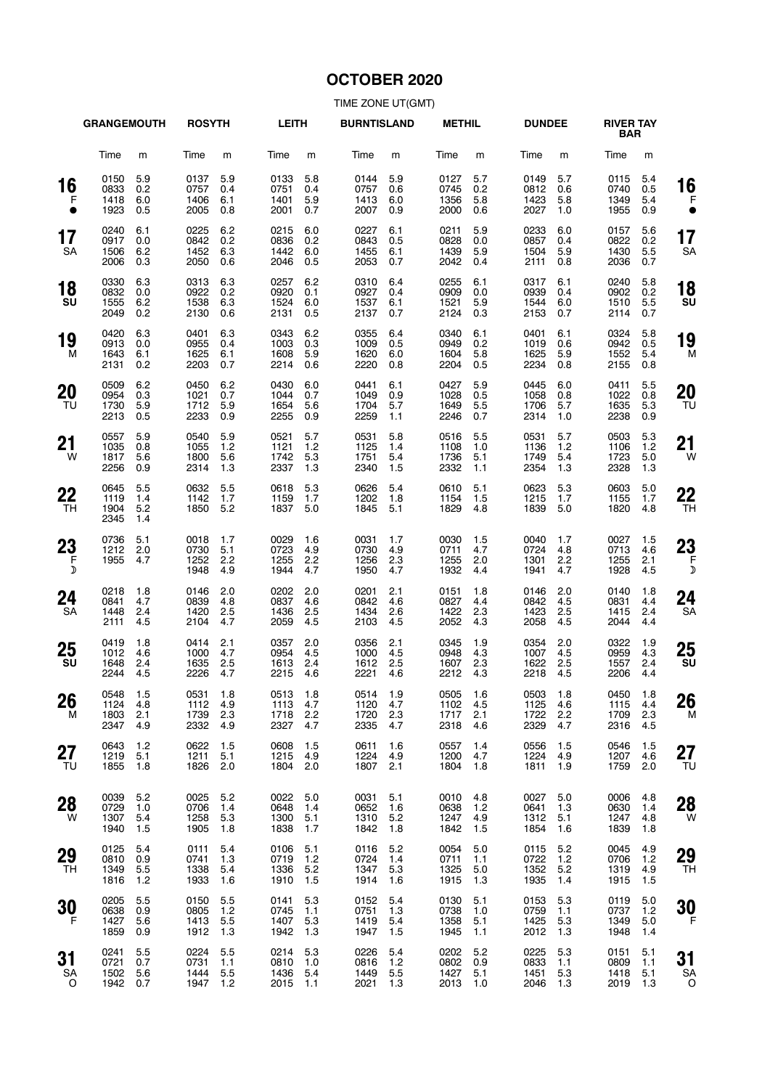# **OCTOBER 2020**

|                 | <b>GRANGEMOUTH</b>               |                          | <b>ROSYTH</b>                    |                          | <b>LEITH</b>                     |                          | <b>BURNTISLAND</b>               |                          | <b>METHIL</b>                    |                          | <b>DUNDEE</b>                    |                          | <b>RIVER TAY</b><br><b>BAR</b>   |                          |                      |
|-----------------|----------------------------------|--------------------------|----------------------------------|--------------------------|----------------------------------|--------------------------|----------------------------------|--------------------------|----------------------------------|--------------------------|----------------------------------|--------------------------|----------------------------------|--------------------------|----------------------|
|                 | Time                             | m                        | Time                             | m                        | Time                             | m                        | Time                             | m                        | Time                             | m                        | Time                             | m                        | Time                             | m                        |                      |
| 16<br>F         | 0150<br>0833<br>1418<br>1923     | 5.9<br>0.2<br>6.0<br>0.5 | 0137<br>0757<br>1406<br>2005     | 5.9<br>0.4<br>6.1<br>0.8 | 0133<br>0751<br>1401<br>2001     | 5.8<br>0.4<br>5.9<br>0.7 | 0144<br>0757<br>1413<br>2007     | 5.9<br>0.6<br>6.0<br>0.9 | 0127<br>0745<br>1356<br>2000     | 5.7<br>0.2<br>5.8<br>0.6 | 0149<br>0812<br>1423<br>2027     | 5.7<br>0.6<br>5.8<br>1.0 | 0115<br>0740<br>1349<br>1955     | 5.4<br>0.5<br>5.4<br>0.9 | 16                   |
| 17<br><b>SA</b> | 0240<br>0917<br>1506<br>2006     | 6.1<br>0.0<br>6.2<br>0.3 | 0225<br>0842<br>1452<br>2050     | 6.2<br>0.2<br>6.3<br>0.6 | 0215<br>0836<br>1442<br>2046     | 6.0<br>0.2<br>6.0<br>0.5 | 0227<br>0843<br>1455<br>2053     | 6.1<br>0.5<br>6.1<br>0.7 | 0211<br>0828<br>1439<br>2042     | 5.9<br>0.0<br>5.9<br>0.4 | 0233<br>0857<br>1504<br>2111     | 6.0<br>0.4<br>5.9<br>0.8 | 0157<br>0822<br>1430<br>2036     | 5.6<br>0.2<br>5.5<br>0.7 | 17<br><b>SA</b>      |
| 18<br>SU        | 0330<br>0832<br>1555<br>2049     | 6.3<br>0.0<br>6.2<br>0.2 | 0313<br>0922<br>1538<br>2130     | 6.3<br>0.2<br>6.3<br>0.6 | 0257<br>0920<br>1524<br>2131     | 6.2<br>0.1<br>6.0<br>0.5 | 0310<br>0927<br>1537<br>2137     | 6.4<br>0.4<br>6.1<br>0.7 | 0255<br>0909<br>1521<br>2124     | 6.1<br>0.0<br>5.9<br>0.3 | 0317<br>0939<br>1544<br>2153     | 6.1<br>0.4<br>6.0<br>0.7 | 0240<br>0902<br>1510<br>2114     | 5.8<br>0.2<br>5.5<br>0.7 | 18<br>SU             |
| 19<br>м         | 0420<br>0913<br>1643<br>2131     | 6.3<br>0.0<br>6.1<br>0.2 | 0401<br>0955<br>1625<br>2203     | 6.3<br>0.4<br>6.1<br>0.7 | 0343<br>1003<br>1608<br>2214     | 6.2<br>0.3<br>5.9<br>0.6 | 0355<br>1009<br>1620<br>2220     | 6.4<br>0.5<br>6.0<br>0.8 | 0340<br>0949<br>1604<br>2204     | 6.1<br>0.2<br>5.8<br>0.5 | 0401<br>1019<br>1625<br>2234     | 6.1<br>0.6<br>5.9<br>0.8 | 0324<br>0942<br>1552<br>2155     | 5.8<br>0.5<br>5.4<br>0.8 | 19<br>M              |
| 20<br>TU        | 0509<br>0954<br>1730<br>2213     | 6.2<br>0.3<br>5.9<br>0.5 | 0450<br>1021<br>1712<br>2233     | 6.2<br>0.7<br>5.9<br>0.9 | 0430<br>1044<br>1654<br>2255     | 6.0<br>0.7<br>5.6<br>0.9 | 0441<br>1049<br>1704<br>2259     | 6.1<br>0.9<br>5.7<br>1.1 | 0427<br>1028<br>1649<br>2246     | 5.9<br>0.5<br>5.5<br>0.7 | 0445<br>1058<br>1706<br>2314     | 6.0<br>0.8<br>5.7<br>1.0 | 0411<br>1022<br>1635<br>2238     | 5.5<br>0.8<br>5.3<br>0.9 | 20<br>TU             |
| 21<br>W         | 0557<br>1035<br>1817<br>2256     | 5.9<br>0.8<br>5.6<br>0.9 | 0540<br>1055<br>1800<br>2314     | 5.9<br>1.2<br>5.6<br>1.3 | 0521<br>1121<br>1742<br>2337     | 5.7<br>1.2<br>5.3<br>1.3 | 0531<br>1125<br>1751<br>2340     | 5.8<br>1.4<br>5.4<br>1.5 | 0516<br>1108<br>1736<br>2332     | 5.5<br>1.0<br>5.1<br>1.1 | 0531<br>1136<br>1749<br>2354     | 5.7<br>1.2<br>5.4<br>1.3 | 0503<br>1106<br>1723<br>2328     | 5.3<br>1.2<br>5.0<br>1.3 | 21<br>W              |
| 22<br>TH        | 0645<br>1119<br>1904<br>2345     | 5.5<br>1.4<br>5.2<br>1.4 | 0632<br>1142<br>1850             | 5.5<br>1.7<br>5.2        | 0618<br>1159<br>1837             | 5.3<br>1.7<br>5.0        | 0626<br>1202<br>1845             | 5.4<br>1.8<br>5.1        | 0610<br>1154<br>1829             | 5.1<br>1.5<br>4.8        | 0623<br>1215<br>1839             | 5.3<br>1.7<br>5.0        | 0603<br>1155<br>1820             | 5.0<br>1.7<br>4.8        | 22<br>TН             |
| 23<br>$\bar{F}$ | 0736<br>1212<br>1955             | 5.1<br>2.0<br>4.7        | 0018<br>0730<br>1252<br>1948     | 1.7<br>5.1<br>2.2<br>4.9 | 0029<br>0723<br>1255<br>1944     | 1.6<br>4.9<br>2.2<br>4.7 | 0031<br>0730<br>1256<br>1950     | 1.7<br>4.9<br>2.3<br>4.7 | 0030<br>0711<br>1255<br>1932     | 1.5<br>4.7<br>2.0<br>4.4 | 0040<br>0724<br>1301<br>1941     | 1.7<br>4.8<br>2.2<br>4.7 | 0027<br>0713<br>1255<br>1928     | 1.5<br>4.6<br>2.1<br>4.5 | 23<br>F<br>D         |
| 24<br><b>SA</b> | 0218<br>0841<br>1448<br>2111     | 1.8<br>4.7<br>2.4<br>4.5 | 0146<br>0839<br>1420<br>2104     | 2.0<br>4.8<br>2.5<br>4.7 | 0202<br>0837<br>1436<br>2059     | 2.0<br>4.6<br>2.5<br>4.5 | 0201<br>0842<br>1434<br>2103     | 2.1<br>4.6<br>2.6<br>4.5 | 0151<br>0827<br>1422<br>2052     | 1.8<br>4.4<br>2.3<br>4.3 | 0146<br>0842<br>1423<br>2058     | 2.0<br>4.5<br>2.5<br>4.5 | 0140<br>0831<br>1415<br>2044     | 1.8<br>4.4<br>2.4<br>4.4 | 24<br>SА             |
| 25<br>SU        | 0419<br>1012<br>1648<br>2244     | 1.8<br>4.6<br>2.4<br>4.5 | 0414<br>1000<br>1635<br>2226     | 2.1<br>4.7<br>2.5<br>4.7 | 0357<br>0954<br>1613<br>2215     | 2.0<br>4.5<br>2.4<br>4.6 | 0356<br>1000<br>1612<br>2221     | 2.1<br>4.5<br>2.5<br>4.6 | 0345<br>0948<br>1607<br>2212     | 1.9<br>4.3<br>2.3<br>4.3 | 0354<br>1007<br>1622<br>2218     | 2.0<br>4.5<br>2.5<br>4.5 | 0322<br>0959<br>1557<br>2206     | 1.9<br>4.3<br>2.4<br>4.4 | 25<br>SU             |
| 26<br>M         | 0548 1.5<br>1124<br>1803<br>2347 | 4.8<br>2.1<br>4.9        | 0531 1.8<br>1112<br>1739<br>2332 | 4.9<br>2.3<br>4.9        | 0513 1.8<br>1113<br>1718<br>2327 | 4.7<br>2.2<br>4.7        | 0514 1.9<br>1120<br>1720<br>2335 | 4.7<br>2.3<br>4.7        | 0505 1.6<br>1102<br>1717<br>2318 | 4.5<br>2.1<br>4.6        | 0503 1.8<br>1125<br>1722<br>2329 | 4.6<br>2.2<br>4.7        | 0450 1.8<br>1115<br>1709<br>2316 | 4.4<br>2.3<br>4.5        | 26<br>M              |
| 27<br>TU        | 0643<br>1219<br>1855             | 1.2<br>5.1<br>1.8        | 0622<br>1211<br>1826             | 1.5<br>5.1<br>2.0        | 0608<br>1215<br>1804             | 1.5<br>4.9<br>2.0        | 0611<br>1224<br>1807             | 1.6<br>4.9<br>2.1        | 0557<br>1200<br>1804             | 1.4<br>4.7<br>1.8        | 0556<br>1224<br>1811             | 1.5<br>4.9<br>1.9        | 0546<br>1207<br>1759             | 1.5<br>4.6<br>2.0        | 27<br>TU             |
| 28<br>W         | 0039<br>0729<br>1307<br>1940     | 5.2<br>1.0<br>5.4<br>1.5 | 0025<br>0706<br>1258<br>1905     | 5.2<br>1.4<br>5.3<br>1.8 | 0022<br>0648<br>1300<br>1838     | 5.0<br>1.4<br>5.1<br>1.7 | 0031<br>0652<br>1310<br>1842     | 5.1<br>1.6<br>5.2<br>1.8 | 0010<br>0638<br>1247<br>1842     | 4.8<br>1.2<br>4.9<br>1.5 | 0027<br>0641<br>1312<br>1854     | 5.0<br>1.3<br>5.1<br>1.6 | 0006<br>0630<br>1247<br>1839     | 4.8<br>1.4<br>4.8<br>1.8 | 28<br>W              |
| 29<br>TH        | 0125<br>0810<br>1349<br>1816     | 5.4<br>0.9<br>5.5<br>1.2 | 0111<br>0741<br>1338<br>1933     | 5.4<br>1.3<br>5.4<br>1.6 | 0106<br>0719<br>1336<br>1910     | 5.1<br>1.2<br>5.2<br>1.5 | 0116<br>0724<br>1347<br>1914     | 5.2<br>1.4<br>5.3<br>1.6 | 0054<br>0711<br>1325<br>1915     | 5.0<br>1.1<br>5.0<br>1.3 | 0115<br>0722<br>1352<br>1935     | 5.2<br>1.2<br>5.2<br>1.4 | 0045<br>0706<br>1319<br>1915     | 4.9<br>1.2<br>4.9<br>1.5 | 29<br><b>TH</b>      |
| 30<br>-F        | 0205<br>0638<br>1427<br>1859     | 5.5<br>0.9<br>5.6<br>0.9 | 0150<br>0805<br>1413<br>1912     | 5.5<br>1.2<br>5.5<br>1.3 | 0141<br>0745<br>1407<br>1942     | 5.3<br>1.1<br>5.3<br>1.3 | 0152<br>0751<br>1419<br>1947     | 5.4<br>1.3<br>5.4<br>1.5 | 0130<br>0738<br>1358<br>1945     | 5.1<br>1.0<br>5.1<br>1.1 | 0153<br>0759<br>1425<br>2012     | 5.3<br>1.1<br>5.3<br>1.3 | 0119<br>0737<br>1349<br>1948     | 5.0<br>1.2<br>5.0<br>1.4 | 30<br>F              |
| 31<br>SA<br>0   | 0241<br>0721<br>1502<br>1942     | 5.5<br>0.7<br>5.6<br>0.7 | 0224<br>0731<br>1444<br>1947     | 5.5<br>1.1<br>5.5<br>1.2 | 0214<br>0810<br>1436<br>2015     | 5.3<br>1.0<br>5.4<br>1.1 | 0226<br>0816<br>1449<br>2021     | 5.4<br>1.2<br>5.5<br>1.3 | 0202<br>0802<br>1427<br>2013     | 5.2<br>0.9<br>5.1<br>1.0 | 0225<br>0833<br>1451<br>2046     | 5.3<br>1.1<br>5.3<br>1.3 | 0151<br>0809<br>1418<br>2019     | 5.1<br>1.1<br>5.1<br>1.3 | 31<br><b>SA</b><br>O |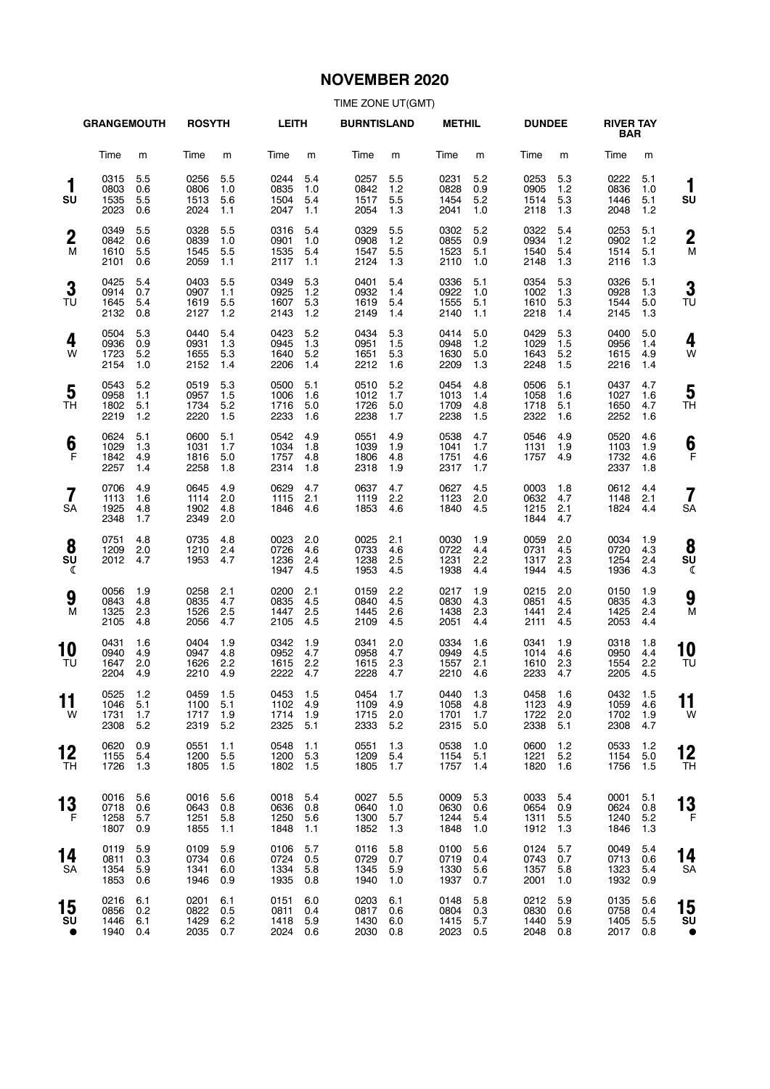# **NOVEMBER 2020**

|                       | <b>GRANGEMOUTH</b>               |                          | <b>ROSYTH</b>                    |                          | <b>LEITH</b>                     |                          | <b>BURNTISLAND</b>               |                          | <b>METHIL</b>                    |                          | <b>DUNDEE</b>                    |                          | <b>RIVER TAY</b><br><b>BAR</b> |                          |                     |
|-----------------------|----------------------------------|--------------------------|----------------------------------|--------------------------|----------------------------------|--------------------------|----------------------------------|--------------------------|----------------------------------|--------------------------|----------------------------------|--------------------------|--------------------------------|--------------------------|---------------------|
|                       | Time                             | m                        | Time                             | m                        | Time                             | m                        | Time                             | m                        | Time                             | m                        | Time                             | m                        | Time                           | m                        |                     |
| 1<br>SU               | 0315<br>0803<br>1535<br>2023     | 5.5<br>0.6<br>5.5<br>0.6 | 0256<br>0806<br>1513<br>2024     | 5.5<br>1.0<br>5.6<br>1.1 | 0244<br>0835<br>1504<br>2047     | 5.4<br>1.0<br>5.4<br>1.1 | 0257<br>0842<br>1517<br>2054     | 5.5<br>1.2<br>5.5<br>1.3 | 0231<br>0828<br>1454<br>2041     | 5.2<br>0.9<br>5.2<br>1.0 | 0253<br>0905<br>1514<br>2118     | 5.3<br>1.2<br>5.3<br>1.3 | 0222<br>0836<br>1446<br>2048   | 5.1<br>1.0<br>5.1<br>1.2 | 1<br>SU             |
| $\boldsymbol{2}$<br>M | 0349<br>0842<br>1610<br>2101     | 5.5<br>0.6<br>5.5<br>0.6 | 0328<br>0839<br>1545<br>2059     | 5.5<br>1.0<br>5.5<br>1.1 | 0316<br>0901<br>1535<br>2117     | 5.4<br>1.0<br>5.4<br>1.1 | 0329<br>0908<br>1547<br>2124     | 5.5<br>1.2<br>5.5<br>1.3 | 0302<br>0855<br>1523<br>2110     | 5.2<br>0.9<br>5.1<br>1.0 | 0322<br>0934<br>1540<br>2148     | 5.4<br>1.2<br>5.4<br>1.3 | 0253<br>0902<br>1514<br>2116   | 5.1<br>1.2<br>5.1<br>1.3 | $\overline{2}$<br>M |
| 3<br>TU               | 0425<br>0914<br>1645<br>2132     | 5.4<br>0.7<br>5.4<br>0.8 | 0403<br>0907<br>1619<br>2127     | 5.5<br>1.1<br>5.5<br>1.2 | 0349<br>0925<br>1607<br>2143     | 5.3<br>1.2<br>5.3<br>1.2 | 0401<br>0932<br>1619<br>2149     | 5.4<br>1.4<br>5.4<br>1.4 | 0336<br>0922<br>1555<br>2140     | 5.1<br>1.0<br>5.1<br>1.1 | 0354<br>1002<br>1610<br>2218     | 5.3<br>1.3<br>5.3<br>1.4 | 0326<br>0928<br>1544<br>2145   | 5.1<br>1.3<br>5.0<br>1.3 | 3<br>TU             |
| 4<br>W                | 0504<br>0936<br>1723<br>2154     | 5.3<br>0.9<br>5.2<br>1.0 | 0440<br>0931<br>1655<br>2152     | 5.4<br>1.3<br>5.3<br>1.4 | 0423<br>0945<br>1640<br>2206     | 5.2<br>1.3<br>5.2<br>1.4 | 0434<br>0951<br>1651<br>2212     | 5.3<br>1.5<br>5.3<br>1.6 | 0414<br>0948<br>1630<br>2209     | 5.0<br>1.2<br>5.0<br>1.3 | 0429<br>1029<br>1643<br>2248     | 5.3<br>1.5<br>5.2<br>1.5 | 0400<br>0956<br>1615<br>2216   | 5.0<br>1.4<br>4.9<br>1.4 | 4<br>W              |
| 5<br>TН               | 0543<br>0958<br>1802<br>2219     | 5.2<br>1.1<br>5.1<br>1.2 | 0519<br>0957<br>1734<br>2220     | 5.3<br>1.5<br>5.2<br>1.5 | 0500<br>1006<br>1716<br>2233     | 5.1<br>1.6<br>5.0<br>1.6 | 0510<br>1012<br>1726<br>2238     | 5.2<br>1.7<br>5.0<br>1.7 | 0454<br>1013<br>1709<br>2238     | 4.8<br>1.4<br>4.8<br>1.5 | 0506<br>1058<br>1718<br>2322     | 5.1<br>1.6<br>5.1<br>1.6 | 0437<br>1027<br>1650<br>2252   | 4.7<br>1.6<br>4.7<br>1.6 | 5<br>ΤH             |
| 6<br>F                | 0624<br>1029<br>1842<br>2257     | 5.1<br>1.3<br>4.9<br>1.4 | 0600<br>1031<br>1816<br>2258     | 5.1<br>1.7<br>5.0<br>1.8 | 0542<br>1034<br>1757<br>2314     | 4.9<br>1.8<br>4.8<br>1.8 | 0551<br>1039<br>1806<br>2318     | 4.9<br>1.9<br>4.8<br>1.9 | 0538<br>1041<br>1751<br>2317     | 4.7<br>1.7<br>4.6<br>1.7 | 0546<br>1131<br>1757             | 4.9<br>1.9<br>4.9        | 0520<br>1103<br>1732<br>2337   | 4.6<br>1.9<br>4.6<br>1.8 | 6<br>F              |
| 7<br><b>SA</b>        | 0706<br>1113<br>1925<br>2348     | 4.9<br>1.6<br>4.8<br>1.7 | 0645<br>1114<br>1902<br>2349     | 4.9<br>2.0<br>4.8<br>2.0 | 0629<br>1115<br>1846             | 4.7<br>2.1<br>4.6        | 0637<br>1119<br>1853             | 4.7<br>2.2<br>4.6        | 0627<br>1123<br>1840             | 4.5<br>2.0<br>4.5        | 0003<br>0632<br>1215<br>1844     | 1.8<br>4.7<br>2.1<br>4.7 | 0612<br>1148<br>1824           | 4.4<br>2.1<br>4.4        | 7<br>SΑ             |
| 8<br>SU<br>ℭ          | 0751<br>1209<br>2012             | 4.8<br>2.0<br>4.7        | 0735<br>1210<br>1953             | 4.8<br>2.4<br>4.7        | 0023<br>0726<br>1236<br>1947     | 2.0<br>4.6<br>2.4<br>4.5 | 0025<br>0733<br>1238<br>1953     | 2.1<br>4.6<br>2.5<br>4.5 | 0030<br>0722<br>1231<br>1938     | 1.9<br>4.4<br>2.2<br>4.4 | 0059<br>0731<br>1317<br>1944     | 2.0<br>4.5<br>2.3<br>4.5 | 0034<br>0720<br>1254<br>1936   | 1.9<br>4.3<br>2.4<br>4.3 | 8<br>SU<br>ℭ        |
| 9<br>M                | 0056<br>0843<br>1325<br>2105     | 1.9<br>4.8<br>2.3<br>4.8 | 0258<br>0835<br>1526<br>2056     | 2.1<br>4.7<br>2.5<br>4.7 | 0200<br>0835<br>1447<br>2105     | 2.1<br>4.5<br>2.5<br>4.5 | 0159<br>0840<br>1445<br>2109     | 2.2<br>4.5<br>2.6<br>4.5 | 0217<br>0830<br>1438<br>2051     | 1.9<br>4.3<br>2.3<br>4.4 | 0215<br>0851<br>1441<br>2111     | 2.0<br>4.5<br>2.4<br>4.5 | 0150<br>0835<br>1425<br>2053   | 1.9<br>4.3<br>2.4<br>4.4 | 9<br>M              |
| 10<br>TU              | 0431<br>0940<br>1647<br>2204     | 1.6<br>4.9<br>2.0<br>4.9 | 0404<br>0947<br>1626<br>2210     | 1.9<br>4.8<br>2.2<br>4.9 | 0342<br>0952<br>1615<br>2222     | 1.9<br>4.7<br>2.2<br>4.7 | 0341<br>0958<br>1615<br>2228     | 2.0<br>4.7<br>2.3<br>4.7 | 0334<br>0949<br>1557<br>2210     | 1.6<br>4.5<br>2.1<br>4.6 | 0341<br>1014<br>1610<br>2233     | 1.9<br>4.6<br>2.3<br>4.7 | 0318<br>0950<br>1554<br>2205   | 1.8<br>4.4<br>2.2<br>4.5 | 10<br>TU            |
| . .<br>11<br>W        | 0525 1.2<br>1046<br>1731<br>2308 | 5.1<br>1.7<br>5.2        | 0459 1.5<br>1100<br>1717<br>2319 | 5.1<br>1.9<br>5.2        | 0453 1.5<br>1102<br>1714<br>2325 | 4.9<br>1.9<br>5.1        | 0454 1.7<br>1109<br>1715<br>2333 | 4.9<br>2.0<br>5.2        | 0440 1.3<br>1058<br>1701<br>2315 | 4.8<br>1.7<br>5.0        | 0458 1.6<br>1123<br>1722<br>2338 | 4.9<br>2.0<br>5.1        | 0432<br>1059<br>1702<br>2308   | 1.5<br>4.6<br>1.9<br>4.7 | . .<br>11<br>W      |
| 12<br>TН              | 0620<br>1155<br>1726             | 0.9<br>5.4<br>1.3        | 0551<br>1200<br>1805             | 1.1<br>5.5<br>1.5        | 0548<br>1200<br>1802             | 1.1<br>5.3<br>1.5        | 0551<br>1209<br>1805             | 1.3<br>5.4<br>1.7        | 0538<br>1154<br>1757             | 1.0<br>5.1<br>1.4        | 0600<br>1221<br>1820             | 1.2<br>5.2<br>1.6        | 0533<br>1154<br>1756           | 1.2<br>5.0<br>1.5        | 12<br><b>TH</b>     |
| 13<br>- F             | 0016<br>0718<br>1258<br>1807     | 5.6<br>0.6<br>5.7<br>0.9 | 0016<br>0643<br>1251<br>1855     | 5.6<br>0.8<br>5.8<br>1.1 | 0018<br>0636<br>1250<br>1848     | 5.4<br>0.8<br>5.6<br>1.1 | 0027<br>0640<br>1300<br>1852     | 5.5<br>1.0<br>5.7<br>1.3 | 0009<br>0630<br>1244<br>1848     | 5.3<br>0.6<br>5.4<br>1.0 | 0033<br>0654<br>1311<br>1912     | 5.4<br>0.9<br>5.5<br>1.3 | 0001<br>0624<br>1240<br>1846   | 5.1<br>0.8<br>5.2<br>1.3 | 13<br>F             |
| 14<br>SA              | 0119<br>0811<br>1354<br>1853     | 5.9<br>0.3<br>5.9<br>0.6 | 0109<br>0734<br>1341<br>1946     | 5.9<br>0.6<br>6.0<br>0.9 | 0106<br>0724<br>1334<br>1935     | 5.7<br>0.5<br>5.8<br>0.8 | 0116<br>0729<br>1345<br>1940     | 5.8<br>0.7<br>5.9<br>1.0 | 0100<br>0719<br>1330<br>1937     | 5.6<br>0.4<br>5.6<br>0.7 | 0124<br>0743<br>1357<br>2001     | 5.7<br>0.7<br>5.8<br>1.0 | 0049<br>0713<br>1323<br>1932   | 5.4<br>0.6<br>5.4<br>0.9 | 14<br>SΑ            |
| 15<br>SU<br>$\bullet$ | 0216<br>0856<br>1446<br>1940     | 6.1<br>0.2<br>6.1<br>0.4 | 0201<br>0822<br>1429<br>2035     | 6.1<br>0.5<br>6.2<br>0.7 | 0151<br>0811<br>1418<br>2024 0.6 | 6.0<br>0.4<br>5.9        | 0203<br>0817<br>1430<br>2030     | 6.1<br>0.6<br>6.0<br>0.8 | 0148<br>0804<br>1415<br>2023     | 5.8<br>0.3<br>5.7<br>0.5 | 0212<br>0830<br>1440<br>2048     | 5.9<br>0.6<br>5.9<br>0.8 | 0135<br>0758<br>1405<br>2017   | 5.6<br>0.4<br>5.5<br>0.8 | 15<br>SU<br>€       |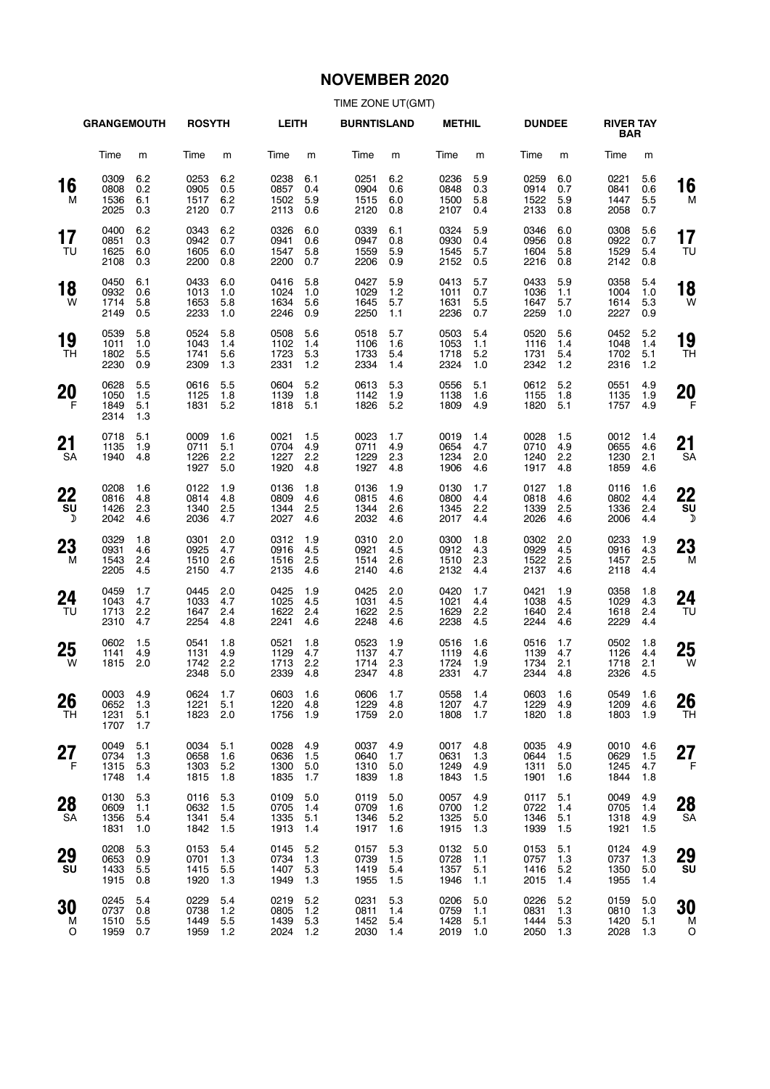# **NOVEMBER 2020**

|                  | <b>GRANGEMOUTH</b>               |                          | <b>ROSYTH</b>                |                          | <b>LEITH</b>                 |                          | <b>BURNTISLAND</b>           |                          | <b>METHIL</b>                |                          | <b>DUNDEE</b>                |                          | <b>RIVER TAY</b><br><b>BAR</b> |                            |                           |
|------------------|----------------------------------|--------------------------|------------------------------|--------------------------|------------------------------|--------------------------|------------------------------|--------------------------|------------------------------|--------------------------|------------------------------|--------------------------|--------------------------------|----------------------------|---------------------------|
|                  | Time                             | m                        | Time                         | m                        | Time                         | m                        | Time                         | m                        | Time                         | m                        | Time                         | m                        | Time                           | m                          |                           |
| 16<br>м          | 0309<br>0808<br>1536<br>2025     | 6.2<br>0.2<br>6.1<br>0.3 | 0253<br>0905<br>1517<br>2120 | 6.2<br>0.5<br>6.2<br>0.7 | 0238<br>0857<br>1502<br>2113 | 6.1<br>0.4<br>5.9<br>0.6 | 0251<br>0904<br>1515<br>2120 | 6.2<br>0.6<br>6.0<br>0.8 | 0236<br>0848<br>1500<br>2107 | 5.9<br>0.3<br>5.8<br>0.4 | 0259<br>0914<br>1522<br>2133 | 6.0<br>0.7<br>5.9<br>0.8 | 0221<br>0841<br>1447<br>2058   | 5.6<br>0.6<br>5.5<br>0.7   | 16<br>M                   |
| 17<br>TU         | 0400<br>0851<br>1625<br>2108     | 6.2<br>0.3<br>6.0<br>0.3 | 0343<br>0942<br>1605<br>2200 | 6.2<br>0.7<br>6.0<br>0.8 | 0326<br>0941<br>1547<br>2200 | 6.0<br>0.6<br>5.8<br>0.7 | 0339<br>0947<br>1559<br>2206 | 6.1<br>0.8<br>5.9<br>0.9 | 0324<br>0930<br>1545<br>2152 | 5.9<br>0.4<br>5.7<br>0.5 | 0346<br>0956<br>1604<br>2216 | 6.0<br>0.8<br>5.8<br>0.8 | 0308<br>0922<br>1529<br>2142   | 5.6<br>0.7<br>5.4<br>0.8   | 17<br>TU                  |
| 18<br>W          | 0450<br>0932<br>1714<br>2149     | 6.1<br>0.6<br>5.8<br>0.5 | 0433<br>1013<br>1653<br>2233 | 6.0<br>1.0<br>5.8<br>1.0 | 0416<br>1024<br>1634<br>2246 | 5.8<br>1.0<br>5.6<br>0.9 | 0427<br>1029<br>1645<br>2250 | 5.9<br>1.2<br>5.7<br>1.1 | 0413<br>1011<br>1631<br>2236 | 5.7<br>0.7<br>5.5<br>0.7 | 0433<br>1036<br>1647<br>2259 | 5.9<br>1.1<br>5.7<br>1.0 | 0358<br>1004<br>1614<br>2227   | 5.4<br>1.0<br>5.3<br>0.9   | 18<br>W                   |
| 19<br>TH         | 0539<br>1011<br>1802<br>2230     | 5.8<br>1.0<br>5.5<br>0.9 | 0524<br>1043<br>1741<br>2309 | 5.8<br>1.4<br>5.6<br>1.3 | 0508<br>1102<br>1723<br>2331 | 5.6<br>1.4<br>5.3<br>1.2 | 0518<br>1106<br>1733<br>2334 | 5.7<br>1.6<br>5.4<br>1.4 | 0503<br>1053<br>1718<br>2324 | 5.4<br>1.1<br>5.2<br>1.0 | 0520<br>1116<br>1731<br>2342 | 5.6<br>1.4<br>5.4<br>1.2 | 0452<br>1048<br>1702<br>2316   | 5.2<br>1.4<br>5.1<br>$1.2$ | 19<br>TH                  |
| <b>20</b><br>- F | 0628<br>1050<br>1849<br>2314     | 5.5<br>1.5<br>5.1<br>1.3 | 0616<br>1125<br>1831         | 5.5<br>1.8<br>5.2        | 0604<br>1139<br>1818         | 5.2<br>1.8<br>5.1        | 0613<br>1142<br>1826         | 5.3<br>1.9<br>5.2        | 0556<br>1138<br>1809         | 5.1<br>1.6<br>4.9        | 0612<br>1155<br>1820         | 5.2<br>1.8<br>5.1        | 0551<br>1135<br>1757           | 4.9<br>1.9<br>4.9          | 20<br>- F                 |
| 21<br>SA         | 0718<br>1135<br>1940             | 5.1<br>1.9<br>4.8        | 0009<br>0711<br>1226<br>1927 | 1.6<br>5.1<br>2.2<br>5.0 | 0021<br>0704<br>1227<br>1920 | 1.5<br>4.9<br>2.2<br>4.8 | 0023<br>0711<br>1229<br>1927 | 1.7<br>4.9<br>2.3<br>4.8 | 0019<br>0654<br>1234<br>1906 | 1.4<br>4.7<br>2.0<br>4.6 | 0028<br>0710<br>1240<br>1917 | 1.5<br>4.9<br>2.2<br>4.8 | 0012<br>0655<br>1230<br>1859   | 1.4<br>4.6<br>2.1<br>4.6   | 21<br><b>SA</b>           |
| 22<br>su<br>D    | 0208<br>0816<br>1426<br>2042     | 1.6<br>4.8<br>2.3<br>4.6 | 0122<br>0814<br>1340<br>2036 | 1.9<br>4.8<br>2.5<br>4.7 | 0136<br>0809<br>1344<br>2027 | 1.8<br>4.6<br>2.5<br>4.6 | 0136<br>0815<br>1344<br>2032 | 1.9<br>4.6<br>2.6<br>4.6 | 0130<br>0800<br>1345<br>2017 | 1.7<br>4.4<br>2.2<br>4.4 | 0127<br>0818<br>1339<br>2026 | 1.8<br>4.6<br>2.5<br>4.6 | 0116<br>0802<br>1336<br>2006   | 1.6<br>4.4<br>2.4<br>4.4   | 22<br>SU<br>$\mathcal{D}$ |
| 23<br>M          | 0329<br>0931<br>1543<br>2205     | 1.8<br>4.6<br>2.4<br>4.5 | 0301<br>0925<br>1510<br>2150 | 2.0<br>4.7<br>2.6<br>4.7 | 0312<br>0916<br>1516<br>2135 | 1.9<br>4.5<br>2.5<br>4.6 | 0310<br>0921<br>1514<br>2140 | 2.0<br>4.5<br>2.6<br>4.6 | 0300<br>0912<br>1510<br>2132 | 1.8<br>4.3<br>2.3<br>4.4 | 0302<br>0929<br>1522<br>2137 | 2.0<br>4.5<br>2.5<br>4.6 | 0233<br>0916<br>1457<br>2118   | 1.9<br>4.3<br>2.5<br>4.4   | 23<br>M                   |
| 24<br>TU         | 0459<br>1043<br>1713<br>2310     | 1.7<br>4.7<br>2.2<br>4.7 | 0445<br>1033<br>1647<br>2254 | 2.0<br>4.7<br>2.4<br>4.8 | 0425<br>1025<br>1622<br>2241 | 1.9<br>4.5<br>2.4<br>4.6 | 0425<br>1031<br>1622<br>2248 | 2.0<br>4.5<br>2.5<br>4.6 | 0420<br>1021<br>1629<br>2238 | 1.7<br>4.4<br>2.2<br>4.5 | 0421<br>1038<br>1640<br>2244 | 1.9<br>4.5<br>2.4<br>4.6 | 0358<br>1029<br>1618<br>2229   | 1.8<br>4.3<br>2.4<br>4.4   | 24<br>TU                  |
| 25<br>W          | 0602<br>1141<br>1815             | 1.5<br>4.9<br>2.0        | 0541<br>1131<br>1742<br>2348 | 1.8<br>4.9<br>2.2<br>5.0 | 0521<br>1129<br>1713<br>2339 | 1.8<br>4.7<br>2.2<br>4.8 | 0523<br>1137<br>1714<br>2347 | 1.9<br>4.7<br>2.3<br>4.8 | 0516<br>1119<br>1724<br>2331 | 1.6<br>4.6<br>1.9<br>4.7 | 0516<br>1139<br>1734<br>2344 | 1.7<br>4.7<br>2.1<br>4.8 | 0502<br>1126<br>1718<br>2326   | 1.8<br>4.4<br>2.1<br>4.5   | 25<br>W                   |
| 26<br>TН         | 0003 4.9<br>0652<br>1231<br>1707 | 1.3<br>5.1<br>1.7        | 0624 1.7<br>1221<br>1823     | 5.1<br>2.0               | 0603 1.6<br>1220<br>1756     | 4.8<br>1.9               | 0606 1.7<br>1229<br>1759     | 4.8<br>2.0               | 0558 1.4<br>1207<br>1808     | 4.7<br>1.7               | 0603 1.6<br>1229<br>1820     | 4.9<br>1.8               | 0549 1.6<br>1209<br>1803       | 4.6<br>1.9                 | 26<br><b>TH</b>           |
| 27<br>F          | 0049<br>0734<br>1315<br>1748     | 5.1<br>1.3<br>5.3<br>1.4 | 0034<br>0658<br>1303<br>1815 | 5.1<br>1.6<br>5.2<br>1.8 | 0028<br>0636<br>1300<br>1835 | 4.9<br>1.5<br>5.0<br>1.7 | 0037<br>0640<br>1310<br>1839 | 4.9<br>1.7<br>5.0<br>1.8 | 0017<br>0631<br>1249<br>1843 | 4.8<br>1.3<br>4.9<br>1.5 | 0035<br>0644<br>1311<br>1901 | 4.9<br>1.5<br>5.0<br>1.6 | 0010<br>0629<br>1245<br>1844   | 4.6<br>1.5<br>4.7<br>1.8   | 27<br>F                   |
| 28<br>SA         | 0130<br>0609<br>1356<br>1831     | 5.3<br>1.1<br>5.4<br>1.0 | 0116<br>0632<br>1341<br>1842 | 5.3<br>1.5<br>5.4<br>1.5 | 0109<br>0705<br>1335<br>1913 | 5.0<br>1.4<br>5.1<br>1.4 | 0119<br>0709<br>1346<br>1917 | 5.0<br>1.6<br>5.2<br>1.6 | 0057<br>0700<br>1325<br>1915 | 4.9<br>1.2<br>5.0<br>1.3 | 0117<br>0722<br>1346<br>1939 | 5.1<br>1.4<br>5.1<br>1.5 | 0049<br>0705<br>1318<br>1921   | 4.9<br>1.4<br>4.9<br>1.5   | 28<br><b>SA</b>           |
| 29<br>SU         | 0208<br>0653<br>1433<br>1915     | 5.3<br>0.9<br>5.5<br>0.8 | 0153<br>0701<br>1415<br>1920 | 5.4<br>1.3<br>5.5<br>1.3 | 0145<br>0734<br>1407<br>1949 | 5.2<br>1.3<br>5.3<br>1.3 | 0157<br>0739<br>1419<br>1955 | 5.3<br>1.5<br>5.4<br>1.5 | 0132<br>0728<br>1357<br>1946 | 5.0<br>1.1<br>5.1<br>1.1 | 0153<br>0757<br>1416<br>2015 | 5.1<br>1.3<br>5.2<br>1.4 | 0124<br>0737<br>1350<br>1955   | 4.9<br>1.3<br>5.0<br>1.4   | 29<br>SU                  |
| 30<br>м<br>O     | 0245<br>0737<br>1510<br>1959     | 5.4<br>0.8<br>5.5<br>0.7 | 0229<br>0738<br>1449<br>1959 | 5.4<br>1.2<br>5.5<br>1.2 | 0219<br>0805<br>1439<br>2024 | 5.2<br>1.2<br>5.3<br>1.2 | 0231<br>0811<br>1452<br>2030 | 5.3<br>1.4<br>5.4<br>1.4 | 0206<br>0759<br>1428<br>2019 | 5.0<br>1.1<br>5.1<br>1.0 | 0226<br>0831<br>1444<br>2050 | 5.2<br>1.3<br>5.3<br>1.3 | 0159<br>0810<br>1420<br>2028   | 5.0<br>1.3<br>5.1<br>1.3   | 30<br>M<br>O              |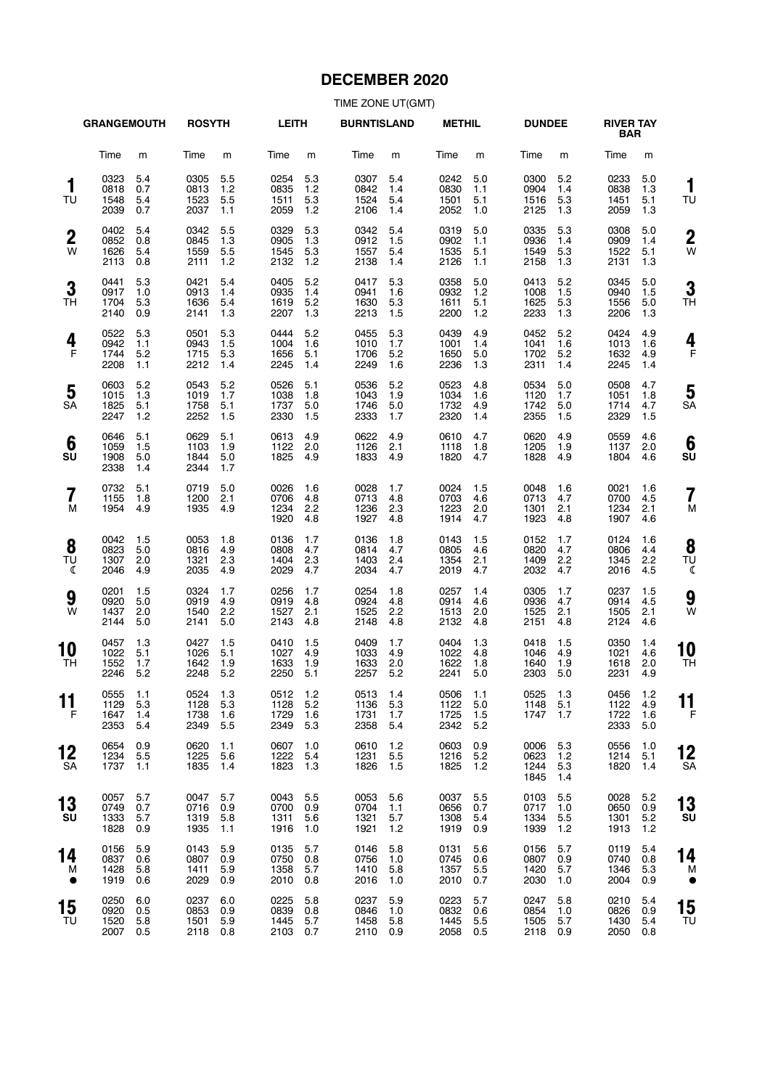# **DECEMBER 2020**

|                       | <b>GRANGEMOUTH</b>               |                          | <b>ROSYTH</b>                    |                          | <b>LEITH</b>                     |                          | <b>BURNTISLAND</b>               |                          | <b>METHIL</b>                    |                          | <b>DUNDEE</b>                    |                            | <b>RIVER TAY</b><br><b>BAR</b> |                          |                     |
|-----------------------|----------------------------------|--------------------------|----------------------------------|--------------------------|----------------------------------|--------------------------|----------------------------------|--------------------------|----------------------------------|--------------------------|----------------------------------|----------------------------|--------------------------------|--------------------------|---------------------|
|                       | Time                             | m                        | Time                             | m                        | Time                             | m                        | Time                             | m                        | Time                             | m                        | Time                             | m                          | Time                           | m                        |                     |
| 1<br>TU               | 0323<br>0818<br>1548<br>2039     | 5.4<br>0.7<br>5.4<br>0.7 | 0305<br>0813<br>1523<br>2037     | 5.5<br>1.2<br>5.5<br>1.1 | 0254<br>0835<br>1511<br>2059     | 5.3<br>1.2<br>5.3<br>1.2 | 0307<br>0842<br>1524<br>2106     | 5.4<br>1.4<br>5.4<br>1.4 | 0242<br>0830<br>1501<br>2052     | 5.0<br>1.1<br>5.1<br>1.0 | 0300<br>0904<br>1516<br>2125     | 5.2<br>1.4<br>5.3<br>1.3   | 0233<br>0838<br>1451<br>2059   | 5.0<br>1.3<br>5.1<br>1.3 | 1<br>TU             |
| $\boldsymbol{2}$<br>W | 0402<br>0852<br>1626<br>2113     | 5.4<br>0.8<br>5.4<br>0.8 | 0342<br>0845<br>1559<br>2111     | 5.5<br>1.3<br>5.5<br>1.2 | 0329<br>0905<br>1545<br>2132     | 5.3<br>1.3<br>5.3<br>1.2 | 0342<br>0912<br>1557<br>2138     | 5.4<br>1.5<br>5.4<br>1.4 | 0319<br>0902<br>1535<br>2126     | 5.0<br>1.1<br>5.1<br>1.1 | 0335<br>0936<br>1549<br>2158     | 5.3<br>1.4<br>5.3<br>1.3   | 0308<br>0909<br>1522<br>2131   | 5.0<br>1.4<br>5.1<br>1.3 | $\overline{2}$<br>W |
| 3<br><b>TH</b>        | 0441<br>0917<br>1704<br>2140     | 5.3<br>1.0<br>5.3<br>0.9 | 0421<br>0913<br>1636<br>2141     | 5.4<br>1.4<br>5.4<br>1.3 | 0405<br>0935<br>1619<br>2207     | 5.2<br>1.4<br>5.2<br>1.3 | 0417<br>0941<br>1630<br>2213     | 5.3<br>1.6<br>5.3<br>1.5 | 0358<br>0932<br>1611<br>2200     | 5.0<br>1.2<br>5.1<br>1.2 | 0413<br>1008<br>1625<br>2233     | 5.2<br>1.5<br>5.3<br>1.3   | 0345<br>0940<br>1556<br>2206   | 5.0<br>1.5<br>5.0<br>1.3 | 3<br>ΤH             |
| 4<br>$\mathsf{F}$     | 0522<br>0942<br>1744<br>2208     | 5.3<br>1.1<br>5.2<br>1.1 | 0501<br>0943<br>1715<br>2212     | 5.3<br>1.5<br>5.3<br>1.4 | 0444<br>1004<br>1656<br>2245     | 5.2<br>1.6<br>5.1<br>1.4 | 0455<br>1010<br>1706<br>2249     | 5.3<br>1.7<br>5.2<br>1.6 | 0439<br>1001<br>1650<br>2236     | 4.9<br>1.4<br>5.0<br>1.3 | 0452<br>1041<br>1702<br>2311     | 5.2<br>1.6<br>5.2<br>1.4   | 0424<br>1013<br>1632<br>2245   | 4.9<br>1.6<br>4.9<br>1.4 | 4<br>F              |
| 5<br><b>SA</b>        | 0603<br>1015<br>1825<br>2247     | 5.2<br>1.3<br>5.1<br>1.2 | 0543<br>1019<br>1758<br>2252     | 5.2<br>1.7<br>5.1<br>1.5 | 0526<br>1038<br>1737<br>2330     | 5.1<br>1.8<br>5.0<br>1.5 | 0536<br>1043<br>1746<br>2333     | 5.2<br>1.9<br>5.0<br>1.7 | 0523<br>1034<br>1732<br>2320     | 4.8<br>1.6<br>4.9<br>1.4 | 0534<br>1120<br>1742<br>2355     | 5.0<br>1.7<br>5.0<br>1.5   | 0508<br>1051<br>1714<br>2329   | 4.7<br>1.8<br>4.7<br>1.5 | 5<br>SΑ             |
| 6<br>SU               | 0646<br>1059<br>1908<br>2338     | 5.1<br>1.5<br>5.0<br>1.4 | 0629<br>1103<br>1844<br>2344     | 5.1<br>1.9<br>5.0<br>1.7 | 0613<br>1122<br>1825             | 4.9<br>2.0<br>4.9        | 0622<br>1126<br>1833             | 4.9<br>2.1<br>4.9        | 0610<br>1118<br>1820             | 4.7<br>1.8<br>4.7        | 0620<br>1205<br>1828             | 4.9<br>1.9<br>4.9          | 0559<br>1137<br>1804           | 4.6<br>2.0<br>4.6        | 6<br>SU             |
| 7<br>M                | 0732<br>1155<br>1954             | 5.1<br>1.8<br>4.9        | 0719<br>1200<br>1935             | 5.0<br>2.1<br>4.9        | 0026<br>0706<br>1234<br>1920     | 1.6<br>4.8<br>2.2<br>4.8 | 0028<br>0713<br>1236<br>1927     | 1.7<br>4.8<br>2.3<br>4.8 | 0024<br>0703<br>1223<br>1914     | 1.5<br>4.6<br>2.0<br>4.7 | 0048<br>0713<br>1301<br>1923     | 1.6<br>4.7<br>2.1<br>4.8   | 0021<br>0700<br>1234<br>1907   | 1.6<br>4.5<br>2.1<br>4.6 | 7<br>N              |
| 8<br>TU<br>ℭ          | 0042<br>0823<br>1307<br>2046     | 1.5<br>5.0<br>2.0<br>4.9 | 0053<br>0816<br>1321<br>2035     | 1.8<br>4.9<br>2.3<br>4.9 | 0136<br>0808<br>1404<br>2029     | 1.7<br>4.7<br>2.3<br>4.7 | 0136<br>0814<br>1403<br>2034     | 1.8<br>4.7<br>2.4<br>4.7 | 0143<br>0805<br>1354<br>2019     | 1.5<br>4.6<br>2.1<br>4.7 | 0152<br>0820<br>1409<br>2032     | 1.7<br>4.7<br>2.2<br>4.7   | 0124<br>0806<br>1345<br>2016   | 1.6<br>4.4<br>2.2<br>4.5 | 8<br>TU<br>ℭ        |
| 9<br>W                | 0201<br>0920<br>1437<br>2144     | 1.5<br>5.0<br>2.0<br>5.0 | 0324<br>0919<br>1540<br>2141     | 1.7<br>4.9<br>2.2<br>5.0 | 0256<br>0919<br>1527<br>2143     | 1.7<br>4.8<br>2.1<br>4.8 | 0254<br>0924<br>1525<br>2148     | 1.8<br>4.8<br>2.2<br>4.8 | 0257<br>0914<br>1513<br>2132     | 1.4<br>4.6<br>2.0<br>4.8 | 0305<br>0936<br>1525<br>2151     | 1.7<br>4.7<br>2.1<br>4.8   | 0237<br>0914<br>1505<br>2124   | 1.5<br>4.5<br>2.1<br>4.6 | 9<br>W              |
| 10<br>TН              | 0457<br>1022<br>1552<br>2246     | 1.3<br>5.1<br>1.7<br>5.2 | 0427<br>1026<br>1642<br>2248     | 1.5<br>5.1<br>1.9<br>5.2 | 0410<br>1027<br>1633<br>2250     | 1.5<br>4.9<br>1.9<br>5.1 | 0409<br>1033<br>1633<br>2257     | 1.7<br>4.9<br>2.0<br>5.2 | 0404<br>1022<br>1622<br>2241     | 1.3<br>4.8<br>1.8<br>5.0 | 0418<br>1046<br>1640<br>2303     | 1.5<br>4.9<br>1.9<br>5.0   | 0350<br>1021<br>1618<br>2231   | 1.4<br>4.6<br>2.0<br>4.9 | 10<br><b>TH</b>     |
| . .<br>11<br>F        | 0555 1.1<br>1129<br>1647<br>2353 | 5.3<br>1.4<br>5.4        | 0524 1.3<br>1128<br>1738<br>2349 | 5.3<br>1.6<br>5.5        | 0512 1.2<br>1128<br>1729<br>2349 | $5.2$<br>1.6<br>5.3      | 0513 1.4<br>1136<br>1731<br>2358 | 5.3<br>1.7<br>5.4        | 0506 1.1<br>1122<br>1725<br>2342 | 5.0<br>1.5<br>5.2        | 0525 1.3<br>1148<br>1747         | 5.1<br>1.7                 | 0456<br>1122<br>1722<br>2333   | 1.2<br>4.9<br>1.6<br>5.0 | . .<br>11<br>F      |
| 12<br>SA              | 0654<br>1234<br>1737             | 0.9<br>5.5<br>1.1        | 0620<br>1225<br>1835             | 1.1<br>5.6<br>1.4        | 0607<br>1222<br>1823             | 1.0<br>5.4<br>1.3        | 0610<br>1231<br>1826             | 1.2<br>5.5<br>1.5        | 0603<br>1216<br>1825             | 0.9<br>5.2<br>1.2        | 0006<br>0623<br>1244<br>1845     | 5.3<br>$1.2$<br>5.3<br>1.4 | 0556<br>1214<br>1820           | 1.0<br>5.1<br>1.4        | 12<br>SΑ            |
| 13<br>SU              | 0057<br>0749<br>1333<br>1828     | 5.7<br>0.7<br>5.7<br>0.9 | 0047<br>0716<br>1319<br>1935     | 5.7<br>0.9<br>5.8<br>1.1 | 0043<br>0700<br>1311<br>1916     | 5.5<br>0.9<br>5.6<br>1.0 | 0053<br>0704<br>1321<br>1921     | 5.6<br>1.1<br>5.7<br>1.2 | 0037<br>0656<br>1308<br>1919     | 5.5<br>0.7<br>5.4<br>0.9 | 0103<br>0717<br>1334<br>1939     | 5.5<br>1.0<br>5.5<br>$1.2$ | 0028<br>0650<br>1301<br>1913   | 5.2<br>0.9<br>5.2<br>1.2 | 13<br>SU            |
| 14<br>M<br>$\bullet$  | 0156<br>0837<br>1428<br>1919     | 5.9<br>0.6<br>5.8<br>0.6 | 0143<br>0807<br>1411<br>2029     | 5.9<br>0.9<br>5.9<br>0.9 | 0135<br>0750<br>1358<br>2010     | 5.7<br>0.8<br>5.7<br>0.8 | 0146<br>0756<br>1410<br>2016     | 5.8<br>1.0<br>5.8<br>1.0 | 0131<br>0745<br>1357<br>2010     | 5.6<br>0.6<br>5.5<br>0.7 | 0156<br>0807<br>1420<br>2030     | 5.7<br>0.9<br>5.7<br>1.0   | 0119<br>0740<br>1346<br>2004   | 5.4<br>0.8<br>5.3<br>0.9 | 14<br>M             |
| 15<br>TU              | 0250<br>0920<br>1520<br>2007     | 6.0<br>0.5<br>5.8<br>0.5 | 0237<br>0853<br>1501<br>2118 0.8 | 6.0<br>0.9<br>5.9        | 0225<br>0839<br>1445<br>2103 0.7 | 5.8<br>0.8<br>5.7        | 0237<br>0846<br>1458<br>2110 0.9 | 5.9<br>1.0<br>5.8        | 0223<br>0832<br>1445<br>2058     | 5.7<br>0.6<br>5.5<br>0.5 | 0247<br>0854<br>1505<br>2118 0.9 | 5.8<br>1.0<br>5.7          | 0210<br>0826<br>1430<br>2050   | 5.4<br>0.9<br>5.4<br>0.8 | 15<br>ТU            |